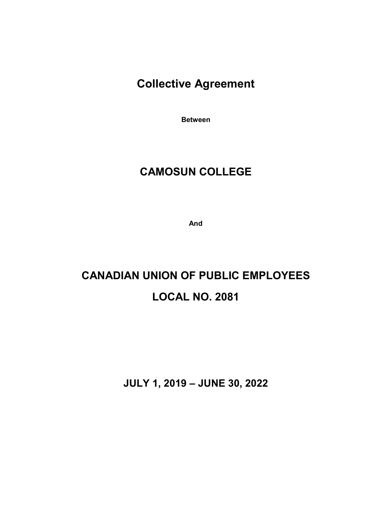# **Collective Agreement**

**Between**

# **CAMOSUN COLLEGE**

**And**

# **CANADIAN UNION OF PUBLIC EMPLOYEES LOCAL NO. 2081**

**JULY 1, 2019 – JUNE 30, 2022**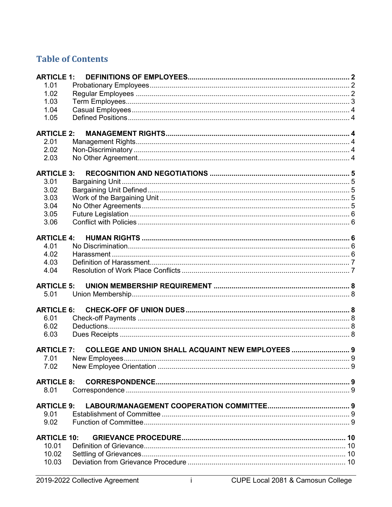# **Table of Contents**

| <b>ARTICLE 1:</b>  |                                                   |   |
|--------------------|---------------------------------------------------|---|
| 1.01               |                                                   |   |
| 1.02               |                                                   |   |
| 1.03               |                                                   |   |
| 1.04               |                                                   |   |
| 1.05               |                                                   |   |
|                    |                                                   |   |
| <b>ARTICLE 2:</b>  |                                                   |   |
| 2.01               |                                                   |   |
| 2.02               |                                                   |   |
| 2.03               |                                                   |   |
| <b>ARTICLE 3:</b>  |                                                   |   |
| 3.01               |                                                   |   |
| 3.02               |                                                   |   |
| 3.03               |                                                   |   |
| 3.04               |                                                   |   |
| 3.05               |                                                   |   |
| 3.06               |                                                   |   |
|                    |                                                   |   |
| <b>ARTICLE 4:</b>  |                                                   |   |
| 4.01               |                                                   |   |
| 4.02               |                                                   |   |
| 4.03               |                                                   |   |
| 4.04               |                                                   |   |
| <b>ARTICLE 5:</b>  |                                                   |   |
| 5.01               |                                                   |   |
| <b>ARTICLE 6:</b>  |                                                   |   |
| 6.01               |                                                   |   |
| 6.02               |                                                   |   |
| 6.03               |                                                   |   |
|                    |                                                   |   |
| <b>ARTICLE 7:</b>  | COLLEGE AND UNION SHALL ACQUAINT NEW EMPLOYEES  9 |   |
| 7.01               | New Employees                                     | a |
| 7.02               |                                                   |   |
| <b>ARTICLE 8:</b>  |                                                   |   |
| 8.01               |                                                   |   |
| <b>ARTICLE 9:</b>  |                                                   |   |
| 9.01               |                                                   |   |
| 9.02               |                                                   |   |
|                    |                                                   |   |
| <b>ARTICLE 10:</b> |                                                   |   |
| 10.01              |                                                   |   |
| 10.02              |                                                   |   |
| 10.03              |                                                   |   |

 $\overline{1}$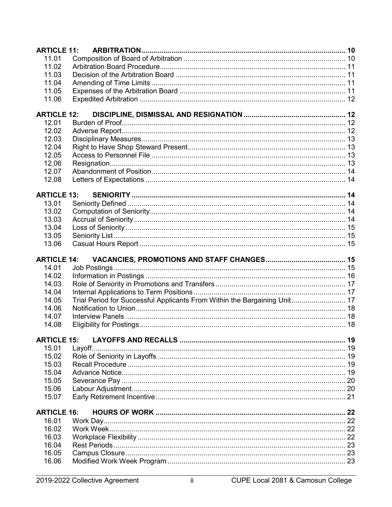| <b>ARTICLE 11:</b> |                                                                           |  |
|--------------------|---------------------------------------------------------------------------|--|
| 11.01              |                                                                           |  |
| 11.02              |                                                                           |  |
| 11.03              |                                                                           |  |
| 11.04              |                                                                           |  |
| 11.05              |                                                                           |  |
| 11.06              |                                                                           |  |
|                    |                                                                           |  |
| <b>ARTICLE 12:</b> |                                                                           |  |
| 12.01              |                                                                           |  |
| 12.02              |                                                                           |  |
| 12.03              |                                                                           |  |
| 12.04              |                                                                           |  |
| 12.05              |                                                                           |  |
| 12.06              |                                                                           |  |
| 12.07              |                                                                           |  |
| 12.08              |                                                                           |  |
|                    |                                                                           |  |
| <b>ARTICLE 13:</b> |                                                                           |  |
| 13.01              |                                                                           |  |
| 13.02              |                                                                           |  |
| 13.03              |                                                                           |  |
| 13.04              |                                                                           |  |
| 13.05              |                                                                           |  |
| 13.06              |                                                                           |  |
|                    |                                                                           |  |
|                    |                                                                           |  |
| <b>ARTICLE 14:</b> |                                                                           |  |
| 14.01              |                                                                           |  |
| 14.02              |                                                                           |  |
| 14.03              |                                                                           |  |
| 14.04              |                                                                           |  |
| 14.05              | Trial Period for Successful Applicants From Within the Bargaining Unit 17 |  |
| 14.06              |                                                                           |  |
| 14.07              |                                                                           |  |
| 14.08              |                                                                           |  |
|                    |                                                                           |  |
| <b>ARTICLE 15:</b> |                                                                           |  |
| 15.01              |                                                                           |  |
| 15.02              |                                                                           |  |
| 15.03              |                                                                           |  |
| 15.04              |                                                                           |  |
| 15.05              |                                                                           |  |
| 15.06              |                                                                           |  |
| 15.07              |                                                                           |  |
|                    |                                                                           |  |
| <b>ARTICLE 16:</b> |                                                                           |  |
| 16.01              |                                                                           |  |
| 16.02              |                                                                           |  |
| 16.03<br>16.04     |                                                                           |  |
|                    |                                                                           |  |
| 16.05<br>16.06     |                                                                           |  |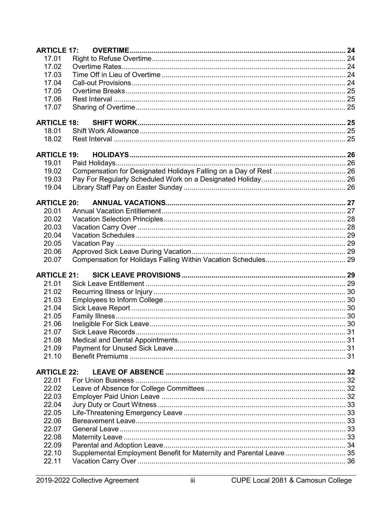| <b>ARTICLE 17:</b> |                                                                      |  |
|--------------------|----------------------------------------------------------------------|--|
| 17.01              |                                                                      |  |
| 17.02              |                                                                      |  |
| 17.03              |                                                                      |  |
| 17.04              |                                                                      |  |
| 17.05              |                                                                      |  |
| 17.06              |                                                                      |  |
| 17.07              |                                                                      |  |
| <b>ARTICLE 18:</b> |                                                                      |  |
| 18.01              |                                                                      |  |
| 18.02              |                                                                      |  |
|                    |                                                                      |  |
| <b>ARTICLE 19:</b> |                                                                      |  |
| 19.01              |                                                                      |  |
| 19.02              |                                                                      |  |
| 19.03              |                                                                      |  |
| 19.04              |                                                                      |  |
| <b>ARTICLE 20:</b> |                                                                      |  |
| 20.01              |                                                                      |  |
| 20.02              |                                                                      |  |
| 20.03              |                                                                      |  |
| 20.04              |                                                                      |  |
| 20.05              |                                                                      |  |
| 20.06              |                                                                      |  |
| 20.07              |                                                                      |  |
| <b>ARTICLE 21:</b> |                                                                      |  |
| 21.01              |                                                                      |  |
| 21.02              |                                                                      |  |
|                    |                                                                      |  |
| 21.03              |                                                                      |  |
| 21.04              |                                                                      |  |
| 21.05              |                                                                      |  |
| 21.06              |                                                                      |  |
| 21.07              |                                                                      |  |
| 21.08              |                                                                      |  |
| 21.09              |                                                                      |  |
| 21.10              |                                                                      |  |
| <b>ARTICLE 22:</b> |                                                                      |  |
| 22.01              |                                                                      |  |
| 22.02              |                                                                      |  |
| 22.03              |                                                                      |  |
| 22.04              |                                                                      |  |
| 22.05              |                                                                      |  |
| 22.06              |                                                                      |  |
| 22.07              |                                                                      |  |
| 22.08              |                                                                      |  |
| 22.09              |                                                                      |  |
| 22.10              | Supplemental Employment Benefit for Maternity and Parental Leave  35 |  |
| 22.11              |                                                                      |  |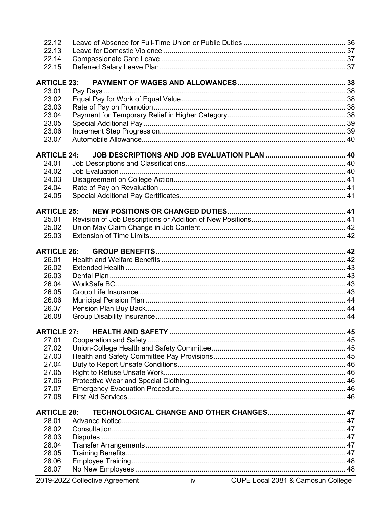| 22.12              |  |
|--------------------|--|
| 22.13              |  |
| 22.14              |  |
| 22.15              |  |
| <b>ARTICLE 23:</b> |  |
| 23.01              |  |
| 23.02              |  |
| 23.03              |  |
| 23.04              |  |
| 23.05              |  |
| 23.06              |  |
| 23.07              |  |
| <b>ARTICLE 24:</b> |  |
| 24.01              |  |
| 24.02              |  |
| 24.03              |  |
| 24.04              |  |
| 24.05              |  |
|                    |  |
| <b>ARTICLE 25:</b> |  |
| 25.01              |  |
| 25.02              |  |
| 25.03              |  |
| <b>ARTICLE 26:</b> |  |
| 26.01              |  |
| 26.02              |  |
| 26.03              |  |
| 26.04              |  |
| 26.05              |  |
| 26.06              |  |
| 26.07              |  |
| 26.08              |  |
|                    |  |
| <b>ARTICLE 27:</b> |  |
| 27.01              |  |
| 27.02              |  |
| 27.03              |  |
| 27.04              |  |
| 27.05              |  |
| 27.06              |  |
| 27.07              |  |
| 27.08              |  |
| <b>ARTICLE 28:</b> |  |
| 28.01              |  |
| 28.02              |  |
| 28.03              |  |
| 28.04              |  |
| 28.05              |  |
| 28.06              |  |
| 28.07              |  |
|                    |  |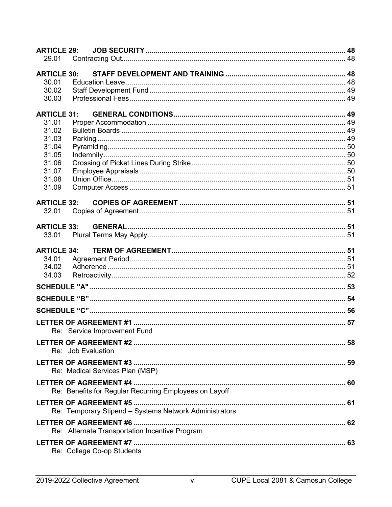| 29.01<br><b>ARTICLE 30:</b><br>30.01<br>30.02<br>30.03<br><b>ARTICLE 31:</b><br>31.01<br>31.02<br>31.03<br>31.04<br>31.05<br>31.06<br>31.07<br>31.08<br>31.09<br><b>ARTICLE 32:</b><br>32.01<br><b>ARTICLE 33:</b><br>33.01<br><b>ARTICLE 34:</b><br>34.01<br>34.02<br>34.03<br>Re: Service Improvement Fund<br>Re: Job Evaluation<br>Re: Medical Services Plan (MSP)<br>Re: Benefits for Regular Recurring Employees on Layoff<br>Re: Temporary Stipend - Systems Network Administrators<br>Re: Alternate Transportation Incentive Program<br>Re: College Co-op Students | <b>ARTICLE 29:</b> |  |  |
|---------------------------------------------------------------------------------------------------------------------------------------------------------------------------------------------------------------------------------------------------------------------------------------------------------------------------------------------------------------------------------------------------------------------------------------------------------------------------------------------------------------------------------------------------------------------------|--------------------|--|--|
|                                                                                                                                                                                                                                                                                                                                                                                                                                                                                                                                                                           |                    |  |  |
|                                                                                                                                                                                                                                                                                                                                                                                                                                                                                                                                                                           |                    |  |  |
|                                                                                                                                                                                                                                                                                                                                                                                                                                                                                                                                                                           |                    |  |  |
|                                                                                                                                                                                                                                                                                                                                                                                                                                                                                                                                                                           |                    |  |  |
|                                                                                                                                                                                                                                                                                                                                                                                                                                                                                                                                                                           |                    |  |  |
|                                                                                                                                                                                                                                                                                                                                                                                                                                                                                                                                                                           |                    |  |  |
|                                                                                                                                                                                                                                                                                                                                                                                                                                                                                                                                                                           |                    |  |  |
|                                                                                                                                                                                                                                                                                                                                                                                                                                                                                                                                                                           |                    |  |  |
|                                                                                                                                                                                                                                                                                                                                                                                                                                                                                                                                                                           |                    |  |  |
|                                                                                                                                                                                                                                                                                                                                                                                                                                                                                                                                                                           |                    |  |  |
|                                                                                                                                                                                                                                                                                                                                                                                                                                                                                                                                                                           |                    |  |  |
|                                                                                                                                                                                                                                                                                                                                                                                                                                                                                                                                                                           |                    |  |  |
|                                                                                                                                                                                                                                                                                                                                                                                                                                                                                                                                                                           |                    |  |  |
|                                                                                                                                                                                                                                                                                                                                                                                                                                                                                                                                                                           |                    |  |  |
|                                                                                                                                                                                                                                                                                                                                                                                                                                                                                                                                                                           |                    |  |  |
|                                                                                                                                                                                                                                                                                                                                                                                                                                                                                                                                                                           |                    |  |  |
|                                                                                                                                                                                                                                                                                                                                                                                                                                                                                                                                                                           |                    |  |  |
|                                                                                                                                                                                                                                                                                                                                                                                                                                                                                                                                                                           |                    |  |  |
|                                                                                                                                                                                                                                                                                                                                                                                                                                                                                                                                                                           |                    |  |  |
|                                                                                                                                                                                                                                                                                                                                                                                                                                                                                                                                                                           |                    |  |  |
|                                                                                                                                                                                                                                                                                                                                                                                                                                                                                                                                                                           |                    |  |  |
|                                                                                                                                                                                                                                                                                                                                                                                                                                                                                                                                                                           |                    |  |  |
|                                                                                                                                                                                                                                                                                                                                                                                                                                                                                                                                                                           |                    |  |  |
|                                                                                                                                                                                                                                                                                                                                                                                                                                                                                                                                                                           |                    |  |  |
|                                                                                                                                                                                                                                                                                                                                                                                                                                                                                                                                                                           |                    |  |  |
|                                                                                                                                                                                                                                                                                                                                                                                                                                                                                                                                                                           |                    |  |  |
|                                                                                                                                                                                                                                                                                                                                                                                                                                                                                                                                                                           |                    |  |  |
|                                                                                                                                                                                                                                                                                                                                                                                                                                                                                                                                                                           |                    |  |  |
|                                                                                                                                                                                                                                                                                                                                                                                                                                                                                                                                                                           |                    |  |  |
|                                                                                                                                                                                                                                                                                                                                                                                                                                                                                                                                                                           |                    |  |  |
|                                                                                                                                                                                                                                                                                                                                                                                                                                                                                                                                                                           |                    |  |  |
|                                                                                                                                                                                                                                                                                                                                                                                                                                                                                                                                                                           |                    |  |  |
|                                                                                                                                                                                                                                                                                                                                                                                                                                                                                                                                                                           |                    |  |  |
|                                                                                                                                                                                                                                                                                                                                                                                                                                                                                                                                                                           |                    |  |  |
|                                                                                                                                                                                                                                                                                                                                                                                                                                                                                                                                                                           |                    |  |  |
|                                                                                                                                                                                                                                                                                                                                                                                                                                                                                                                                                                           |                    |  |  |
|                                                                                                                                                                                                                                                                                                                                                                                                                                                                                                                                                                           |                    |  |  |
|                                                                                                                                                                                                                                                                                                                                                                                                                                                                                                                                                                           |                    |  |  |
|                                                                                                                                                                                                                                                                                                                                                                                                                                                                                                                                                                           |                    |  |  |
|                                                                                                                                                                                                                                                                                                                                                                                                                                                                                                                                                                           |                    |  |  |
|                                                                                                                                                                                                                                                                                                                                                                                                                                                                                                                                                                           |                    |  |  |
|                                                                                                                                                                                                                                                                                                                                                                                                                                                                                                                                                                           |                    |  |  |
|                                                                                                                                                                                                                                                                                                                                                                                                                                                                                                                                                                           |                    |  |  |
|                                                                                                                                                                                                                                                                                                                                                                                                                                                                                                                                                                           |                    |  |  |
|                                                                                                                                                                                                                                                                                                                                                                                                                                                                                                                                                                           |                    |  |  |
|                                                                                                                                                                                                                                                                                                                                                                                                                                                                                                                                                                           |                    |  |  |
|                                                                                                                                                                                                                                                                                                                                                                                                                                                                                                                                                                           |                    |  |  |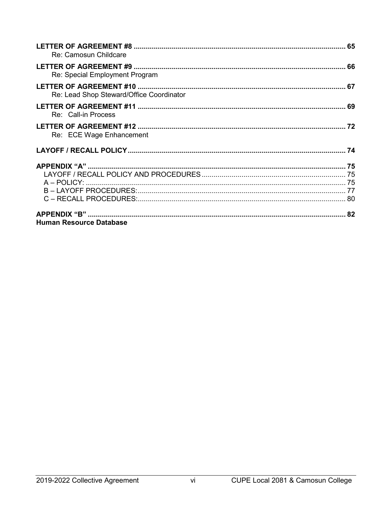| Re: Camosun Childcare                    |  |
|------------------------------------------|--|
| Re: Special Employment Program           |  |
| Re: Lead Shop Steward/Office Coordinator |  |
| Re: Call-in Process                      |  |
| Re: ECE Wage Enhancement                 |  |
|                                          |  |
|                                          |  |
|                                          |  |
|                                          |  |
|                                          |  |
|                                          |  |
|                                          |  |
| <b>Human Resource Database</b>           |  |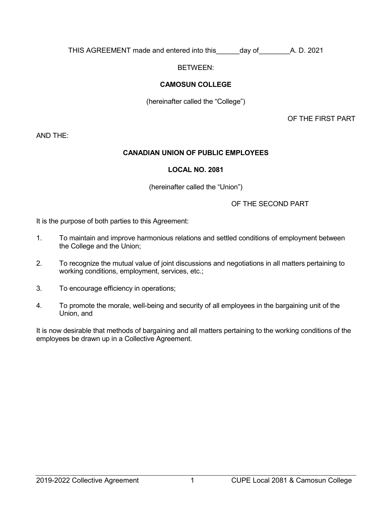THIS AGREEMENT made and entered into this day of A. D. 2021

BETWEEN:

# **CAMOSUN COLLEGE**

(hereinafter called the "College")

OF THE FIRST PART

AND THE:

# **CANADIAN UNION OF PUBLIC EMPLOYEES**

# **LOCAL NO. 2081**

(hereinafter called the "Union")

OF THE SECOND PART

It is the purpose of both parties to this Agreement:

- 1. To maintain and improve harmonious relations and settled conditions of employment between the College and the Union;
- 2. To recognize the mutual value of joint discussions and negotiations in all matters pertaining to working conditions, employment, services, etc.;
- 3. To encourage efficiency in operations;
- 4. To promote the morale, well-being and security of all employees in the bargaining unit of the Union, and

It is now desirable that methods of bargaining and all matters pertaining to the working conditions of the employees be drawn up in a Collective Agreement.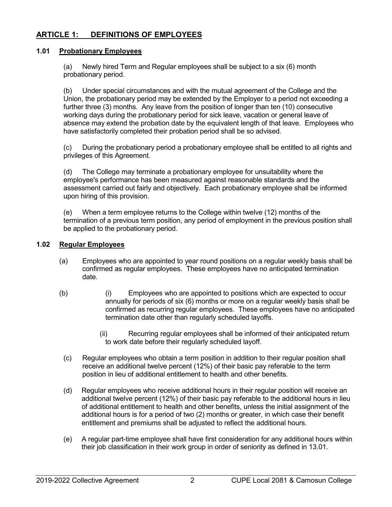# <span id="page-8-0"></span>**ARTICLE 1: DEFINITIONS OF EMPLOYEES**

# <span id="page-8-1"></span>**1.01 Probationary Employees**

(a) Newly hired Term and Regular employees shall be subject to a six (6) month probationary period.

(b) Under special circumstances and with the mutual agreement of the College and the Union, the probationary period may be extended by the Employer to a period not exceeding a further three (3) months. Any leave from the position of longer than ten (10) consecutive working days during the probationary period for sick leave, vacation or general leave of absence may extend the probation date by the equivalent length of that leave. Employees who have satisfactorily completed their probation period shall be so advised.

(c) During the probationary period a probationary employee shall be entitled to all rights and privileges of this Agreement.

(d) The College may terminate a probationary employee for unsuitability where the employee's performance has been measured against reasonable standards and the assessment carried out fairly and objectively. Each probationary employee shall be informed upon hiring of this provision.

(e) When a term employee returns to the College within twelve (12) months of the termination of a previous term position, any period of employment in the previous position shall be applied to the probationary period.

# <span id="page-8-2"></span>**1.02 Regular Employees**

- (a) Employees who are appointed to year round positions on a regular weekly basis shall be confirmed as regular employees. These employees have no anticipated termination date.
- (b) (i) Employees who are appointed to positions which are expected to occur annually for periods of six (6) months or more on a regular weekly basis shall be confirmed as recurring regular employees. These employees have no anticipated termination date other than regularly scheduled layoffs.
	- (ii) Recurring regular employees shall be informed of their anticipated return to work date before their regularly scheduled layoff.
	- (c) Regular employees who obtain a term position in addition to their regular position shall receive an additional twelve percent (12%) of their basic pay referable to the term position in lieu of additional entitlement to health and other benefits.
	- (d) Regular employees who receive additional hours in their regular position will receive an additional twelve percent (12%) of their basic pay referable to the additional hours in lieu of additional entitlement to health and other benefits, unless the initial assignment of the additional hours is for a period of two (2) months or greater, in which case their benefit entitlement and premiums shall be adjusted to reflect the additional hours.
	- (e) A regular part-time employee shall have first consideration for any additional hours within their job classification in their work group in order of seniority as defined in 13.01.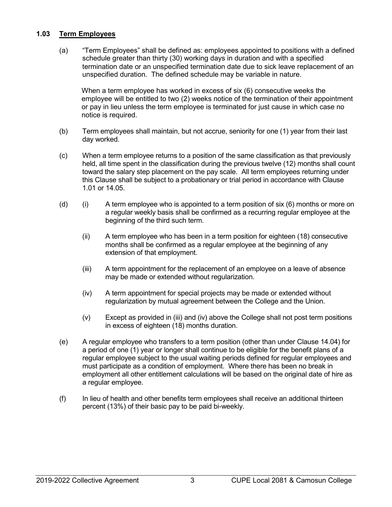# <span id="page-9-0"></span>**1.03 Term Employees**

(a) "Term Employees" shall be defined as: employees appointed to positions with a defined schedule greater than thirty (30) working days in duration and with a specified termination date or an unspecified termination date due to sick leave replacement of an unspecified duration. The defined schedule may be variable in nature.

When a term employee has worked in excess of six (6) consecutive weeks the employee will be entitled to two (2) weeks notice of the termination of their appointment or pay in lieu unless the term employee is terminated for just cause in which case no notice is required.

- (b) Term employees shall maintain, but not accrue, seniority for one (1) year from their last day worked.
- (c) When a term employee returns to a position of the same classification as that previously held, all time spent in the classification during the previous twelve (12) months shall count toward the salary step placement on the pay scale. All term employees returning under this Clause shall be subject to a probationary or trial period in accordance with Clause 1.01 or 14.05.
- (d) (i) A term employee who is appointed to a term position of six  $(6)$  months or more on a regular weekly basis shall be confirmed as a recurring regular employee at the beginning of the third such term.
	- (ii) A term employee who has been in a term position for eighteen (18) consecutive months shall be confirmed as a regular employee at the beginning of any extension of that employment.
	- (iii) A term appointment for the replacement of an employee on a leave of absence may be made or extended without regularization.
	- (iv) A term appointment for special projects may be made or extended without regularization by mutual agreement between the College and the Union.
	- (v) Except as provided in (iii) and (iv) above the College shall not post term positions in excess of eighteen (18) months duration.
- (e) A regular employee who transfers to a term position (other than under Clause 14.04) for a period of one (1) year or longer shall continue to be eligible for the benefit plans of a regular employee subject to the usual waiting periods defined for regular employees and must participate as a condition of employment. Where there has been no break in employment all other entitlement calculations will be based on the original date of hire as a regular employee.
- (f) In lieu of health and other benefits term employees shall receive an additional thirteen percent (13%) of their basic pay to be paid bi-weekly.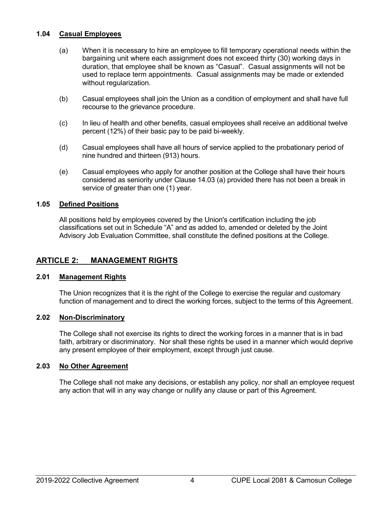# <span id="page-10-0"></span>**1.04 Casual Employees**

- (a) When it is necessary to hire an employee to fill temporary operational needs within the bargaining unit where each assignment does not exceed thirty (30) working days in duration, that employee shall be known as "Casual". Casual assignments will not be used to replace term appointments. Casual assignments may be made or extended without regularization.
- (b) Casual employees shall join the Union as a condition of employment and shall have full recourse to the grievance procedure.
- (c) In lieu of health and other benefits, casual employees shall receive an additional twelve percent (12%) of their basic pay to be paid bi-weekly.
- (d) Casual employees shall have all hours of service applied to the probationary period of nine hundred and thirteen (913) hours.
- (e) Casual employees who apply for another position at the College shall have their hours considered as seniority under Clause 14.03 (a) provided there has not been a break in service of greater than one (1) year.

# <span id="page-10-1"></span>**1.05 Defined Positions**

All positions held by employees covered by the Union's certification including the job classifications set out in Schedule "A" and as added to, amended or deleted by the Joint Advisory Job Evaluation Committee, shall constitute the defined positions at the College.

# <span id="page-10-2"></span>**ARTICLE 2: MANAGEMENT RIGHTS**

# <span id="page-10-3"></span>**2.01 Management Rights**

The Union recognizes that it is the right of the College to exercise the regular and customary function of management and to direct the working forces, subject to the terms of this Agreement.

# <span id="page-10-4"></span>**2.02 Non-Discriminatory**

The College shall not exercise its rights to direct the working forces in a manner that is in bad faith, arbitrary or discriminatory. Nor shall these rights be used in a manner which would deprive any present employee of their employment, except through just cause.

# <span id="page-10-5"></span>**2.03 No Other Agreement**

The College shall not make any decisions, or establish any policy, nor shall an employee request any action that will in any way change or nullify any clause or part of this Agreement.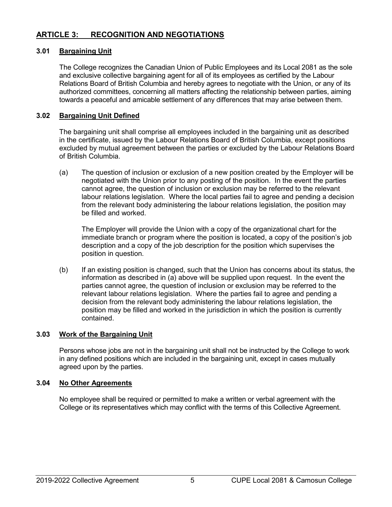# <span id="page-11-0"></span>**ARTICLE 3: RECOGNITION AND NEGOTIATIONS**

# <span id="page-11-1"></span>**3.01 Bargaining Unit**

The College recognizes the Canadian Union of Public Employees and its Local 2081 as the sole and exclusive collective bargaining agent for all of its employees as certified by the Labour Relations Board of British Columbia and hereby agrees to negotiate with the Union, or any of its authorized committees, concerning all matters affecting the relationship between parties, aiming towards a peaceful and amicable settlement of any differences that may arise between them.

# <span id="page-11-2"></span>**3.02 Bargaining Unit Defined**

The bargaining unit shall comprise all employees included in the bargaining unit as described in the certificate, issued by the Labour Relations Board of British Columbia, except positions excluded by mutual agreement between the parties or excluded by the Labour Relations Board of British Columbia.

(a) The question of inclusion or exclusion of a new position created by the Employer will be negotiated with the Union prior to any posting of the position. In the event the parties cannot agree, the question of inclusion or exclusion may be referred to the relevant labour relations legislation. Where the local parties fail to agree and pending a decision from the relevant body administering the labour relations legislation, the position may be filled and worked.

The Employer will provide the Union with a copy of the organizational chart for the immediate branch or program where the position is located, a copy of the position's job description and a copy of the job description for the position which supervises the position in question.

(b) If an existing position is changed, such that the Union has concerns about its status, the information as described in (a) above will be supplied upon request. In the event the parties cannot agree, the question of inclusion or exclusion may be referred to the relevant labour relations legislation. Where the parties fail to agree and pending a decision from the relevant body administering the labour relations legislation, the position may be filled and worked in the jurisdiction in which the position is currently contained.

# <span id="page-11-3"></span>**3.03 Work of the Bargaining Unit**

Persons whose jobs are not in the bargaining unit shall not be instructed by the College to work in any defined positions which are included in the bargaining unit, except in cases mutually agreed upon by the parties.

# <span id="page-11-4"></span>**3.04 No Other Agreements**

No employee shall be required or permitted to make a written or verbal agreement with the College or its representatives which may conflict with the terms of this Collective Agreement.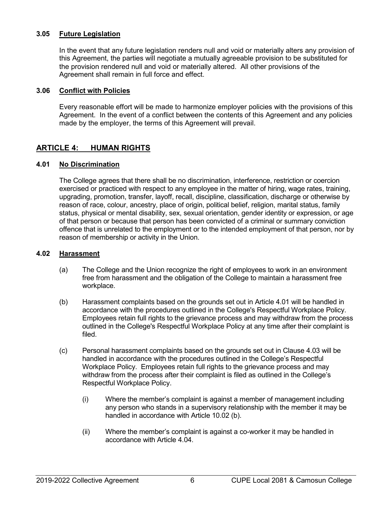# <span id="page-12-0"></span>**3.05 Future Legislation**

In the event that any future legislation renders null and void or materially alters any provision of this Agreement, the parties will negotiate a mutually agreeable provision to be substituted for the provision rendered null and void or materially altered. All other provisions of the Agreement shall remain in full force and effect.

# <span id="page-12-1"></span>**3.06 Conflict with Policies**

Every reasonable effort will be made to harmonize employer policies with the provisions of this Agreement. In the event of a conflict between the contents of this Agreement and any policies made by the employer, the terms of this Agreement will prevail.

# <span id="page-12-2"></span>**ARTICLE 4: HUMAN RIGHTS**

# <span id="page-12-3"></span>**4.01 No Discrimination**

The College agrees that there shall be no discrimination, interference, restriction or coercion exercised or practiced with respect to any employee in the matter of hiring, wage rates, training, upgrading, promotion, transfer, layoff, recall, discipline, classification, discharge or otherwise by reason of race, colour, ancestry, place of origin, political belief, religion, marital status, family status, physical or mental disability, sex, sexual orientation, gender identity or expression, or age of that person or because that person has been convicted of a criminal or summary conviction offence that is unrelated to the employment or to the intended employment of that person, nor by reason of membership or activity in the Union.

# <span id="page-12-4"></span>**4.02 Harassment**

- (a) The College and the Union recognize the right of employees to work in an environment free from harassment and the obligation of the College to maintain a harassment free workplace.
- (b) Harassment complaints based on the grounds set out in Article 4.01 will be handled in accordance with the procedures outlined in the College's Respectful Workplace Policy. Employees retain full rights to the grievance process and may withdraw from the process outlined in the College's Respectful Workplace Policy at any time after their complaint is filed.
- (c) Personal harassment complaints based on the grounds set out in Clause 4.03 will be handled in accordance with the procedures outlined in the College's Respectful Workplace Policy. Employees retain full rights to the grievance process and may withdraw from the process after their complaint is filed as outlined in the College's Respectful Workplace Policy.
	- (i) Where the member's complaint is against a member of management including any person who stands in a supervisory relationship with the member it may be handled in accordance with Article 10.02 (b).
	- (ii) Where the member's complaint is against a co-worker it may be handled in accordance with Article 4.04.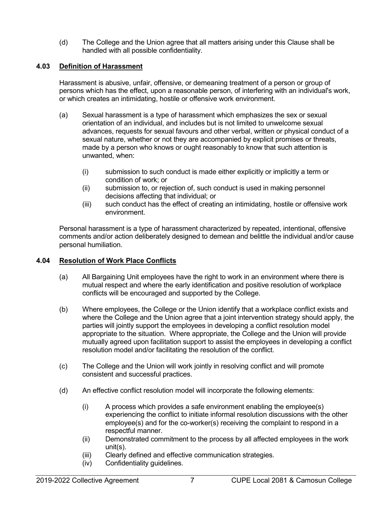(d) The College and the Union agree that all matters arising under this Clause shall be handled with all possible confidentiality.

# <span id="page-13-0"></span>**4.03 Definition of Harassment**

Harassment is abusive, unfair, offensive, or demeaning treatment of a person or group of persons which has the effect, upon a reasonable person, of interfering with an individual's work, or which creates an intimidating, hostile or offensive work environment.

- (a) Sexual harassment is a type of harassment which emphasizes the sex or sexual orientation of an individual, and includes but is not limited to unwelcome sexual advances, requests for sexual favours and other verbal, written or physical conduct of a sexual nature, whether or not they are accompanied by explicit promises or threats, made by a person who knows or ought reasonably to know that such attention is unwanted, when:
	- (i) submission to such conduct is made either explicitly or implicitly a term or condition of work; or
	- (ii) submission to, or rejection of, such conduct is used in making personnel decisions affecting that individual; or
	- (iii) such conduct has the effect of creating an intimidating, hostile or offensive work environment.

Personal harassment is a type of harassment characterized by repeated, intentional, offensive comments and/or action deliberately designed to demean and belittle the individual and/or cause personal humiliation.

# <span id="page-13-1"></span>**4.04 Resolution of Work Place Conflicts**

- (a) All Bargaining Unit employees have the right to work in an environment where there is mutual respect and where the early identification and positive resolution of workplace conflicts will be encouraged and supported by the College.
- (b) Where employees, the College or the Union identify that a workplace conflict exists and where the College and the Union agree that a joint intervention strategy should apply, the parties will jointly support the employees in developing a conflict resolution model appropriate to the situation. Where appropriate, the College and the Union will provide mutually agreed upon facilitation support to assist the employees in developing a conflict resolution model and/or facilitating the resolution of the conflict.
- (c) The College and the Union will work jointly in resolving conflict and will promote consistent and successful practices.
- (d) An effective conflict resolution model will incorporate the following elements:
	- (i) A process which provides a safe environment enabling the employee(s) experiencing the conflict to initiate informal resolution discussions with the other employee(s) and for the co-worker(s) receiving the complaint to respond in a respectful manner.
	- (ii) Demonstrated commitment to the process by all affected employees in the work unit(s).
	- (iii) Clearly defined and effective communication strategies.
	- (iv) Confidentiality guidelines.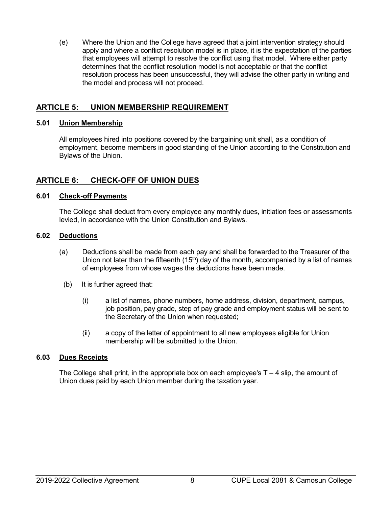(e) Where the Union and the College have agreed that a joint intervention strategy should apply and where a conflict resolution model is in place, it is the expectation of the parties that employees will attempt to resolve the conflict using that model. Where either party determines that the conflict resolution model is not acceptable or that the conflict resolution process has been unsuccessful, they will advise the other party in writing and the model and process will not proceed.

# <span id="page-14-0"></span>**ARTICLE 5: UNION MEMBERSHIP REQUIREMENT**

# <span id="page-14-1"></span>**5.01 Union Membership**

All employees hired into positions covered by the bargaining unit shall, as a condition of employment, become members in good standing of the Union according to the Constitution and Bylaws of the Union.

# <span id="page-14-2"></span>**ARTICLE 6: CHECK-OFF OF UNION DUES**

# <span id="page-14-3"></span>**6.01 Check-off Payments**

The College shall deduct from every employee any monthly dues, initiation fees or assessments levied, in accordance with the Union Constitution and Bylaws.

# <span id="page-14-4"></span>**6.02 Deductions**

- (a) Deductions shall be made from each pay and shall be forwarded to the Treasurer of the Union not later than the fifteenth  $(15<sup>th</sup>)$  day of the month, accompanied by a list of names of employees from whose wages the deductions have been made.
	- (b) It is further agreed that:
		- (i) a list of names, phone numbers, home address, division, department, campus, job position, pay grade, step of pay grade and employment status will be sent to the Secretary of the Union when requested;
		- (ii) a copy of the letter of appointment to all new employees eligible for Union membership will be submitted to the Union.

# <span id="page-14-5"></span>**6.03 Dues Receipts**

The College shall print, in the appropriate box on each employee's  $T - 4$  slip, the amount of Union dues paid by each Union member during the taxation year.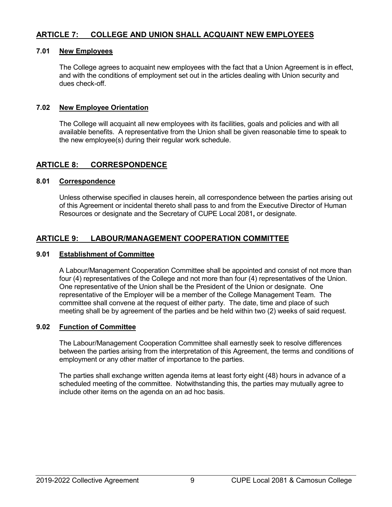# <span id="page-15-0"></span>**ARTICLE 7: COLLEGE AND UNION SHALL ACQUAINT NEW EMPLOYEES**

# <span id="page-15-1"></span>**7.01 New Employees**

The College agrees to acquaint new employees with the fact that a Union Agreement is in effect, and with the conditions of employment set out in the articles dealing with Union security and dues check-off.

# <span id="page-15-2"></span>**7.02 New Employee Orientation**

The College will acquaint all new employees with its facilities, goals and policies and with all available benefits. A representative from the Union shall be given reasonable time to speak to the new employee(s) during their regular work schedule.

# <span id="page-15-3"></span>**ARTICLE 8: CORRESPONDENCE**

# <span id="page-15-4"></span>**8.01 Correspondence**

Unless otherwise specified in clauses herein, all correspondence between the parties arising out of this Agreement or incidental thereto shall pass to and from the Executive Director of Human Resources or designate and the Secretary of CUPE Local 2081**,** or designate.

# <span id="page-15-5"></span>**ARTICLE 9: LABOUR/MANAGEMENT COOPERATION COMMITTEE**

# <span id="page-15-6"></span>**9.01 Establishment of Committee**

A Labour/Management Cooperation Committee shall be appointed and consist of not more than four (4) representatives of the College and not more than four (4) representatives of the Union. One representative of the Union shall be the President of the Union or designate. One representative of the Employer will be a member of the College Management Team. The committee shall convene at the request of either party. The date, time and place of such meeting shall be by agreement of the parties and be held within two (2) weeks of said request.

# <span id="page-15-7"></span>**9.02 Function of Committee**

The Labour/Management Cooperation Committee shall earnestly seek to resolve differences between the parties arising from the interpretation of this Agreement, the terms and conditions of employment or any other matter of importance to the parties.

The parties shall exchange written agenda items at least forty eight (48) hours in advance of a scheduled meeting of the committee. Notwithstanding this, the parties may mutually agree to include other items on the agenda on an ad hoc basis.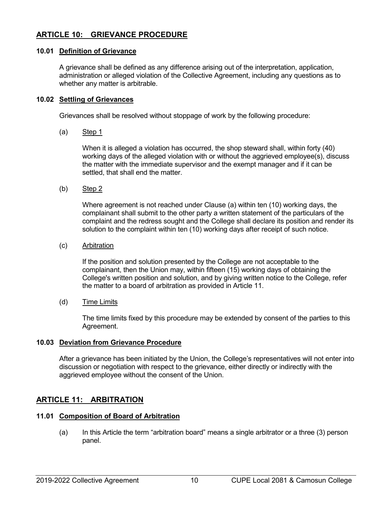# <span id="page-16-0"></span>**ARTICLE 10: GRIEVANCE PROCEDURE**

# <span id="page-16-1"></span>**10.01 Definition of Grievance**

A grievance shall be defined as any difference arising out of the interpretation, application, administration or alleged violation of the Collective Agreement, including any questions as to whether any matter is arbitrable.

# <span id="page-16-2"></span>**10.02 Settling of Grievances**

Grievances shall be resolved without stoppage of work by the following procedure:

(a) Step 1

When it is alleged a violation has occurred, the shop steward shall, within forty (40) working days of the alleged violation with or without the aggrieved employee(s), discuss the matter with the immediate supervisor and the exempt manager and if it can be settled, that shall end the matter.

(b) Step 2

Where agreement is not reached under Clause (a) within ten (10) working days, the complainant shall submit to the other party a written statement of the particulars of the complaint and the redress sought and the College shall declare its position and render its solution to the complaint within ten (10) working days after receipt of such notice.

(c) Arbitration

If the position and solution presented by the College are not acceptable to the complainant, then the Union may, within fifteen (15) working days of obtaining the College's written position and solution, and by giving written notice to the College, refer the matter to a board of arbitration as provided in Article 11.

(d) Time Limits

The time limits fixed by this procedure may be extended by consent of the parties to this Agreement.

# <span id="page-16-3"></span>**10.03 Deviation from Grievance Procedure**

After a grievance has been initiated by the Union, the College's representatives will not enter into discussion or negotiation with respect to the grievance, either directly or indirectly with the aggrieved employee without the consent of the Union.

# <span id="page-16-4"></span>**ARTICLE 11: ARBITRATION**

# <span id="page-16-5"></span>**11.01 Composition of Board of Arbitration**

(a) In this Article the term "arbitration board" means a single arbitrator or a three (3) person panel.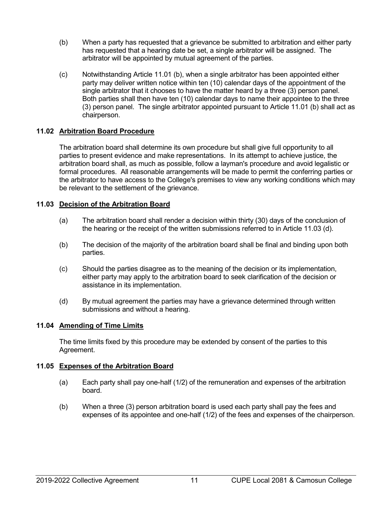- (b) When a party has requested that a grievance be submitted to arbitration and either party has requested that a hearing date be set, a single arbitrator will be assigned. The arbitrator will be appointed by mutual agreement of the parties.
- (c) Notwithstanding Article 11.01 (b), when a single arbitrator has been appointed either party may deliver written notice within ten (10) calendar days of the appointment of the single arbitrator that it chooses to have the matter heard by a three (3) person panel. Both parties shall then have ten (10) calendar days to name their appointee to the three (3) person panel. The single arbitrator appointed pursuant to Article 11.01 (b) shall act as chairperson.

# <span id="page-17-0"></span>**11.02 Arbitration Board Procedure**

The arbitration board shall determine its own procedure but shall give full opportunity to all parties to present evidence and make representations. In its attempt to achieve justice, the arbitration board shall, as much as possible, follow a layman's procedure and avoid legalistic or formal procedures. All reasonable arrangements will be made to permit the conferring parties or the arbitrator to have access to the College's premises to view any working conditions which may be relevant to the settlement of the grievance.

# <span id="page-17-1"></span>**11.03 Decision of the Arbitration Board**

- (a) The arbitration board shall render a decision within thirty (30) days of the conclusion of the hearing or the receipt of the written submissions referred to in Article 11.03 (d).
- (b) The decision of the majority of the arbitration board shall be final and binding upon both parties.
- (c) Should the parties disagree as to the meaning of the decision or its implementation, either party may apply to the arbitration board to seek clarification of the decision or assistance in its implementation.
- (d) By mutual agreement the parties may have a grievance determined through written submissions and without a hearing.

# <span id="page-17-2"></span>**11.04 Amending of Time Limits**

The time limits fixed by this procedure may be extended by consent of the parties to this Agreement.

# <span id="page-17-3"></span>**11.05 Expenses of the Arbitration Board**

- (a) Each party shall pay one-half (1/2) of the remuneration and expenses of the arbitration board.
- (b) When a three (3) person arbitration board is used each party shall pay the fees and expenses of its appointee and one-half (1/2) of the fees and expenses of the chairperson.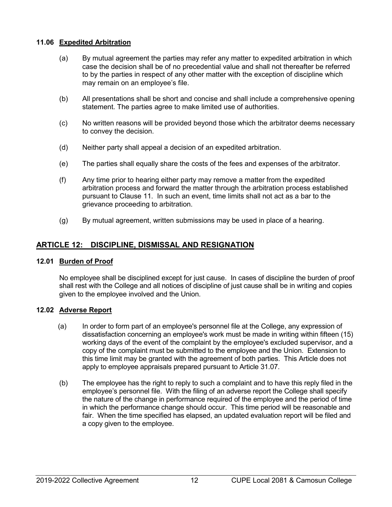# <span id="page-18-0"></span>**11.06 Expedited Arbitration**

- (a) By mutual agreement the parties may refer any matter to expedited arbitration in which case the decision shall be of no precedential value and shall not thereafter be referred to by the parties in respect of any other matter with the exception of discipline which may remain on an employee's file.
- (b) All presentations shall be short and concise and shall include a comprehensive opening statement. The parties agree to make limited use of authorities.
- (c) No written reasons will be provided beyond those which the arbitrator deems necessary to convey the decision.
- (d) Neither party shall appeal a decision of an expedited arbitration.
- (e) The parties shall equally share the costs of the fees and expenses of the arbitrator.
- (f) Any time prior to hearing either party may remove a matter from the expedited arbitration process and forward the matter through the arbitration process established pursuant to Clause 11. In such an event, time limits shall not act as a bar to the grievance proceeding to arbitration.
- (g) By mutual agreement, written submissions may be used in place of a hearing.

# <span id="page-18-1"></span>**ARTICLE 12: DISCIPLINE, DISMISSAL AND RESIGNATION**

# <span id="page-18-2"></span>**12.01 Burden of Proof**

No employee shall be disciplined except for just cause. In cases of discipline the burden of proof shall rest with the College and all notices of discipline of just cause shall be in writing and copies given to the employee involved and the Union.

# <span id="page-18-3"></span>**12.02 Adverse Report**

- (a) In order to form part of an employee's personnel file at the College, any expression of dissatisfaction concerning an employee's work must be made in writing within fifteen (15) working days of the event of the complaint by the employee's excluded supervisor, and a copy of the complaint must be submitted to the employee and the Union. Extension to this time limit may be granted with the agreement of both parties. This Article does not apply to employee appraisals prepared pursuant to Article 31.07.
- (b) The employee has the right to reply to such a complaint and to have this reply filed in the employee's personnel file. With the filing of an adverse report the College shall specify the nature of the change in performance required of the employee and the period of time in which the performance change should occur. This time period will be reasonable and fair. When the time specified has elapsed, an updated evaluation report will be filed and a copy given to the employee.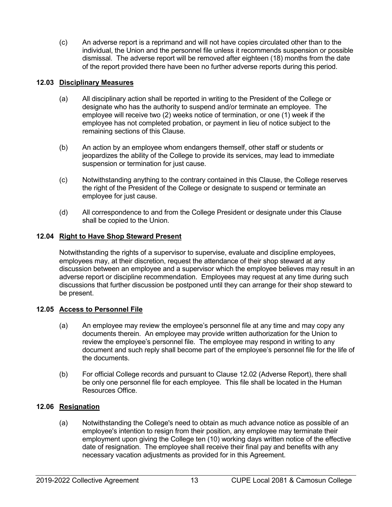(c) An adverse report is a reprimand and will not have copies circulated other than to the individual, the Union and the personnel file unless it recommends suspension or possible dismissal. The adverse report will be removed after eighteen (18) months from the date of the report provided there have been no further adverse reports during this period.

# <span id="page-19-0"></span>**12.03 Disciplinary Measures**

- (a) All disciplinary action shall be reported in writing to the President of the College or designate who has the authority to suspend and/or terminate an employee. The employee will receive two (2) weeks notice of termination, or one (1) week if the employee has not completed probation, or payment in lieu of notice subject to the remaining sections of this Clause.
- (b) An action by an employee whom endangers themself, other staff or students or jeopardizes the ability of the College to provide its services, may lead to immediate suspension or termination for just cause.
- (c) Notwithstanding anything to the contrary contained in this Clause, the College reserves the right of the President of the College or designate to suspend or terminate an employee for just cause.
- (d) All correspondence to and from the College President or designate under this Clause shall be copied to the Union.

# <span id="page-19-1"></span>**12.04 Right to Have Shop Steward Present**

Notwithstanding the rights of a supervisor to supervise, evaluate and discipline employees, employees may, at their discretion, request the attendance of their shop steward at any discussion between an employee and a supervisor which the employee believes may result in an adverse report or discipline recommendation. Employees may request at any time during such discussions that further discussion be postponed until they can arrange for their shop steward to be present.

# <span id="page-19-2"></span>**12.05 Access to Personnel File**

- (a) An employee may review the employee's personnel file at any time and may copy any documents therein. An employee may provide written authorization for the Union to review the employee's personnel file. The employee may respond in writing to any document and such reply shall become part of the employee's personnel file for the life of the documents.
- (b) For official College records and pursuant to Clause 12.02 (Adverse Report), there shall be only one personnel file for each employee. This file shall be located in the Human Resources Office.

# <span id="page-19-3"></span>**12.06 Resignation**

(a) Notwithstanding the College's need to obtain as much advance notice as possible of an employee's intention to resign from their position, any employee may terminate their employment upon giving the College ten (10) working days written notice of the effective date of resignation. The employee shall receive their final pay and benefits with any necessary vacation adjustments as provided for in this Agreement.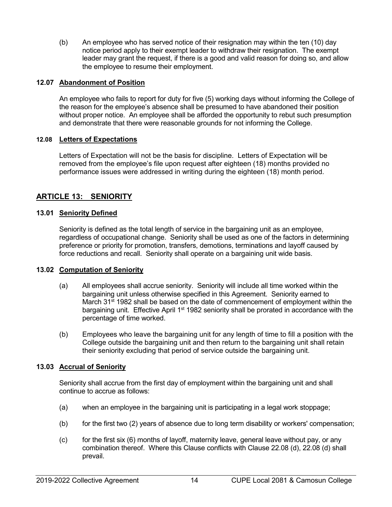(b) An employee who has served notice of their resignation may within the ten (10) day notice period apply to their exempt leader to withdraw their resignation. The exempt leader may grant the request, if there is a good and valid reason for doing so, and allow the employee to resume their employment.

# <span id="page-20-0"></span>**12.07 Abandonment of Position**

An employee who fails to report for duty for five (5) working days without informing the College of the reason for the employee's absence shall be presumed to have abandoned their position without proper notice. An employee shall be afforded the opportunity to rebut such presumption and demonstrate that there were reasonable grounds for not informing the College.

# <span id="page-20-1"></span>**12.08 Letters of Expectations**

Letters of Expectation will not be the basis for discipline. Letters of Expectation will be removed from the employee's file upon request after eighteen (18) months provided no performance issues were addressed in writing during the eighteen (18) month period.

# <span id="page-20-2"></span>**ARTICLE 13: SENIORITY**

# <span id="page-20-3"></span>**13.01 Seniority Defined**

Seniority is defined as the total length of service in the bargaining unit as an employee, regardless of occupational change. Seniority shall be used as one of the factors in determining preference or priority for promotion, transfers, demotions, terminations and layoff caused by force reductions and recall. Seniority shall operate on a bargaining unit wide basis.

# <span id="page-20-4"></span>**13.02 Computation of Seniority**

- (a) All employees shall accrue seniority. Seniority will include all time worked within the bargaining unit unless otherwise specified in this Agreement. Seniority earned to March  $31<sup>st</sup>$  1982 shall be based on the date of commencement of employment within the bargaining unit. Effective April 1<sup>st</sup> 1982 seniority shall be prorated in accordance with the percentage of time worked.
- (b) Employees who leave the bargaining unit for any length of time to fill a position with the College outside the bargaining unit and then return to the bargaining unit shall retain their seniority excluding that period of service outside the bargaining unit.

# <span id="page-20-5"></span>**13.03 Accrual of Seniority**

Seniority shall accrue from the first day of employment within the bargaining unit and shall continue to accrue as follows:

- (a) when an employee in the bargaining unit is participating in a legal work stoppage;
- (b) for the first two (2) years of absence due to long term disability or workers' compensation;
- (c) for the first six (6) months of layoff, maternity leave, general leave without pay, or any combination thereof. Where this Clause conflicts with Clause 22.08 (d), 22.08 (d) shall prevail.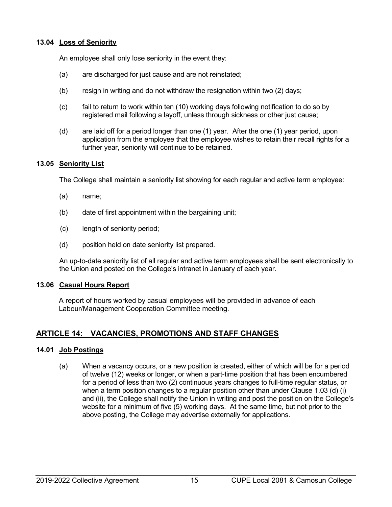# <span id="page-21-0"></span>**13.04 Loss of Seniority**

An employee shall only lose seniority in the event they:

- (a) are discharged for just cause and are not reinstated;
- (b) resign in writing and do not withdraw the resignation within two (2) days;
- (c) fail to return to work within ten (10) working days following notification to do so by registered mail following a layoff, unless through sickness or other just cause;
- (d) are laid off for a period longer than one (1) year. After the one (1) year period, upon application from the employee that the employee wishes to retain their recall rights for a further year, seniority will continue to be retained.

# <span id="page-21-1"></span>**13.05 Seniority List**

The College shall maintain a seniority list showing for each regular and active term employee:

- (a) name;
- (b) date of first appointment within the bargaining unit;
- (c) length of seniority period;
- (d) position held on date seniority list prepared.

An up-to-date seniority list of all regular and active term employees shall be sent electronically to the Union and posted on the College's intranet in January of each year.

# <span id="page-21-2"></span>**13.06 Casual Hours Report**

A report of hours worked by casual employees will be provided in advance of each Labour/Management Cooperation Committee meeting.

# <span id="page-21-3"></span>**ARTICLE 14: VACANCIES, PROMOTIONS AND STAFF CHANGES**

# <span id="page-21-4"></span>**14.01 Job Postings**

(a) When a vacancy occurs, or a new position is created, either of which will be for a period of twelve (12) weeks or longer, or when a part-time position that has been encumbered for a period of less than two (2) continuous years changes to full-time regular status, or when a term position changes to a regular position other than under Clause 1.03 (d) (i) and (ii), the College shall notify the Union in writing and post the position on the College's website for a minimum of five (5) working days. At the same time, but not prior to the above posting, the College may advertise externally for applications.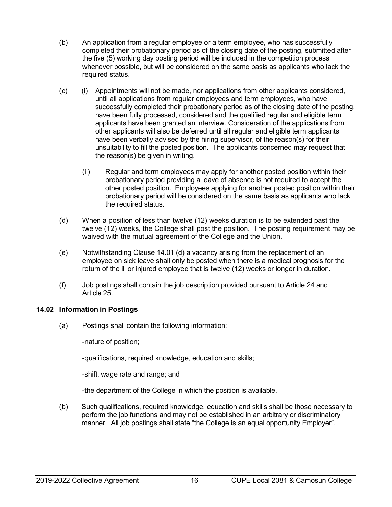- (b) An application from a regular employee or a term employee, who has successfully completed their probationary period as of the closing date of the posting, submitted after the five (5) working day posting period will be included in the competition process whenever possible, but will be considered on the same basis as applicants who lack the required status.
- (c) (i) Appointments will not be made, nor applications from other applicants considered, until all applications from regular employees and term employees, who have successfully completed their probationary period as of the closing date of the posting, have been fully processed, considered and the qualified regular and eligible term applicants have been granted an interview. Consideration of the applications from other applicants will also be deferred until all regular and eligible term applicants have been verbally advised by the hiring supervisor, of the reason(s) for their unsuitability to fill the posted position. The applicants concerned may request that the reason(s) be given in writing.
	- (ii) Regular and term employees may apply for another posted position within their probationary period providing a leave of absence is not required to accept the other posted position. Employees applying for another posted position within their probationary period will be considered on the same basis as applicants who lack the required status.
- (d) When a position of less than twelve (12) weeks duration is to be extended past the twelve (12) weeks, the College shall post the position. The posting requirement may be waived with the mutual agreement of the College and the Union.
- (e) Notwithstanding Clause 14.01 (d) a vacancy arising from the replacement of an employee on sick leave shall only be posted when there is a medical prognosis for the return of the ill or injured employee that is twelve (12) weeks or longer in duration.
- (f) Job postings shall contain the job description provided pursuant to Article 24 and Article 25.

# <span id="page-22-0"></span>**14.02 Information in Postings**

(a) Postings shall contain the following information:

-nature of position;

-qualifications, required knowledge, education and skills;

-shift, wage rate and range; and

-the department of the College in which the position is available.

(b) Such qualifications, required knowledge, education and skills shall be those necessary to perform the job functions and may not be established in an arbitrary or discriminatory manner. All job postings shall state "the College is an equal opportunity Employer".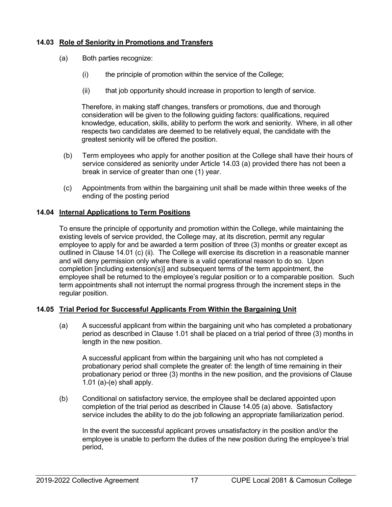# <span id="page-23-0"></span>**14.03 Role of Seniority in Promotions and Transfers**

- (a) Both parties recognize:
	- (i) the principle of promotion within the service of the College;
	- (ii) that job opportunity should increase in proportion to length of service.

Therefore, in making staff changes, transfers or promotions, due and thorough consideration will be given to the following guiding factors: qualifications, required knowledge, education, skills, ability to perform the work and seniority. Where, in all other respects two candidates are deemed to be relatively equal, the candidate with the greatest seniority will be offered the position.

- (b) Term employees who apply for another position at the College shall have their hours of service considered as seniority under Article 14.03 (a) provided there has not been a break in service of greater than one (1) year.
- (c) Appointments from within the bargaining unit shall be made within three weeks of the ending of the posting period

# <span id="page-23-1"></span>**14.04 Internal Applications to Term Positions**

To ensure the principle of opportunity and promotion within the College, while maintaining the existing levels of service provided, the College may, at its discretion, permit any regular employee to apply for and be awarded a term position of three (3) months or greater except as outlined in Clause 14.01 (c) (ii). The College will exercise its discretion in a reasonable manner and will deny permission only where there is a valid operational reason to do so. Upon completion [including extension(s)] and subsequent terms of the term appointment, the employee shall be returned to the employee's regular position or to a comparable position. Such term appointments shall not interrupt the normal progress through the increment steps in the regular position.

# <span id="page-23-2"></span>**14.05 Trial Period for Successful Applicants From Within the Bargaining Unit**

(a) A successful applicant from within the bargaining unit who has completed a probationary period as described in Clause 1.01 shall be placed on a trial period of three (3) months in length in the new position.

A successful applicant from within the bargaining unit who has not completed a probationary period shall complete the greater of: the length of time remaining in their probationary period or three (3) months in the new position, and the provisions of Clause 1.01 (a)-(e) shall apply.

(b) Conditional on satisfactory service, the employee shall be declared appointed upon completion of the trial period as described in Clause 14.05 (a) above. Satisfactory service includes the ability to do the job following an appropriate familiarization period.

In the event the successful applicant proves unsatisfactory in the position and/or the employee is unable to perform the duties of the new position during the employee's trial period,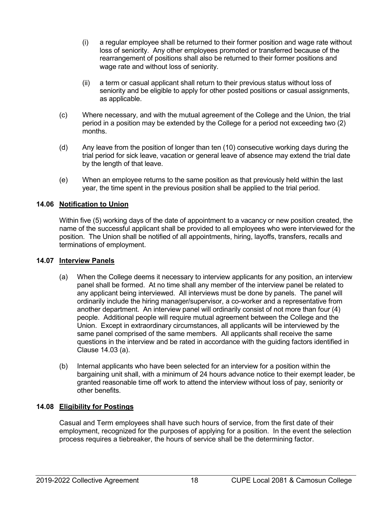- (i) a regular employee shall be returned to their former position and wage rate without loss of seniority. Any other employees promoted or transferred because of the rearrangement of positions shall also be returned to their former positions and wage rate and without loss of seniority.
- (ii) a term or casual applicant shall return to their previous status without loss of seniority and be eligible to apply for other posted positions or casual assignments, as applicable.
- (c) Where necessary, and with the mutual agreement of the College and the Union, the trial period in a position may be extended by the College for a period not exceeding two (2) months.
- (d) Any leave from the position of longer than ten (10) consecutive working days during the trial period for sick leave, vacation or general leave of absence may extend the trial date by the length of that leave.
- (e) When an employee returns to the same position as that previously held within the last year, the time spent in the previous position shall be applied to the trial period.

# <span id="page-24-0"></span>**14.06 Notification to Union**

Within five (5) working days of the date of appointment to a vacancy or new position created, the name of the successful applicant shall be provided to all employees who were interviewed for the position. The Union shall be notified of all appointments, hiring, layoffs, transfers, recalls and terminations of employment.

# <span id="page-24-1"></span>**14.07 Interview Panels**

- (a) When the College deems it necessary to interview applicants for any position, an interview panel shall be formed. At no time shall any member of the interview panel be related to any applicant being interviewed. All interviews must be done by panels. The panel will ordinarily include the hiring manager/supervisor, a co-worker and a representative from another department. An interview panel will ordinarily consist of not more than four (4) people. Additional people will require mutual agreement between the College and the Union. Except in extraordinary circumstances, all applicants will be interviewed by the same panel comprised of the same members. All applicants shall receive the same questions in the interview and be rated in accordance with the guiding factors identified in Clause 14.03 (a).
- (b) Internal applicants who have been selected for an interview for a position within the bargaining unit shall, with a minimum of 24 hours advance notice to their exempt leader, be granted reasonable time off work to attend the interview without loss of pay, seniority or other benefits.

# <span id="page-24-2"></span>**14.08 Eligibility for Postings**

Casual and Term employees shall have such hours of service, from the first date of their employment, recognized for the purposes of applying for a position. In the event the selection process requires a tiebreaker, the hours of service shall be the determining factor.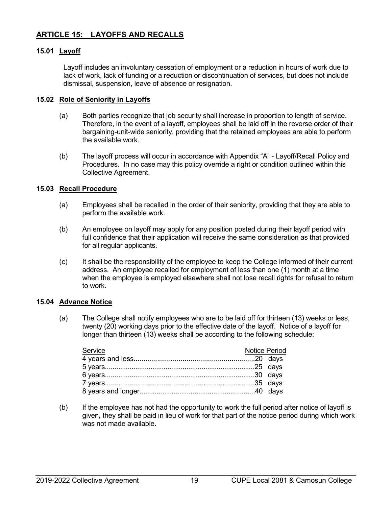# <span id="page-25-0"></span>**ARTICLE 15: LAYOFFS AND RECALLS**

# <span id="page-25-1"></span>**15.01 Layoff**

Layoff includes an involuntary cessation of employment or a reduction in hours of work due to lack of work, lack of funding or a reduction or discontinuation of services, but does not include dismissal, suspension, leave of absence or resignation.

# <span id="page-25-2"></span>**15.02 Role of Seniority in Layoffs**

- (a) Both parties recognize that job security shall increase in proportion to length of service. Therefore, in the event of a layoff, employees shall be laid off in the reverse order of their bargaining-unit-wide seniority, providing that the retained employees are able to perform the available work.
- (b) The layoff process will occur in accordance with Appendix "A" Layoff/Recall Policy and Procedures. In no case may this policy override a right or condition outlined within this Collective Agreement.

# <span id="page-25-3"></span>**15.03 Recall Procedure**

- (a) Employees shall be recalled in the order of their seniority, providing that they are able to perform the available work.
- (b) An employee on layoff may apply for any position posted during their layoff period with full confidence that their application will receive the same consideration as that provided for all regular applicants.
- (c) It shall be the responsibility of the employee to keep the College informed of their current address. An employee recalled for employment of less than one (1) month at a time when the employee is employed elsewhere shall not lose recall rights for refusal to return to work.

#### <span id="page-25-4"></span>**15.04 Advance Notice**

(a) The College shall notify employees who are to be laid off for thirteen (13) weeks or less, twenty (20) working days prior to the effective date of the layoff. Notice of a layoff for longer than thirteen (13) weeks shall be according to the following schedule:

| Service | <b>Notice Period</b> |  |
|---------|----------------------|--|
|         |                      |  |
|         |                      |  |
|         |                      |  |
|         |                      |  |
|         |                      |  |

(b) If the employee has not had the opportunity to work the full period after notice of layoff is given, they shall be paid in lieu of work for that part of the notice period during which work was not made available.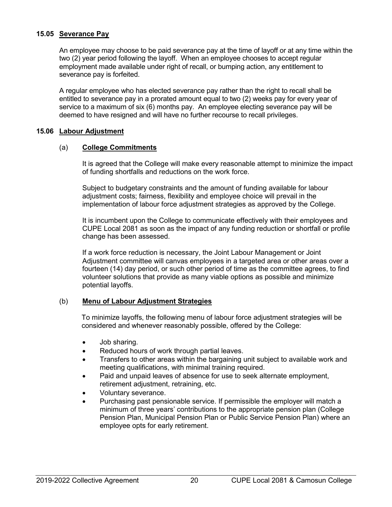# <span id="page-26-0"></span>**15.05 Severance Pay**

An employee may choose to be paid severance pay at the time of layoff or at any time within the two (2) year period following the layoff. When an employee chooses to accept regular employment made available under right of recall, or bumping action, any entitlement to severance pay is forfeited.

A regular employee who has elected severance pay rather than the right to recall shall be entitled to severance pay in a prorated amount equal to two (2) weeks pay for every year of service to a maximum of six (6) months pay. An employee electing severance pay will be deemed to have resigned and will have no further recourse to recall privileges.

# <span id="page-26-1"></span>**15.06 Labour Adjustment**

# (a) **College Commitments**

It is agreed that the College will make every reasonable attempt to minimize the impact of funding shortfalls and reductions on the work force.

Subject to budgetary constraints and the amount of funding available for labour adjustment costs; fairness, flexibility and employee choice will prevail in the implementation of labour force adjustment strategies as approved by the College.

It is incumbent upon the College to communicate effectively with their employees and CUPE Local 2081 as soon as the impact of any funding reduction or shortfall or profile change has been assessed.

If a work force reduction is necessary, the Joint Labour Management or Joint Adjustment committee will canvas employees in a targeted area or other areas over a fourteen (14) day period, or such other period of time as the committee agrees, to find volunteer solutions that provide as many viable options as possible and minimize potential layoffs.

# (b) **Menu of Labour Adjustment Strategies**

To minimize layoffs, the following menu of labour force adjustment strategies will be considered and whenever reasonably possible, offered by the College:

- Job sharing.
- Reduced hours of work through partial leaves.
- Transfers to other areas within the bargaining unit subject to available work and meeting qualifications, with minimal training required.
- Paid and unpaid leaves of absence for use to seek alternate employment, retirement adjustment, retraining, etc.
- Voluntary severance.
- Purchasing past pensionable service. If permissible the employer will match a minimum of three years' contributions to the appropriate pension plan (College Pension Plan, Municipal Pension Plan or Public Service Pension Plan) where an employee opts for early retirement.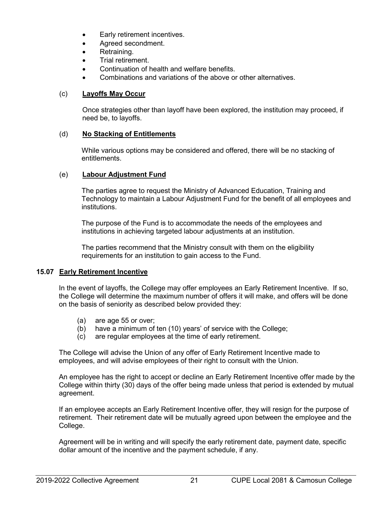- Early retirement incentives.
- Agreed secondment.
- Retraining.
- Trial retirement.
- Continuation of health and welfare benefits.
- Combinations and variations of the above or other alternatives.

# (c) **Layoffs May Occur**

Once strategies other than layoff have been explored, the institution may proceed, if need be, to layoffs.

# (d) **No Stacking of Entitlements**

While various options may be considered and offered, there will be no stacking of entitlements.

# (e) **Labour Adjustment Fund**

The parties agree to request the Ministry of Advanced Education, Training and Technology to maintain a Labour Adjustment Fund for the benefit of all employees and institutions.

The purpose of the Fund is to accommodate the needs of the employees and institutions in achieving targeted labour adjustments at an institution.

The parties recommend that the Ministry consult with them on the eligibility requirements for an institution to gain access to the Fund.

# <span id="page-27-0"></span>**15.07 Early Retirement Incentive**

In the event of layoffs, the College may offer employees an Early Retirement Incentive. If so, the College will determine the maximum number of offers it will make, and offers will be done on the basis of seniority as described below provided they:

- (a) are age 55 or over;
- (b) have a minimum of ten (10) years' of service with the College;
- (c) are regular employees at the time of early retirement.

The College will advise the Union of any offer of Early Retirement Incentive made to employees, and will advise employees of their right to consult with the Union.

An employee has the right to accept or decline an Early Retirement Incentive offer made by the College within thirty (30) days of the offer being made unless that period is extended by mutual agreement.

If an employee accepts an Early Retirement Incentive offer, they will resign for the purpose of retirement. Their retirement date will be mutually agreed upon between the employee and the College.

Agreement will be in writing and will specify the early retirement date, payment date, specific dollar amount of the incentive and the payment schedule, if any.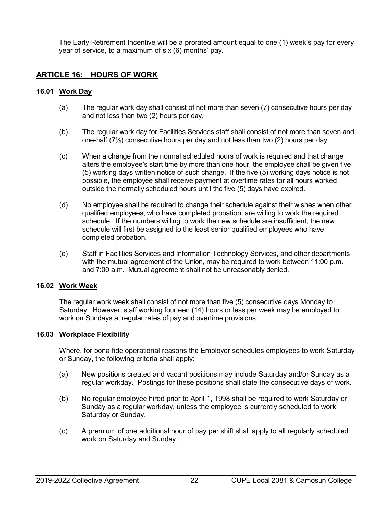The Early Retirement Incentive will be a prorated amount equal to one (1) week's pay for every year of service, to a maximum of six (6) months' pay.

# <span id="page-28-0"></span>**ARTICLE 16: HOURS OF WORK**

# <span id="page-28-1"></span>**16.01 Work Day**

- (a) The regular work day shall consist of not more than seven (7) consecutive hours per day and not less than two (2) hours per day.
- (b) The regular work day for Facilities Services staff shall consist of not more than seven and one-half  $(7\frac{1}{2})$  consecutive hours per day and not less than two  $(2)$  hours per day.
- (c) When a change from the normal scheduled hours of work is required and that change alters the employee's start time by more than one hour, the employee shall be given five (5) working days written notice of such change. If the five (5) working days notice is not possible, the employee shall receive payment at overtime rates for all hours worked outside the normally scheduled hours until the five (5) days have expired.
- (d) No employee shall be required to change their schedule against their wishes when other qualified employees, who have completed probation, are willing to work the required schedule. If the numbers willing to work the new schedule are insufficient, the new schedule will first be assigned to the least senior qualified employees who have completed probation.
- (e) Staff in Facilities Services and Information Technology Services, and other departments with the mutual agreement of the Union, may be required to work between 11:00 p.m. and 7:00 a.m. Mutual agreement shall not be unreasonably denied.

# <span id="page-28-2"></span>**16.02 Work Week**

The regular work week shall consist of not more than five (5) consecutive days Monday to Saturday. However, staff working fourteen (14) hours or less per week may be employed to work on Sundays at regular rates of pay and overtime provisions.

# <span id="page-28-3"></span>**16.03 Workplace Flexibility**

Where, for bona fide operational reasons the Employer schedules employees to work Saturday or Sunday, the following criteria shall apply:

- (a) New positions created and vacant positions may include Saturday and/or Sunday as a regular workday. Postings for these positions shall state the consecutive days of work.
- (b) No regular employee hired prior to April 1, 1998 shall be required to work Saturday or Sunday as a regular workday, unless the employee is currently scheduled to work Saturday or Sunday.
- (c) A premium of one additional hour of pay per shift shall apply to all regularly scheduled work on Saturday and Sunday.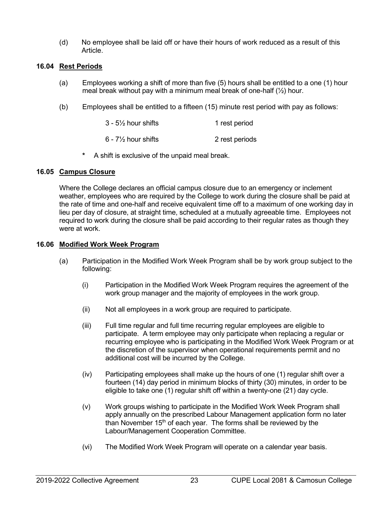(d) No employee shall be laid off or have their hours of work reduced as a result of this Article.

# <span id="page-29-0"></span>**16.04 Rest Periods**

- (a) Employees working a shift of more than five (5) hours shall be entitled to a one (1) hour meal break without pay with a minimum meal break of one-half  $(\frac{1}{2})$  hour.
- (b) Employees shall be entitled to a fifteen (15) minute rest period with pay as follows:

| 3 - 5½ hour shifts              | 1 rest period  |
|---------------------------------|----------------|
| 6 - 7 $\frac{1}{2}$ hour shifts | 2 rest periods |

**\*** A shift is exclusive of the unpaid meal break.

#### <span id="page-29-1"></span>**16.05 Campus Closure**

Where the College declares an official campus closure due to an emergency or inclement weather, employees who are required by the College to work during the closure shall be paid at the rate of time and one-half and receive equivalent time off to a maximum of one working day in lieu per day of closure, at straight time, scheduled at a mutually agreeable time. Employees not required to work during the closure shall be paid according to their regular rates as though they were at work.

#### <span id="page-29-2"></span>**16.06 Modified Work Week Program**

- (a) Participation in the Modified Work Week Program shall be by work group subject to the following:
	- (i) Participation in the Modified Work Week Program requires the agreement of the work group manager and the majority of employees in the work group.
	- (ii) Not all employees in a work group are required to participate.
	- (iii) Full time regular and full time recurring regular employees are eligible to participate. A term employee may only participate when replacing a regular or recurring employee who is participating in the Modified Work Week Program or at the discretion of the supervisor when operational requirements permit and no additional cost will be incurred by the College.
	- (iv) Participating employees shall make up the hours of one (1) regular shift over a fourteen (14) day period in minimum blocks of thirty (30) minutes, in order to be eligible to take one (1) regular shift off within a twenty-one (21) day cycle.
	- (v) Work groups wishing to participate in the Modified Work Week Program shall apply annually on the prescribed Labour Management application form no later than November 15<sup>th</sup> of each year. The forms shall be reviewed by the Labour/Management Cooperation Committee.
	- (vi) The Modified Work Week Program will operate on a calendar year basis.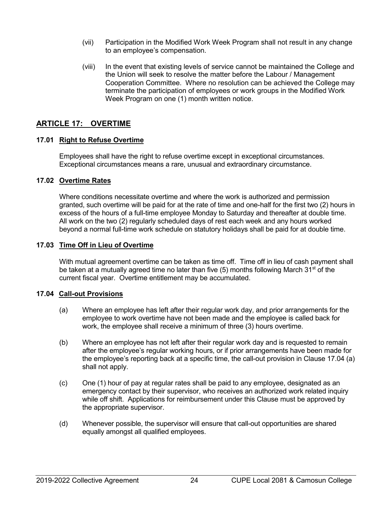- (vii) Participation in the Modified Work Week Program shall not result in any change to an employee's compensation.
- (viii) In the event that existing levels of service cannot be maintained the College and the Union will seek to resolve the matter before the Labour / Management Cooperation Committee. Where no resolution can be achieved the College may terminate the participation of employees or work groups in the Modified Work Week Program on one (1) month written notice.

# <span id="page-30-0"></span>**ARTICLE 17: OVERTIME**

# <span id="page-30-1"></span>**17.01 Right to Refuse Overtime**

Employees shall have the right to refuse overtime except in exceptional circumstances. Exceptional circumstances means a rare, unusual and extraordinary circumstance.

# <span id="page-30-2"></span>**17.02 Overtime Rates**

Where conditions necessitate overtime and where the work is authorized and permission granted, such overtime will be paid for at the rate of time and one-half for the first two (2) hours in excess of the hours of a full-time employee Monday to Saturday and thereafter at double time. All work on the two (2) regularly scheduled days of rest each week and any hours worked beyond a normal full-time work schedule on statutory holidays shall be paid for at double time.

#### <span id="page-30-3"></span>**17.03 Time Off in Lieu of Overtime**

With mutual agreement overtime can be taken as time off. Time off in lieu of cash payment shall be taken at a mutually agreed time no later than five (5) months following March 31<sup>st</sup> of the current fiscal year. Overtime entitlement may be accumulated.

# <span id="page-30-4"></span>**17.04 Call-out Provisions**

- (a) Where an employee has left after their regular work day, and prior arrangements for the employee to work overtime have not been made and the employee is called back for work, the employee shall receive a minimum of three (3) hours overtime.
- (b) Where an employee has not left after their regular work day and is requested to remain after the employee's regular working hours, or if prior arrangements have been made for the employee's reporting back at a specific time, the call-out provision in Clause 17.04 (a) shall not apply.
- (c) One (1) hour of pay at regular rates shall be paid to any employee, designated as an emergency contact by their supervisor, who receives an authorized work related inquiry while off shift. Applications for reimbursement under this Clause must be approved by the appropriate supervisor.
- (d) Whenever possible, the supervisor will ensure that call-out opportunities are shared equally amongst all qualified employees.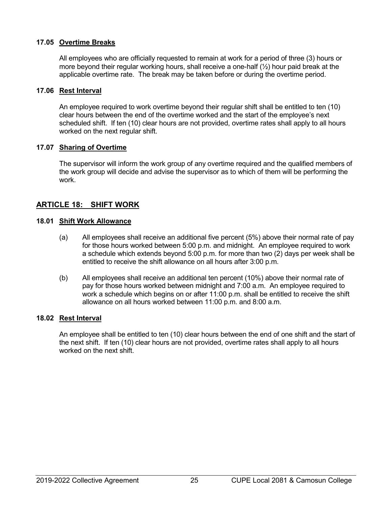# <span id="page-31-0"></span>**17.05 Overtime Breaks**

All employees who are officially requested to remain at work for a period of three (3) hours or more beyond their regular working hours, shall receive a one-half  $(\frac{1}{2})$  hour paid break at the applicable overtime rate. The break may be taken before or during the overtime period.

#### <span id="page-31-1"></span>**17.06 Rest Interval**

An employee required to work overtime beyond their regular shift shall be entitled to ten (10) clear hours between the end of the overtime worked and the start of the employee's next scheduled shift. If ten (10) clear hours are not provided, overtime rates shall apply to all hours worked on the next regular shift.

# <span id="page-31-2"></span>**17.07 Sharing of Overtime**

The supervisor will inform the work group of any overtime required and the qualified members of the work group will decide and advise the supervisor as to which of them will be performing the work.

# <span id="page-31-3"></span>**ARTICLE 18: SHIFT WORK**

#### <span id="page-31-4"></span>**18.01 Shift Work Allowance**

- (a) All employees shall receive an additional five percent (5%) above their normal rate of pay for those hours worked between 5:00 p.m. and midnight. An employee required to work a schedule which extends beyond 5:00 p.m. for more than two (2) days per week shall be entitled to receive the shift allowance on all hours after 3:00 p.m.
- (b) All employees shall receive an additional ten percent (10%) above their normal rate of pay for those hours worked between midnight and 7:00 a.m. An employee required to work a schedule which begins on or after 11:00 p.m. shall be entitled to receive the shift allowance on all hours worked between 11:00 p.m. and 8:00 a.m.

# <span id="page-31-5"></span>**18.02 Rest Interval**

An employee shall be entitled to ten (10) clear hours between the end of one shift and the start of the next shift. If ten (10) clear hours are not provided, overtime rates shall apply to all hours worked on the next shift.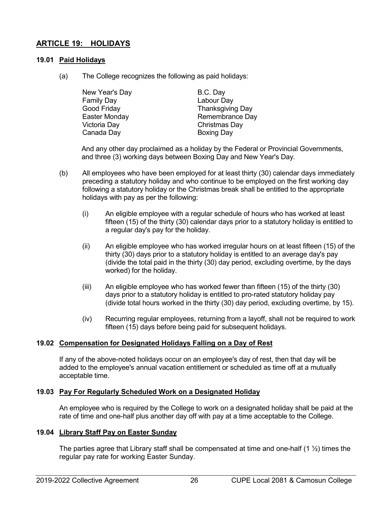# <span id="page-32-0"></span>**ARTICLE 19: HOLIDAYS**

# <span id="page-32-1"></span>**19.01 Paid Holidays**

(a) The College recognizes the following as paid holidays:

New Year's Day B.C. Day Family Day Labour Day Victoria Day Christmas Day Canada Day **Boxing Day** 

Good Friday **Thanksgiving Day** Easter Monday **Remembrance Day** 

And any other day proclaimed as a holiday by the Federal or Provincial Governments, and three (3) working days between Boxing Day and New Year's Day.

- (b) All employees who have been employed for at least thirty (30) calendar days immediately preceding a statutory holiday and who continue to be employed on the first working day following a statutory holiday or the Christmas break shall be entitled to the appropriate holidays with pay as per the following:
	- (i) An eligible employee with a regular schedule of hours who has worked at least fifteen (15) of the thirty (30) calendar days prior to a statutory holiday is entitled to a regular day's pay for the holiday.
	- (ii) An eligible employee who has worked irregular hours on at least fifteen (15) of the thirty (30) days prior to a statutory holiday is entitled to an average day's pay (divide the total paid in the thirty (30) day period, excluding overtime, by the days worked) for the holiday.
	- (iii) An eligible employee who has worked fewer than fifteen (15) of the thirty (30) days prior to a statutory holiday is entitled to pro-rated statutory holiday pay (divide total hours worked in the thirty (30) day period, excluding overtime, by 15).
	- (iv) Recurring regular employees, returning from a layoff, shall not be required to work fifteen (15) days before being paid for subsequent holidays.

# <span id="page-32-2"></span>**19.02 Compensation for Designated Holidays Falling on a Day of Rest**

If any of the above-noted holidays occur on an employee's day of rest, then that day will be added to the employee's annual vacation entitlement or scheduled as time off at a mutually acceptable time.

#### <span id="page-32-3"></span>**19.03 Pay For Regularly Scheduled Work on a Designated Holiday**

An employee who is required by the College to work on a designated holiday shall be paid at the rate of time and one-half plus another day off with pay at a time acceptable to the College.

# <span id="page-32-4"></span>**19.04 Library Staff Pay on Easter Sunday**

The parties agree that Library staff shall be compensated at time and one-half  $(1 \frac{1}{2})$  times the regular pay rate for working Easter Sunday.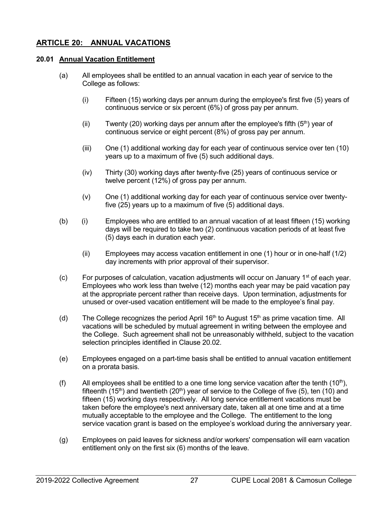# <span id="page-33-0"></span>**ARTICLE 20: ANNUAL VACATIONS**

# <span id="page-33-1"></span>**20.01 Annual Vacation Entitlement**

- (a) All employees shall be entitled to an annual vacation in each year of service to the College as follows:
	- (i) Fifteen (15) working days per annum during the employee's first five (5) years of continuous service or six percent (6%) of gross pay per annum.
	- (ii) Twenty (20) working days per annum after the employee's fifth  $(5<sup>th</sup>)$  year of continuous service or eight percent (8%) of gross pay per annum.
	- (iii) One (1) additional working day for each year of continuous service over ten (10) years up to a maximum of five (5) such additional days.
	- (iv) Thirty (30) working days after twenty-five (25) years of continuous service or twelve percent (12%) of gross pay per annum.
	- (v) One (1) additional working day for each year of continuous service over twentyfive (25) years up to a maximum of five (5) additional days.
- (b) (i) Employees who are entitled to an annual vacation of at least fifteen (15) working days will be required to take two (2) continuous vacation periods of at least five (5) days each in duration each year.
	- (ii) Employees may access vacation entitlement in one (1) hour or in one-half (1/2) day increments with prior approval of their supervisor.
- $(c)$  For purposes of calculation, vacation adjustments will occur on January 1<sup>st</sup> of each year. Employees who work less than twelve (12) months each year may be paid vacation pay at the appropriate percent rather than receive days. Upon termination, adjustments for unused or over-used vacation entitlement will be made to the employee's final pay.
- (d) The College recognizes the period April 16<sup>th</sup> to August 15<sup>th</sup> as prime vacation time. All vacations will be scheduled by mutual agreement in writing between the employee and the College. Such agreement shall not be unreasonably withheld, subject to the vacation selection principles identified in Clause 20.02.
- (e) Employees engaged on a part-time basis shall be entitled to annual vacation entitlement on a prorata basis.
- (f) All employees shall be entitled to a one time long service vacation after the tenth  $(10<sup>th</sup>)$ , fifteenth (15<sup>th</sup>) and twentieth (20<sup>th</sup>) year of service to the College of five (5), ten (10) and fifteen (15) working days respectively. All long service entitlement vacations must be taken before the employee's next anniversary date, taken all at one time and at a time mutually acceptable to the employee and the College. The entitlement to the long service vacation grant is based on the employee's workload during the anniversary year.
- (g) Employees on paid leaves for sickness and/or workers' compensation will earn vacation entitlement only on the first six (6) months of the leave.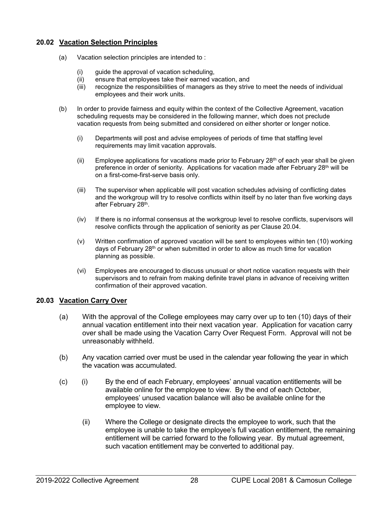# <span id="page-34-0"></span>**20.02 Vacation Selection Principles**

- (a) Vacation selection principles are intended to :
	- (i) guide the approval of vacation scheduling,
	- (ii) ensure that employees take their earned vacation, and
	- (iii) recognize the responsibilities of managers as they strive to meet the needs of individual employees and their work units.
- (b) In order to provide fairness and equity within the context of the Collective Agreement, vacation scheduling requests may be considered in the following manner, which does not preclude vacation requests from being submitted and considered on either shorter or longer notice.
	- (i) Departments will post and advise employees of periods of time that staffing level requirements may limit vacation approvals.
	- (ii) Employee applications for vacations made prior to February  $28<sup>th</sup>$  of each year shall be given preference in order of seniority. Applications for vacation made after February 28<sup>th</sup> will be on a first-come-first-serve basis only.
	- (iii) The supervisor when applicable will post vacation schedules advising of conflicting dates and the workgroup will try to resolve conflicts within itself by no later than five working days after February 28th.
	- (iv) If there is no informal consensus at the workgroup level to resolve conflicts, supervisors will resolve conflicts through the application of seniority as per Clause 20.04.
	- (v) Written confirmation of approved vacation will be sent to employees within ten (10) working days of February 28th or when submitted in order to allow as much time for vacation planning as possible.
	- (vi) Employees are encouraged to discuss unusual or short notice vacation requests with their supervisors and to refrain from making definite travel plans in advance of receiving written confirmation of their approved vacation.

# <span id="page-34-1"></span>**20.03 Vacation Carry Over**

- (a) With the approval of the College employees may carry over up to ten (10) days of their annual vacation entitlement into their next vacation year. Application for vacation carry over shall be made using the Vacation Carry Over Request Form. Approval will not be unreasonably withheld.
- (b) Any vacation carried over must be used in the calendar year following the year in which the vacation was accumulated.
- (c) (i) By the end of each February, employees' annual vacation entitlements will be available online for the employee to view. By the end of each October, employees' unused vacation balance will also be available online for the employee to view.
	- (ii) Where the College or designate directs the employee to work, such that the employee is unable to take the employee's full vacation entitlement, the remaining entitlement will be carried forward to the following year. By mutual agreement, such vacation entitlement may be converted to additional pay.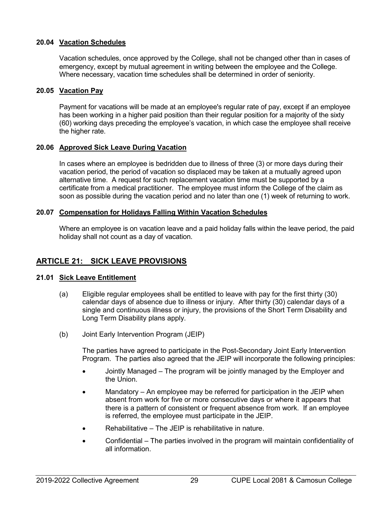# <span id="page-35-0"></span>**20.04 Vacation Schedules**

Vacation schedules, once approved by the College, shall not be changed other than in cases of emergency, except by mutual agreement in writing between the employee and the College. Where necessary, vacation time schedules shall be determined in order of seniority.

# <span id="page-35-1"></span>**20.05 Vacation Pay**

Payment for vacations will be made at an employee's regular rate of pay, except if an employee has been working in a higher paid position than their regular position for a majority of the sixty (60) working days preceding the employee's vacation, in which case the employee shall receive the higher rate.

# <span id="page-35-2"></span>**20.06 Approved Sick Leave During Vacation**

In cases where an employee is bedridden due to illness of three (3) or more days during their vacation period, the period of vacation so displaced may be taken at a mutually agreed upon alternative time. A request for such replacement vacation time must be supported by a certificate from a medical practitioner. The employee must inform the College of the claim as soon as possible during the vacation period and no later than one (1) week of returning to work.

#### <span id="page-35-3"></span>**20.07 Compensation for Holidays Falling Within Vacation Schedules**

Where an employee is on vacation leave and a paid holiday falls within the leave period, the paid holiday shall not count as a day of vacation.

# <span id="page-35-4"></span>**ARTICLE 21: SICK LEAVE PROVISIONS**

# <span id="page-35-5"></span>**21.01 Sick Leave Entitlement**

- (a) Eligible regular employees shall be entitled to leave with pay for the first thirty (30) calendar days of absence due to illness or injury. After thirty (30) calendar days of a single and continuous illness or injury, the provisions of the Short Term Disability and Long Term Disability plans apply.
- (b) Joint Early Intervention Program (JEIP)

The parties have agreed to participate in the Post-Secondary Joint Early Intervention Program. The parties also agreed that the JEIP will incorporate the following principles:

- Jointly Managed The program will be jointly managed by the Employer and the Union.
- Mandatory An employee may be referred for participation in the JEIP when absent from work for five or more consecutive days or where it appears that there is a pattern of consistent or frequent absence from work. If an employee is referred, the employee must participate in the JEIP.
- Rehabilitative The JEIP is rehabilitative in nature.
- Confidential The parties involved in the program will maintain confidentiality of all information.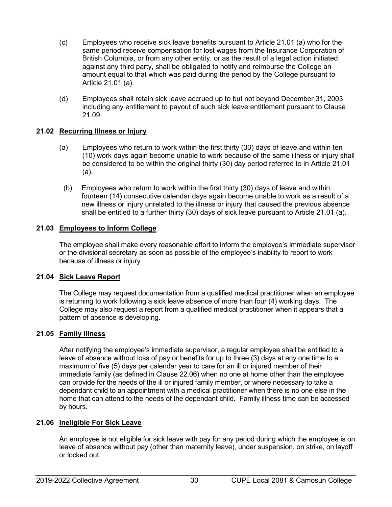- (c) Employees who receive sick leave benefits pursuant to Article 21.01 (a) who for the same period receive compensation for lost wages from the Insurance Corporation of British Columbia, or from any other entity, or as the result of a legal action initiated against any third party, shall be obligated to notify and reimburse the College an amount equal to that which was paid during the period by the College pursuant to Article 21.01 (a).
- (d) Employees shall retain sick leave accrued up to but not beyond December 31, 2003 including any entitlement to payout of such sick leave entitlement pursuant to Clause 21.09.

## **21.02 Recurring Illness or Injury**

- (a) Employees who return to work within the first thirty (30) days of leave and within ten (10) work days again become unable to work because of the same illness or injury shall be considered to be within the original thirty (30) day period referred to in Article 21.01 (a).
	- (b) Employees who return to work within the first thirty (30) days of leave and within fourteen (14) consecutive calendar days again become unable to work as a result of a new illness or injury unrelated to the illness or injury that caused the previous absence shall be entitled to a further thirty (30) days of sick leave pursuant to Article 21.01 (a).

## **21.03 Employees to Inform College**

The employee shall make every reasonable effort to inform the employee's immediate supervisor or the divisional secretary as soon as possible of the employee's inability to report to work because of illness or injury.

### **21.04 Sick Leave Report**

The College may request documentation from a qualified medical practitioner when an employee is returning to work following a sick leave absence of more than four (4) working days. The College may also request a report from a qualified medical practitioner when it appears that a pattern of absence is developing.

### **21.05 Family Illness**

After notifying the employee's immediate supervisor, a regular employee shall be entitled to a leave of absence without loss of pay or benefits for up to three (3) days at any one time to a maximum of five (5) days per calendar year to care for an ill or injured member of their immediate family (as defined in Clause 22.06) when no one at home other than the employee can provide for the needs of the ill or injured family member, or where necessary to take a dependant child to an appointment with a medical practitioner when there is no one else in the home that can attend to the needs of the dependant child. Family illness time can be accessed by hours.

### **21.06 Ineligible For Sick Leave**

An employee is not eligible for sick leave with pay for any period during which the employee is on leave of absence without pay (other than maternity leave), under suspension, on strike, on layoff or locked out.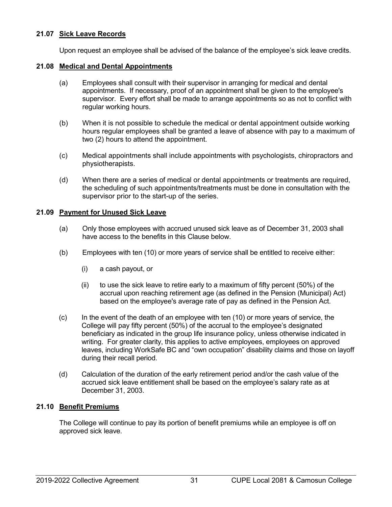### **21.07 Sick Leave Records**

Upon request an employee shall be advised of the balance of the employee's sick leave credits.

### **21.08 Medical and Dental Appointments**

- (a) Employees shall consult with their supervisor in arranging for medical and dental appointments. If necessary, proof of an appointment shall be given to the employee's supervisor. Every effort shall be made to arrange appointments so as not to conflict with regular working hours.
- (b) When it is not possible to schedule the medical or dental appointment outside working hours regular employees shall be granted a leave of absence with pay to a maximum of two (2) hours to attend the appointment.
- (c) Medical appointments shall include appointments with psychologists, chiropractors and physiotherapists.
- (d) When there are a series of medical or dental appointments or treatments are required, the scheduling of such appointments/treatments must be done in consultation with the supervisor prior to the start-up of the series.

### **21.09 Payment for Unused Sick Leave**

- (a) Only those employees with accrued unused sick leave as of December 31, 2003 shall have access to the benefits in this Clause below.
- (b) Employees with ten (10) or more years of service shall be entitled to receive either:
	- (i) a cash payout, or
	- $(i)$  to use the sick leave to retire early to a maximum of fifty percent (50%) of the accrual upon reaching retirement age (as defined in the Pension (Municipal) Act) based on the employee's average rate of pay as defined in the Pension Act.
- (c) In the event of the death of an employee with ten (10) or more years of service, the College will pay fifty percent (50%) of the accrual to the employee's designated beneficiary as indicated in the group life insurance policy, unless otherwise indicated in writing. For greater clarity, this applies to active employees, employees on approved leaves, including WorkSafe BC and "own occupation" disability claims and those on layoff during their recall period.
- (d) Calculation of the duration of the early retirement period and/or the cash value of the accrued sick leave entitlement shall be based on the employee's salary rate as at December 31, 2003.

## **21.10 Benefit Premiums**

The College will continue to pay its portion of benefit premiums while an employee is off on approved sick leave.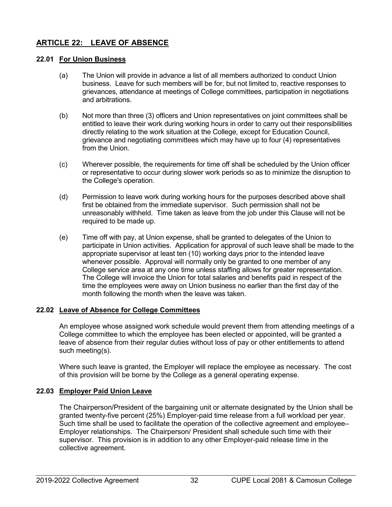# **ARTICLE 22: LEAVE OF ABSENCE**

## **22.01 For Union Business**

- (a) The Union will provide in advance a list of all members authorized to conduct Union business. Leave for such members will be for, but not limited to, reactive responses to grievances, attendance at meetings of College committees, participation in negotiations and arbitrations.
- (b) Not more than three (3) officers and Union representatives on joint committees shall be entitled to leave their work during working hours in order to carry out their responsibilities directly relating to the work situation at the College, except for Education Council, grievance and negotiating committees which may have up to four (4) representatives from the Union.
- (c) Wherever possible, the requirements for time off shall be scheduled by the Union officer or representative to occur during slower work periods so as to minimize the disruption to the College's operation.
- (d) Permission to leave work during working hours for the purposes described above shall first be obtained from the immediate supervisor. Such permission shall not be unreasonably withheld. Time taken as leave from the job under this Clause will not be required to be made up.
- (e) Time off with pay, at Union expense, shall be granted to delegates of the Union to participate in Union activities. Application for approval of such leave shall be made to the appropriate supervisor at least ten (10) working days prior to the intended leave whenever possible. Approval will normally only be granted to one member of any College service area at any one time unless staffing allows for greater representation. The College will invoice the Union for total salaries and benefits paid in respect of the time the employees were away on Union business no earlier than the first day of the month following the month when the leave was taken.

## **22.02 Leave of Absence for College Committees**

An employee whose assigned work schedule would prevent them from attending meetings of a College committee to which the employee has been elected or appointed, will be granted a leave of absence from their regular duties without loss of pay or other entitlements to attend such meeting(s).

Where such leave is granted, the Employer will replace the employee as necessary. The cost of this provision will be borne by the College as a general operating expense.

### **22.03 Employer Paid Union Leave**

The Chairperson/President of the bargaining unit or alternate designated by the Union shall be granted twenty-five percent (25%) Employer-paid time release from a full workload per year. Such time shall be used to facilitate the operation of the collective agreement and employee– Employer relationships. The Chairperson/ President shall schedule such time with their supervisor. This provision is in addition to any other Employer-paid release time in the collective agreement.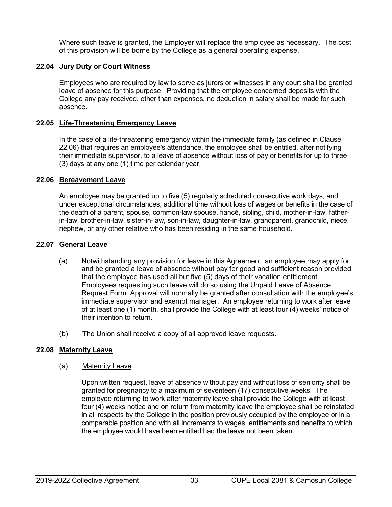Where such leave is granted, the Employer will replace the employee as necessary. The cost of this provision will be borne by the College as a general operating expense.

### **22.04 Jury Duty or Court Witness**

Employees who are required by law to serve as jurors or witnesses in any court shall be granted leave of absence for this purpose. Providing that the employee concerned deposits with the College any pay received, other than expenses, no deduction in salary shall be made for such absence.

### **22.05 Life-Threatening Emergency Leave**

In the case of a life-threatening emergency within the immediate family (as defined in Clause 22.06) that requires an employee's attendance, the employee shall be entitled, after notifying their immediate supervisor, to a leave of absence without loss of pay or benefits for up to three (3) days at any one (1) time per calendar year.

#### **22.06 Bereavement Leave**

An employee may be granted up to five (5) regularly scheduled consecutive work days, and under exceptional circumstances, additional time without loss of wages or benefits in the case of the death of a parent, spouse, common-law spouse, fiancé, sibling, child, mother-in-law, fatherin-law, brother-in-law, sister-in-law, son-in-law, daughter-in-law, grandparent, grandchild, niece, nephew, or any other relative who has been residing in the same household.

### **22.07 General Leave**

- (a) Notwithstanding any provision for leave in this Agreement, an employee may apply for and be granted a leave of absence without pay for good and sufficient reason provided that the employee has used all but five (5) days of their vacation entitlement. Employees requesting such leave will do so using the Unpaid Leave of Absence Request Form. Approval will normally be granted after consultation with the employee's immediate supervisor and exempt manager. An employee returning to work after leave of at least one (1) month, shall provide the College with at least four (4) weeks' notice of their intention to return.
- (b) The Union shall receive a copy of all approved leave requests.

#### **22.08 Maternity Leave**

#### (a) Maternity Leave

Upon written request, leave of absence without pay and without loss of seniority shall be granted for pregnancy to a maximum of seventeen (17) consecutive weeks. The employee returning to work after maternity leave shall provide the College with at least four (4) weeks notice and on return from maternity leave the employee shall be reinstated in all respects by the College in the position previously occupied by the employee or in a comparable position and with all increments to wages, entitlements and benefits to which the employee would have been entitled had the leave not been taken.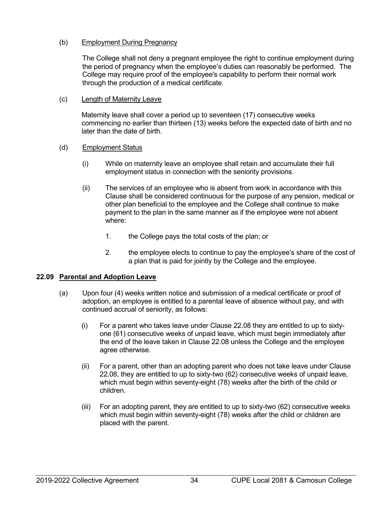## (b) Employment During Pregnancy

The College shall not deny a pregnant employee the right to continue employment during the period of pregnancy when the employee's duties can reasonably be performed. The College may require proof of the employee's capability to perform their normal work through the production of a medical certificate.

### (c) Length of Maternity Leave

Maternity leave shall cover a period up to seventeen (17) consecutive weeks commencing no earlier than thirteen (13) weeks before the expected date of birth and no later than the date of birth.

## (d) Employment Status

- (i) While on maternity leave an employee shall retain and accumulate their full employment status in connection with the seniority provisions.
- (ii) The services of an employee who is absent from work in accordance with this Clause shall be considered continuous for the purpose of any pension, medical or other plan beneficial to the employee and the College shall continue to make payment to the plan in the same manner as if the employee were not absent where:
	- 1. the College pays the total costs of the plan; or
	- 2. the employee elects to continue to pay the employee's share of the cost of a plan that is paid for jointly by the College and the employee.

## **22.09 Parental and Adoption Leave**

- (a) Upon four (4) weeks written notice and submission of a medical certificate or proof of adoption, an employee is entitled to a parental leave of absence without pay, and with continued accrual of seniority, as follows:
	- (i) For a parent who takes leave under Clause 22.08 they are entitled to up to sixtyone (61) consecutive weeks of unpaid leave, which must begin immediately after the end of the leave taken in Clause 22.08 unless the College and the employee agree otherwise.
	- (ii) For a parent, other than an adopting parent who does not take leave under Clause 22.08, they are entitled to up to sixty-two (62) consecutive weeks of unpaid leave, which must begin within seventy-eight (78) weeks after the birth of the child or children.
	- (iii) For an adopting parent, they are entitled to up to sixty-two (62) consecutive weeks which must begin within seventy-eight (78) weeks after the child or children are placed with the parent.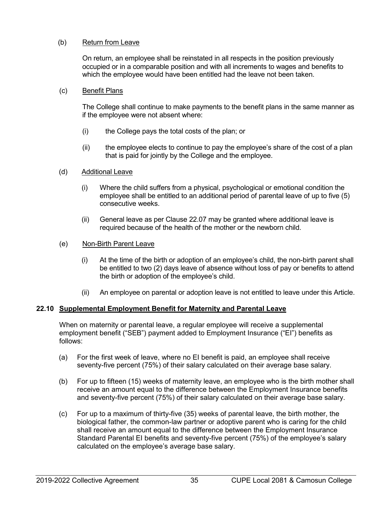## (b) Return from Leave

On return, an employee shall be reinstated in all respects in the position previously occupied or in a comparable position and with all increments to wages and benefits to which the employee would have been entitled had the leave not been taken.

### (c) Benefit Plans

The College shall continue to make payments to the benefit plans in the same manner as if the employee were not absent where:

- (i) the College pays the total costs of the plan; or
- (ii) the employee elects to continue to pay the employee's share of the cost of a plan that is paid for jointly by the College and the employee.

### (d) Additional Leave

- (i) Where the child suffers from a physical, psychological or emotional condition the employee shall be entitled to an additional period of parental leave of up to five (5) consecutive weeks.
- (ii) General leave as per Clause 22.07 may be granted where additional leave is required because of the health of the mother or the newborn child.

### (e) Non-Birth Parent Leave

- (i) At the time of the birth or adoption of an employee's child, the non-birth parent shall be entitled to two (2) days leave of absence without loss of pay or benefits to attend the birth or adoption of the employee's child.
- (ii) An employee on parental or adoption leave is not entitled to leave under this Article.

### **22.10 Supplemental Employment Benefit for Maternity and Parental Leave**

When on maternity or parental leave, a regular employee will receive a supplemental employment benefit ("SEB") payment added to Employment Insurance ("EI") benefits as follows:

- (a) For the first week of leave, where no EI benefit is paid, an employee shall receive seventy-five percent (75%) of their salary calculated on their average base salary.
- (b) For up to fifteen (15) weeks of maternity leave, an employee who is the birth mother shall receive an amount equal to the difference between the Employment Insurance benefits and seventy-five percent (75%) of their salary calculated on their average base salary.
- (c) For up to a maximum of thirty-five (35) weeks of parental leave, the birth mother, the biological father, the common-law partner or adoptive parent who is caring for the child shall receive an amount equal to the difference between the Employment Insurance Standard Parental EI benefits and seventy-five percent (75%) of the employee's salary calculated on the employee's average base salary.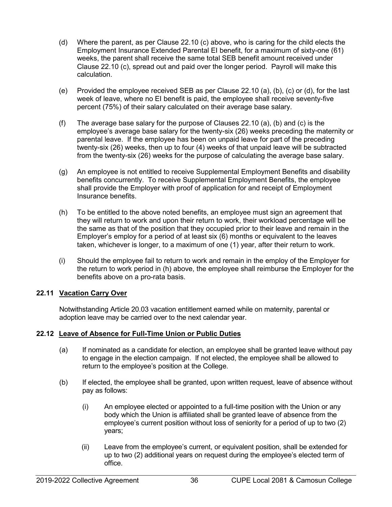- (d) Where the parent, as per Clause 22.10 (c) above, who is caring for the child elects the Employment Insurance Extended Parental EI benefit, for a maximum of sixty-one (61) weeks, the parent shall receive the same total SEB benefit amount received under Clause 22.10 (c), spread out and paid over the longer period. Payroll will make this calculation.
- (e) Provided the employee received SEB as per Clause 22.10 (a), (b), (c) or (d), for the last week of leave, where no EI benefit is paid, the employee shall receive seventy-five percent (75%) of their salary calculated on their average base salary.
- (f) The average base salary for the purpose of Clauses 22.10 (a), (b) and (c) is the employee's average base salary for the twenty-six (26) weeks preceding the maternity or parental leave. If the employee has been on unpaid leave for part of the preceding twenty-six (26) weeks, then up to four (4) weeks of that unpaid leave will be subtracted from the twenty-six (26) weeks for the purpose of calculating the average base salary.
- (g) An employee is not entitled to receive Supplemental Employment Benefits and disability benefits concurrently. To receive Supplemental Employment Benefits, the employee shall provide the Employer with proof of application for and receipt of Employment Insurance benefits.
- (h) To be entitled to the above noted benefits, an employee must sign an agreement that they will return to work and upon their return to work, their workload percentage will be the same as that of the position that they occupied prior to their leave and remain in the Employer's employ for a period of at least six (6) months or equivalent to the leaves taken, whichever is longer, to a maximum of one (1) year, after their return to work.
- (i) Should the employee fail to return to work and remain in the employ of the Employer for the return to work period in (h) above, the employee shall reimburse the Employer for the benefits above on a pro-rata basis.

### **22.11 Vacation Carry Over**

Notwithstanding Article 20.03 vacation entitlement earned while on maternity, parental or adoption leave may be carried over to the next calendar year.

### **22.12 Leave of Absence for Full-Time Union or Public Duties**

- (a) If nominated as a candidate for election, an employee shall be granted leave without pay to engage in the election campaign. If not elected, the employee shall be allowed to return to the employee's position at the College.
- (b) If elected, the employee shall be granted, upon written request, leave of absence without pay as follows:
	- (i) An employee elected or appointed to a full-time position with the Union or any body which the Union is affiliated shall be granted leave of absence from the employee's current position without loss of seniority for a period of up to two (2) years;
	- (ii) Leave from the employee's current, or equivalent position, shall be extended for up to two (2) additional years on request during the employee's elected term of office.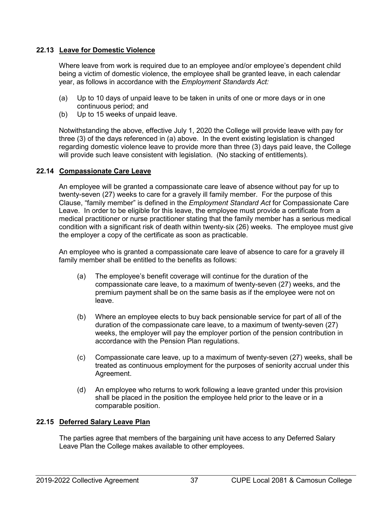## **22.13 Leave for Domestic Violence**

Where leave from work is required due to an employee and/or employee's dependent child being a victim of domestic violence, the employee shall be granted leave, in each calendar year, as follows in accordance with the *Employment Standards Act:*

- (a) Up to 10 days of unpaid leave to be taken in units of one or more days or in one continuous period; and
- (b) Up to 15 weeks of unpaid leave.

Notwithstanding the above, effective July 1, 2020 the College will provide leave with pay for three (3) of the days referenced in (a) above. In the event existing legislation is changed regarding domestic violence leave to provide more than three (3) days paid leave, the College will provide such leave consistent with legislation. (No stacking of entitlements).

## **22.14 Compassionate Care Leave**

An employee will be granted a compassionate care leave of absence without pay for up to twenty-seven (27) weeks to care for a gravely ill family member. For the purpose of this Clause, "family member" is defined in the *Employment Standard Act* for Compassionate Care Leave. In order to be eligible for this leave, the employee must provide a certificate from a medical practitioner or nurse practitioner stating that the family member has a serious medical condition with a significant risk of death within twenty-six (26) weeks. The employee must give the employer a copy of the certificate as soon as practicable.

An employee who is granted a compassionate care leave of absence to care for a gravely ill family member shall be entitled to the benefits as follows:

- (a) The employee's benefit coverage will continue for the duration of the compassionate care leave, to a maximum of twenty-seven (27) weeks, and the premium payment shall be on the same basis as if the employee were not on leave.
- (b) Where an employee elects to buy back pensionable service for part of all of the duration of the compassionate care leave, to a maximum of twenty-seven (27) weeks, the employer will pay the employer portion of the pension contribution in accordance with the Pension Plan regulations.
- (c) Compassionate care leave, up to a maximum of twenty-seven (27) weeks, shall be treated as continuous employment for the purposes of seniority accrual under this Agreement.
- (d) An employee who returns to work following a leave granted under this provision shall be placed in the position the employee held prior to the leave or in a comparable position.

### **22.15 Deferred Salary Leave Plan**

The parties agree that members of the bargaining unit have access to any Deferred Salary Leave Plan the College makes available to other employees.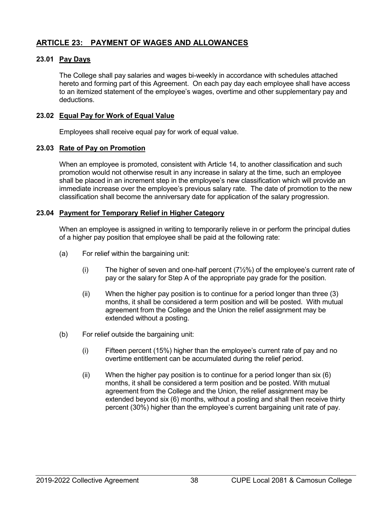# **ARTICLE 23: PAYMENT OF WAGES AND ALLOWANCES**

### **23.01 Pay Days**

The College shall pay salaries and wages bi-weekly in accordance with schedules attached hereto and forming part of this Agreement. On each pay day each employee shall have access to an itemized statement of the employee's wages, overtime and other supplementary pay and deductions.

### **23.02 Equal Pay for Work of Equal Value**

Employees shall receive equal pay for work of equal value.

### **23.03 Rate of Pay on Promotion**

When an employee is promoted, consistent with Article 14, to another classification and such promotion would not otherwise result in any increase in salary at the time, such an employee shall be placed in an increment step in the employee's new classification which will provide an immediate increase over the employee's previous salary rate. The date of promotion to the new classification shall become the anniversary date for application of the salary progression.

## **23.04 Payment for Temporary Relief in Higher Category**

When an employee is assigned in writing to temporarily relieve in or perform the principal duties of a higher pay position that employee shall be paid at the following rate:

- (a) For relief within the bargaining unit:
	- (i) The higher of seven and one-half percent  $(7/2%)$  of the employee's current rate of pay or the salary for Step A of the appropriate pay grade for the position.
	- (ii) When the higher pay position is to continue for a period longer than three (3) months, it shall be considered a term position and will be posted. With mutual agreement from the College and the Union the relief assignment may be extended without a posting.
- (b) For relief outside the bargaining unit:
	- (i) Fifteen percent (15%) higher than the employee's current rate of pay and no overtime entitlement can be accumulated during the relief period.
	- (ii) When the higher pay position is to continue for a period longer than six (6) months, it shall be considered a term position and be posted. With mutual agreement from the College and the Union, the relief assignment may be extended beyond six (6) months, without a posting and shall then receive thirty percent (30%) higher than the employee's current bargaining unit rate of pay.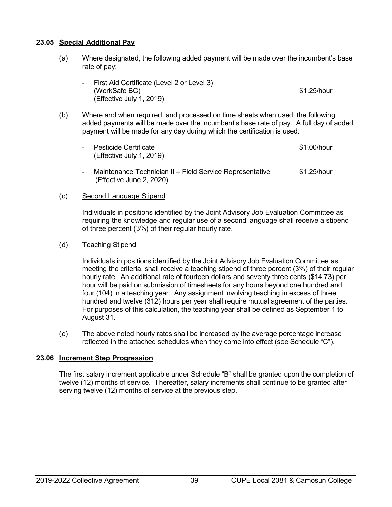## **23.05 Special Additional Pay**

- (a) Where designated, the following added payment will be made over the incumbent's base rate of pay:
	- First Aid Certificate (Level 2 or Level 3) (WorkSafe BC)  $$1.25/hour$ (Effective July 1, 2019)
- (b) Where and when required, and processed on time sheets when used, the following added payments will be made over the incumbent's base rate of pay. A full day of added payment will be made for any day during which the certification is used.
	- Pesticide Certificate **\$1.00/hour** (Effective July 1, 2019)
	- Maintenance Technician II Field Service Representative \$1.25/hour (Effective June 2, 2020)

### (c) Second Language Stipend

Individuals in positions identified by the Joint Advisory Job Evaluation Committee as requiring the knowledge and regular use of a second language shall receive a stipend of three percent (3%) of their regular hourly rate.

### (d) Teaching Stipend

Individuals in positions identified by the Joint Advisory Job Evaluation Committee as meeting the criteria, shall receive a teaching stipend of three percent (3%) of their regular hourly rate. An additional rate of fourteen dollars and seventy three cents (\$14.73) per hour will be paid on submission of timesheets for any hours beyond one hundred and four (104) in a teaching year. Any assignment involving teaching in excess of three hundred and twelve (312) hours per year shall require mutual agreement of the parties. For purposes of this calculation, the teaching year shall be defined as September 1 to August 31.

(e) The above noted hourly rates shall be increased by the average percentage increase reflected in the attached schedules when they come into effect (see Schedule "C").

### **23.06 Increment Step Progression**

The first salary increment applicable under Schedule "B" shall be granted upon the completion of twelve (12) months of service. Thereafter, salary increments shall continue to be granted after serving twelve (12) months of service at the previous step.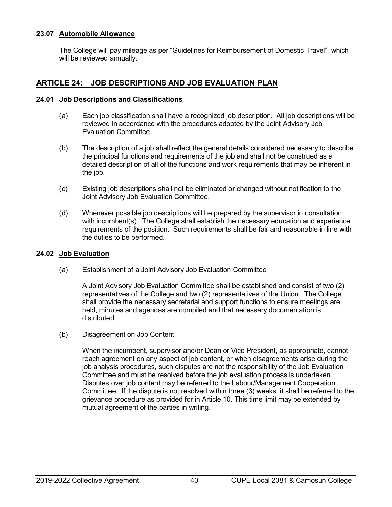### **23.07 Automobile Allowance**

The College will pay mileage as per "Guidelines for Reimbursement of Domestic Travel", which will be reviewed annually.

# **ARTICLE 24: JOB DESCRIPTIONS AND JOB EVALUATION PLAN**

## **24.01 Job Descriptions and Classifications**

- (a) Each job classification shall have a recognized job description. All job descriptions will be reviewed in accordance with the procedures adopted by the Joint Advisory Job Evaluation Committee.
- (b) The description of a job shall reflect the general details considered necessary to describe the principal functions and requirements of the job and shall not be construed as a detailed description of all of the functions and work requirements that may be inherent in the job.
- (c) Existing job descriptions shall not be eliminated or changed without notification to the Joint Advisory Job Evaluation Committee.
- (d) Whenever possible job descriptions will be prepared by the supervisor in consultation with incumbent(s). The College shall establish the necessary education and experience requirements of the position. Such requirements shall be fair and reasonable in line with the duties to be performed.

### **24.02 Job Evaluation**

### (a) Establishment of a Joint Advisory Job Evaluation Committee

A Joint Advisory Job Evaluation Committee shall be established and consist of two (2) representatives of the College and two (2) representatives of the Union. The College shall provide the necessary secretarial and support functions to ensure meetings are held, minutes and agendas are compiled and that necessary documentation is distributed.

### (b) Disagreement on Job Content

When the incumbent, supervisor and/or Dean or Vice President, as appropriate, cannot reach agreement on any aspect of job content, or when disagreements arise during the job analysis procedures, such disputes are not the responsibility of the Job Evaluation Committee and must be resolved before the job evaluation process is undertaken. Disputes over job content may be referred to the Labour/Management Cooperation Committee. If the dispute is not resolved within three (3) weeks, it shall be referred to the grievance procedure as provided for in Article 10. This time limit may be extended by mutual agreement of the parties in writing.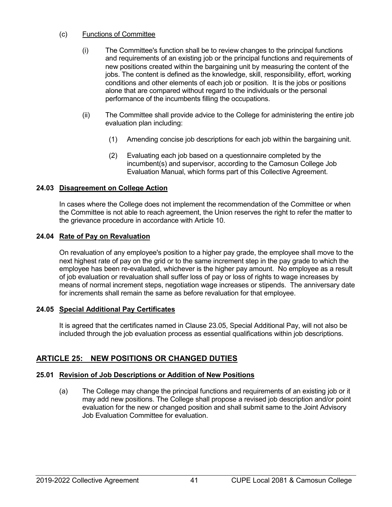## (c) Functions of Committee

- (i) The Committee's function shall be to review changes to the principal functions and requirements of an existing job or the principal functions and requirements of new positions created within the bargaining unit by measuring the content of the jobs. The content is defined as the knowledge, skill, responsibility, effort, working conditions and other elements of each job or position. It is the jobs or positions alone that are compared without regard to the individuals or the personal performance of the incumbents filling the occupations.
- (ii) The Committee shall provide advice to the College for administering the entire job evaluation plan including:
	- (1) Amending concise job descriptions for each job within the bargaining unit.
	- (2) Evaluating each job based on a questionnaire completed by the incumbent(s) and supervisor, according to the Camosun College Job Evaluation Manual, which forms part of this Collective Agreement.

## **24.03 Disagreement on College Action**

In cases where the College does not implement the recommendation of the Committee or when the Committee is not able to reach agreement, the Union reserves the right to refer the matter to the grievance procedure in accordance with Article 10.

## **24.04 Rate of Pay on Revaluation**

On revaluation of any employee's position to a higher pay grade, the employee shall move to the next highest rate of pay on the grid or to the same increment step in the pay grade to which the employee has been re-evaluated, whichever is the higher pay amount. No employee as a result of job evaluation or revaluation shall suffer loss of pay or loss of rights to wage increases by means of normal increment steps, negotiation wage increases or stipends. The anniversary date for increments shall remain the same as before revaluation for that employee.

## **24.05 Special Additional Pay Certificates**

It is agreed that the certificates named in Clause 23.05, Special Additional Pay, will not also be included through the job evaluation process as essential qualifications within job descriptions.

# **ARTICLE 25: NEW POSITIONS OR CHANGED DUTIES**

# **25.01 Revision of Job Descriptions or Addition of New Positions**

(a) The College may change the principal functions and requirements of an existing job or it may add new positions. The College shall propose a revised job description and/or point evaluation for the new or changed position and shall submit same to the Joint Advisory Job Evaluation Committee for evaluation.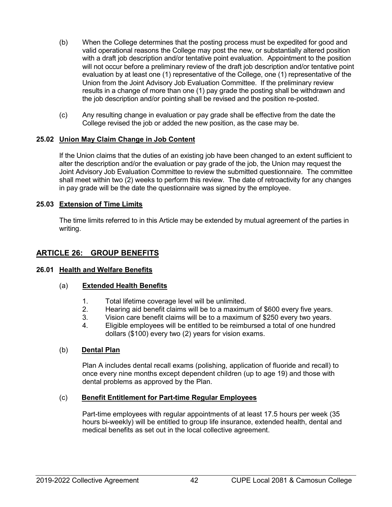- (b) When the College determines that the posting process must be expedited for good and valid operational reasons the College may post the new, or substantially altered position with a draft job description and/or tentative point evaluation. Appointment to the position will not occur before a preliminary review of the draft job description and/or tentative point evaluation by at least one (1) representative of the College, one (1) representative of the Union from the Joint Advisory Job Evaluation Committee. If the preliminary review results in a change of more than one (1) pay grade the posting shall be withdrawn and the job description and/or pointing shall be revised and the position re-posted.
- (c) Any resulting change in evaluation or pay grade shall be effective from the date the College revised the job or added the new position, as the case may be.

## **25.02 Union May Claim Change in Job Content**

If the Union claims that the duties of an existing job have been changed to an extent sufficient to alter the description and/or the evaluation or pay grade of the job, the Union may request the Joint Advisory Job Evaluation Committee to review the submitted questionnaire. The committee shall meet within two (2) weeks to perform this review. The date of retroactivity for any changes in pay grade will be the date the questionnaire was signed by the employee.

## **25.03 Extension of Time Limits**

The time limits referred to in this Article may be extended by mutual agreement of the parties in writing.

# **ARTICLE 26: GROUP BENEFITS**

### **26.01 Health and Welfare Benefits**

### (a) **Extended Health Benefits**

- 1. Total lifetime coverage level will be unlimited.
- 2. Hearing aid benefit claims will be to a maximum of \$600 every five years.
- 3. Vision care benefit claims will be to a maximum of \$250 every two years.<br>4. Eligible employees will be entitled to be reimbursed a total of one hundred
- 4. Eligible employees will be entitled to be reimbursed a total of one hundred dollars (\$100) every two (2) years for vision exams.

### (b) **Dental Plan**

Plan A includes dental recall exams (polishing, application of fluoride and recall) to once every nine months except dependent children (up to age 19) and those with dental problems as approved by the Plan.

### (c) **Benefit Entitlement for Part-time Regular Employees**

Part-time employees with regular appointments of at least 17.5 hours per week (35 hours bi-weekly) will be entitled to group life insurance, extended health, dental and medical benefits as set out in the local collective agreement.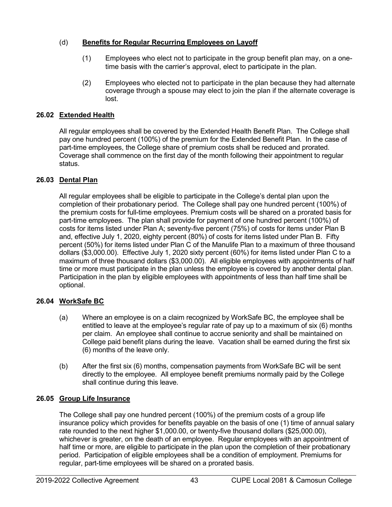# (d) **Benefits for Regular Recurring Employees on Layoff**

- (1) Employees who elect not to participate in the group benefit plan may, on a onetime basis with the carrier's approval, elect to participate in the plan.
- (2) Employees who elected not to participate in the plan because they had alternate coverage through a spouse may elect to join the plan if the alternate coverage is lost.

# **26.02 Extended Health**

All regular employees shall be covered by the Extended Health Benefit Plan. The College shall pay one hundred percent (100%) of the premium for the Extended Benefit Plan. In the case of part-time employees, the College share of premium costs shall be reduced and prorated. Coverage shall commence on the first day of the month following their appointment to regular status.

# **26.03 Dental Plan**

All regular employees shall be eligible to participate in the College's dental plan upon the completion of their probationary period. The College shall pay one hundred percent (100%) of the premium costs for full-time employees. Premium costs will be shared on a prorated basis for part-time employees. The plan shall provide for payment of one hundred percent (100%) of costs for items listed under Plan A; seventy-five percent (75%) of costs for items under Plan B and, effective July 1, 2020, eighty percent (80%) of costs for items listed under Plan B. Fifty percent (50%) for items listed under Plan C of the Manulife Plan to a maximum of three thousand dollars (\$3,000.00). Effective July 1, 2020 sixty percent (60%) for items listed under Plan C to a maximum of three thousand dollars (\$3,000.00). All eligible employees with appointments of half time or more must participate in the plan unless the employee is covered by another dental plan. Participation in the plan by eligible employees with appointments of less than half time shall be optional.

# **26.04 WorkSafe BC**

- (a) Where an employee is on a claim recognized by WorkSafe BC, the employee shall be entitled to leave at the employee's regular rate of pay up to a maximum of six (6) months per claim. An employee shall continue to accrue seniority and shall be maintained on College paid benefit plans during the leave. Vacation shall be earned during the first six (6) months of the leave only.
- (b) After the first six (6) months, compensation payments from WorkSafe BC will be sent directly to the employee. All employee benefit premiums normally paid by the College shall continue during this leave.

# **26.05 Group Life Insurance**

The College shall pay one hundred percent (100%) of the premium costs of a group life insurance policy which provides for benefits payable on the basis of one (1) time of annual salary rate rounded to the next higher \$1,000.00, or twenty-five thousand dollars (\$25,000.00), whichever is greater, on the death of an employee. Regular employees with an appointment of half time or more, are eligible to participate in the plan upon the completion of their probationary period. Participation of eligible employees shall be a condition of employment. Premiums for regular, part-time employees will be shared on a prorated basis.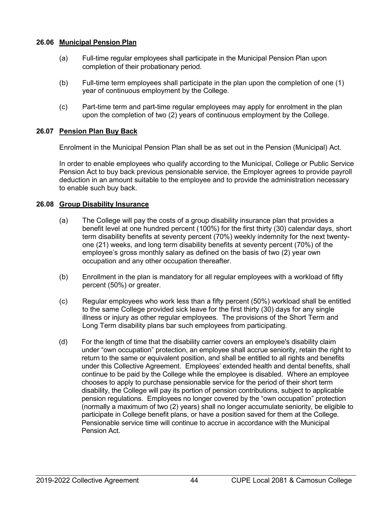## **26.06 Municipal Pension Plan**

- (a) Full-time regular employees shall participate in the Municipal Pension Plan upon completion of their probationary period.
- (b) Full-time term employees shall participate in the plan upon the completion of one (1) year of continuous employment by the College.
- (c) Part-time term and part-time regular employees may apply for enrolment in the plan upon the completion of two (2) years of continuous employment by the College.

## **26.07 Pension Plan Buy Back**

Enrolment in the Municipal Pension Plan shall be as set out in the Pension (Municipal) Act.

In order to enable employees who qualify according to the Municipal, College or Public Service Pension Act to buy back previous pensionable service, the Employer agrees to provide payroll deduction in an amount suitable to the employee and to provide the administration necessary to enable such buy back.

### **26.08 Group Disability Insurance**

- (a) The College will pay the costs of a group disability insurance plan that provides a benefit level at one hundred percent (100%) for the first thirty (30) calendar days, short term disability benefits at seventy percent (70%) weekly indemnity for the next twentyone (21) weeks, and long term disability benefits at seventy percent (70%) of the employee's gross monthly salary as defined on the basis of two (2) year own occupation and any other occupation thereafter.
- (b) Enrollment in the plan is mandatory for all regular employees with a workload of fifty percent (50%) or greater.
- (c) Regular employees who work less than a fifty percent (50%) workload shall be entitled to the same College provided sick leave for the first thirty (30) days for any single illness or injury as other regular employees. The provisions of the Short Term and Long Term disability plans bar such employees from participating.
- (d) For the length of time that the disability carrier covers an employee's disability claim under "own occupation" protection, an employee shall accrue seniority, retain the right to return to the same or equivalent position, and shall be entitled to all rights and benefits under this Collective Agreement. Employees' extended health and dental benefits, shall continue to be paid by the College while the employee is disabled. Where an employee chooses to apply to purchase pensionable service for the period of their short term disability, the College will pay its portion of pension contributions, subject to applicable pension regulations. Employees no longer covered by the "own occupation" protection (normally a maximum of two (2) years) shall no longer accumulate seniority, be eligible to participate in College benefit plans, or have a position saved for them at the College. Pensionable service time will continue to accrue in accordance with the Municipal Pension Act.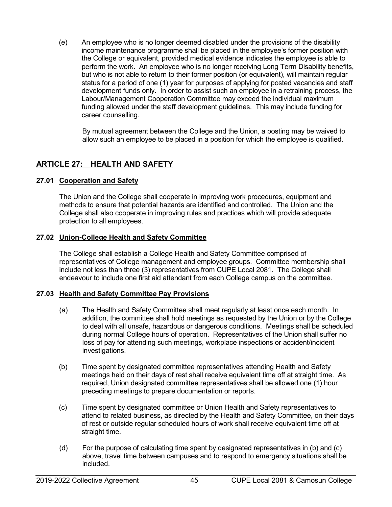(e) An employee who is no longer deemed disabled under the provisions of the disability income maintenance programme shall be placed in the employee's former position with the College or equivalent, provided medical evidence indicates the employee is able to perform the work. An employee who is no longer receiving Long Term Disability benefits, but who is not able to return to their former position (or equivalent), will maintain regular status for a period of one (1) year for purposes of applying for posted vacancies and staff development funds only. In order to assist such an employee in a retraining process, the Labour/Management Cooperation Committee may exceed the individual maximum funding allowed under the staff development guidelines. This may include funding for career counselling.

By mutual agreement between the College and the Union, a posting may be waived to allow such an employee to be placed in a position for which the employee is qualified.

## **ARTICLE 27: HEALTH AND SAFETY**

### **27.01 Cooperation and Safety**

The Union and the College shall cooperate in improving work procedures, equipment and methods to ensure that potential hazards are identified and controlled. The Union and the College shall also cooperate in improving rules and practices which will provide adequate protection to all employees.

### **27.02 Union-College Health and Safety Committee**

The College shall establish a College Health and Safety Committee comprised of representatives of College management and employee groups. Committee membership shall include not less than three (3) representatives from CUPE Local 2081. The College shall endeavour to include one first aid attendant from each College campus on the committee.

### **27.03 Health and Safety Committee Pay Provisions**

- (a) The Health and Safety Committee shall meet regularly at least once each month. In addition, the committee shall hold meetings as requested by the Union or by the College to deal with all unsafe, hazardous or dangerous conditions. Meetings shall be scheduled during normal College hours of operation. Representatives of the Union shall suffer no loss of pay for attending such meetings, workplace inspections or accident/incident investigations.
- (b) Time spent by designated committee representatives attending Health and Safety meetings held on their days of rest shall receive equivalent time off at straight time. As required, Union designated committee representatives shall be allowed one (1) hour preceding meetings to prepare documentation or reports.
- (c) Time spent by designated committee or Union Health and Safety representatives to attend to related business, as directed by the Health and Safety Committee, on their days of rest or outside regular scheduled hours of work shall receive equivalent time off at straight time.
- (d) For the purpose of calculating time spent by designated representatives in (b) and (c) above, travel time between campuses and to respond to emergency situations shall be included.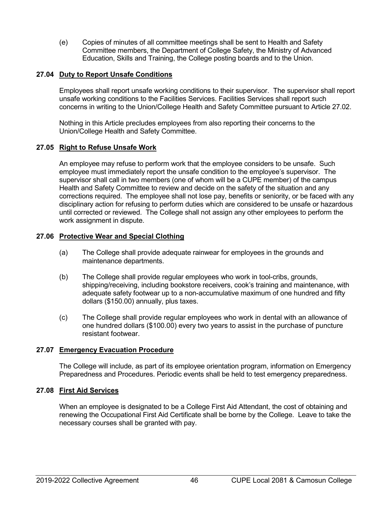(e) Copies of minutes of all committee meetings shall be sent to Health and Safety Committee members, the Department of College Safety, the Ministry of Advanced Education, Skills and Training, the College posting boards and to the Union.

## **27.04 Duty to Report Unsafe Conditions**

Employees shall report unsafe working conditions to their supervisor. The supervisor shall report unsafe working conditions to the Facilities Services. Facilities Services shall report such concerns in writing to the Union/College Health and Safety Committee pursuant to Article 27.02.

Nothing in this Article precludes employees from also reporting their concerns to the Union/College Health and Safety Committee.

## **27.05 Right to Refuse Unsafe Work**

An employee may refuse to perform work that the employee considers to be unsafe. Such employee must immediately report the unsafe condition to the employee's supervisor. The supervisor shall call in two members (one of whom will be a CUPE member) of the campus Health and Safety Committee to review and decide on the safety of the situation and any corrections required. The employee shall not lose pay, benefits or seniority, or be faced with any disciplinary action for refusing to perform duties which are considered to be unsafe or hazardous until corrected or reviewed. The College shall not assign any other employees to perform the work assignment in dispute.

### **27.06 Protective Wear and Special Clothing**

- (a) The College shall provide adequate rainwear for employees in the grounds and maintenance departments.
- (b) The College shall provide regular employees who work in tool-cribs, grounds, shipping/receiving, including bookstore receivers, cook's training and maintenance, with adequate safety footwear up to a non-accumulative maximum of one hundred and fifty dollars (\$150.00) annually, plus taxes.
- (c) The College shall provide regular employees who work in dental with an allowance of one hundred dollars (\$100.00) every two years to assist in the purchase of puncture resistant footwear.

### **27.07 Emergency Evacuation Procedure**

The College will include, as part of its employee orientation program, information on Emergency Preparedness and Procedures. Periodic events shall be held to test emergency preparedness.

### **27.08 First Aid Services**

When an employee is designated to be a College First Aid Attendant, the cost of obtaining and renewing the Occupational First Aid Certificate shall be borne by the College. Leave to take the necessary courses shall be granted with pay.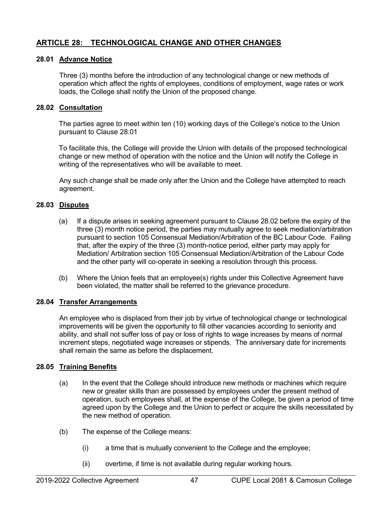# **ARTICLE 28: TECHNOLOGICAL CHANGE AND OTHER CHANGES**

### **28.01 Advance Notice**

Three (3) months before the introduction of any technological change or new methods of operation which affect the rights of employees, conditions of employment, wage rates or work loads, the College shall notify the Union of the proposed change.

### **28.02 Consultation**

The parties agree to meet within ten (10) working days of the College's notice to the Union pursuant to Clause 28.01

To facilitate this, the College will provide the Union with details of the proposed technological change or new method of operation with the notice and the Union will notify the College in writing of the representatives who will be available to meet.

Any such change shall be made only after the Union and the College have attempted to reach agreement.

### **28.03 Disputes**

- (a) If a dispute arises in seeking agreement pursuant to Clause 28.02 before the expiry of the three (3) month notice period, the parties may mutually agree to seek mediation/arbitration pursuant to section 105 Consensual Mediation/Arbitration of the BC Labour Code. Failing that, after the expiry of the three (3) month-notice period, either party may apply for Mediation/ Arbitration section 105 Consensual Mediation/Arbitration of the Labour Code and the other party will co-operate in seeking a resolution through this process.
- (b) Where the Union feels that an employee(s) rights under this Collective Agreement have been violated, the matter shall be referred to the grievance procedure.

#### **28.04 Transfer Arrangements**

An employee who is displaced from their job by virtue of technological change or technological improvements will be given the opportunity to fill other vacancies according to seniority and ability, and shall not suffer loss of pay or loss of rights to wage increases by means of normal increment steps, negotiated wage increases or stipends. The anniversary date for increments shall remain the same as before the displacement.

#### **28.05 Training Benefits**

- (a) In the event that the College should introduce new methods or machines which require new or greater skills than are possessed by employees under the present method of operation, such employees shall, at the expense of the College, be given a period of time agreed upon by the College and the Union to perfect or acquire the skills necessitated by the new method of operation.
- (b) The expense of the College means:
	- (i) a time that is mutually convenient to the College and the employee;
	- (ii) overtime, if time is not available during regular working hours.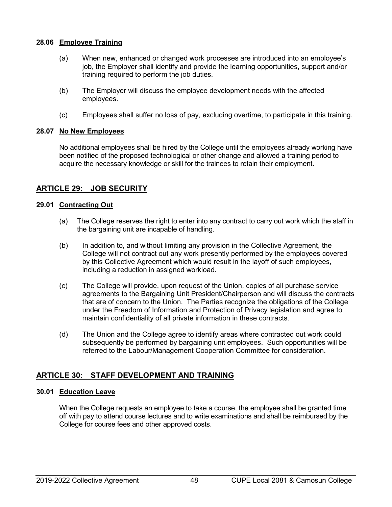### **28.06 Employee Training**

- (a) When new, enhanced or changed work processes are introduced into an employee's job, the Employer shall identify and provide the learning opportunities, support and/or training required to perform the job duties.
- (b) The Employer will discuss the employee development needs with the affected employees.
- (c) Employees shall suffer no loss of pay, excluding overtime, to participate in this training.

## **28.07 No New Employees**

No additional employees shall be hired by the College until the employees already working have been notified of the proposed technological or other change and allowed a training period to acquire the necessary knowledge or skill for the trainees to retain their employment.

## **ARTICLE 29: JOB SECURITY**

### **29.01 Contracting Out**

- (a) The College reserves the right to enter into any contract to carry out work which the staff in the bargaining unit are incapable of handling.
- (b) In addition to, and without limiting any provision in the Collective Agreement, the College will not contract out any work presently performed by the employees covered by this Collective Agreement which would result in the layoff of such employees, including a reduction in assigned workload.
- (c) The College will provide, upon request of the Union, copies of all purchase service agreements to the Bargaining Unit President/Chairperson and will discuss the contracts that are of concern to the Union. The Parties recognize the obligations of the College under the Freedom of Information and Protection of Privacy legislation and agree to maintain confidentiality of all private information in these contracts.
- (d) The Union and the College agree to identify areas where contracted out work could subsequently be performed by bargaining unit employees. Such opportunities will be referred to the Labour/Management Cooperation Committee for consideration.

# **ARTICLE 30: STAFF DEVELOPMENT AND TRAINING**

### **30.01 Education Leave**

When the College requests an employee to take a course, the employee shall be granted time off with pay to attend course lectures and to write examinations and shall be reimbursed by the College for course fees and other approved costs.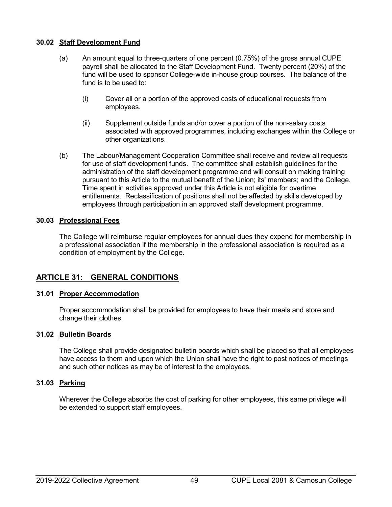## **30.02 Staff Development Fund**

- (a) An amount equal to three-quarters of one percent (0.75%) of the gross annual CUPE payroll shall be allocated to the Staff Development Fund. Twenty percent (20%) of the fund will be used to sponsor College-wide in-house group courses. The balance of the fund is to be used to:
	- (i) Cover all or a portion of the approved costs of educational requests from employees.
	- (ii) Supplement outside funds and/or cover a portion of the non-salary costs associated with approved programmes, including exchanges within the College or other organizations.
- (b) The Labour/Management Cooperation Committee shall receive and review all requests for use of staff development funds. The committee shall establish guidelines for the administration of the staff development programme and will consult on making training pursuant to this Article to the mutual benefit of the Union; its' members; and the College. Time spent in activities approved under this Article is not eligible for overtime entitlements. Reclassification of positions shall not be affected by skills developed by employees through participation in an approved staff development programme.

## **30.03 Professional Fees**

The College will reimburse regular employees for annual dues they expend for membership in a professional association if the membership in the professional association is required as a condition of employment by the College.

# **ARTICLE 31: GENERAL CONDITIONS**

### **31.01 Proper Accommodation**

Proper accommodation shall be provided for employees to have their meals and store and change their clothes.

### **31.02 Bulletin Boards**

The College shall provide designated bulletin boards which shall be placed so that all employees have access to them and upon which the Union shall have the right to post notices of meetings and such other notices as may be of interest to the employees.

### **31.03 Parking**

Wherever the College absorbs the cost of parking for other employees, this same privilege will be extended to support staff employees.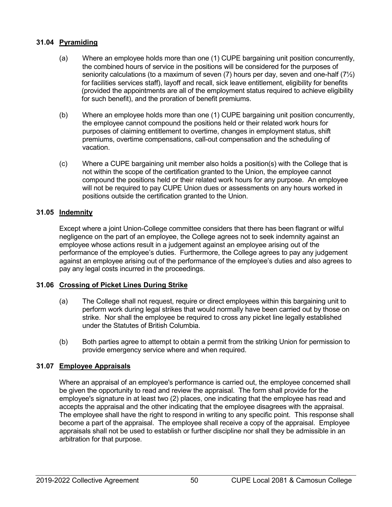## **31.04 Pyramiding**

- (a) Where an employee holds more than one (1) CUPE bargaining unit position concurrently, the combined hours of service in the positions will be considered for the purposes of seniority calculations (to a maximum of seven  $(7)$  hours per day, seven and one-half  $(7\frac{1}{2})$ for facilities services staff), layoff and recall, sick leave entitlement, eligibility for benefits (provided the appointments are all of the employment status required to achieve eligibility for such benefit), and the proration of benefit premiums.
- (b) Where an employee holds more than one (1) CUPE bargaining unit position concurrently, the employee cannot compound the positions held or their related work hours for purposes of claiming entitlement to overtime, changes in employment status, shift premiums, overtime compensations, call-out compensation and the scheduling of vacation.
- (c) Where a CUPE bargaining unit member also holds a position(s) with the College that is not within the scope of the certification granted to the Union, the employee cannot compound the positions held or their related work hours for any purpose. An employee will not be required to pay CUPE Union dues or assessments on any hours worked in positions outside the certification granted to the Union.

## **31.05 Indemnity**

Except where a joint Union-College committee considers that there has been flagrant or wilful negligence on the part of an employee, the College agrees not to seek indemnity against an employee whose actions result in a judgement against an employee arising out of the performance of the employee's duties. Furthermore, the College agrees to pay any judgement against an employee arising out of the performance of the employee's duties and also agrees to pay any legal costs incurred in the proceedings.

### **31.06 Crossing of Picket Lines During Strike**

- (a) The College shall not request, require or direct employees within this bargaining unit to perform work during legal strikes that would normally have been carried out by those on strike. Nor shall the employee be required to cross any picket line legally established under the Statutes of British Columbia.
- (b) Both parties agree to attempt to obtain a permit from the striking Union for permission to provide emergency service where and when required.

## **31.07 Employee Appraisals**

Where an appraisal of an employee's performance is carried out, the employee concerned shall be given the opportunity to read and review the appraisal. The form shall provide for the employee's signature in at least two (2) places, one indicating that the employee has read and accepts the appraisal and the other indicating that the employee disagrees with the appraisal. The employee shall have the right to respond in writing to any specific point. This response shall become a part of the appraisal. The employee shall receive a copy of the appraisal. Employee appraisals shall not be used to establish or further discipline nor shall they be admissible in an arbitration for that purpose.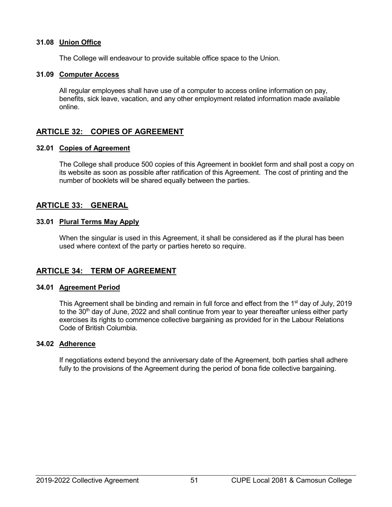### **31.08 Union Office**

The College will endeavour to provide suitable office space to the Union.

### **31.09 Computer Access**

All regular employees shall have use of a computer to access online information on pay, benefits, sick leave, vacation, and any other employment related information made available online.

# **ARTICLE 32: COPIES OF AGREEMENT**

### **32.01 Copies of Agreement**

The College shall produce 500 copies of this Agreement in booklet form and shall post a copy on its website as soon as possible after ratification of this Agreement. The cost of printing and the number of booklets will be shared equally between the parties.

## **ARTICLE 33: GENERAL**

### **33.01 Plural Terms May Apply**

When the singular is used in this Agreement, it shall be considered as if the plural has been used where context of the party or parties hereto so require.

## **ARTICLE 34: TERM OF AGREEMENT**

### **34.01 Agreement Period**

This Agreement shall be binding and remain in full force and effect from the 1<sup>st</sup> day of July, 2019 to the 30<sup>th</sup> day of June, 2022 and shall continue from year to year thereafter unless either party exercises its rights to commence collective bargaining as provided for in the Labour Relations Code of British Columbia.

### **34.02 Adherence**

If negotiations extend beyond the anniversary date of the Agreement, both parties shall adhere fully to the provisions of the Agreement during the period of bona fide collective bargaining.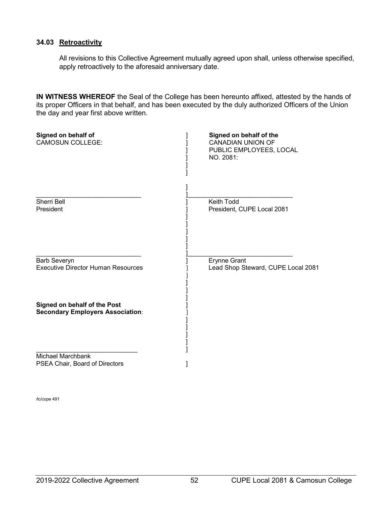### **34.03 Retroactivity**

All revisions to this Collective Agreement mutually agreed upon shall, unless otherwise specified, apply retroactively to the aforesaid anniversary date.

**IN WITNESS WHEREOF** the Seal of the College has been hereunto affixed, attested by the hands of its proper Officers in that behalf, and has been executed by the duly authorized Officers of the Union the day and year first above written.

| Signed on behalf of<br><b>CAMOSUN COLLEGE:</b>                          | Signed on behalf of the<br><b>CANADIAN UNION OF</b><br>PUBLIC EMPLOYEES, LOCAL<br>NO. 2081: |
|-------------------------------------------------------------------------|---------------------------------------------------------------------------------------------|
| <b>Sherri Bell</b><br>President                                         | <b>Keith Todd</b><br>President, CUPE Local 2081                                             |
| <b>Barb Severyn</b><br><b>Executive Director Human Resources</b>        | <b>Erynne Grant</b><br>Lead Shop Steward, CUPE Local 2081                                   |
| Signed on behalf of the Post<br><b>Secondary Employers Association:</b> |                                                                                             |
| <b>Michael Marchbank</b><br>PSEA Chair, Board of Directors              |                                                                                             |

/lc/cope 491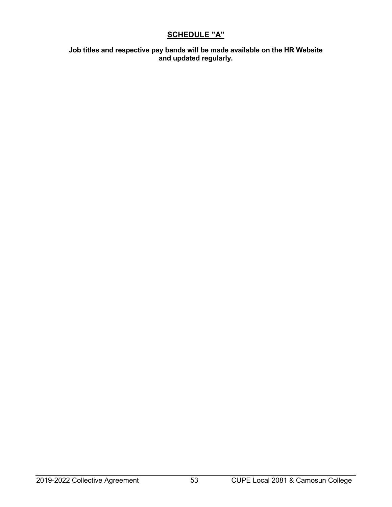# **SCHEDULE "A"**

**Job titles and respective pay bands will be made available on the HR Website and updated regularly.**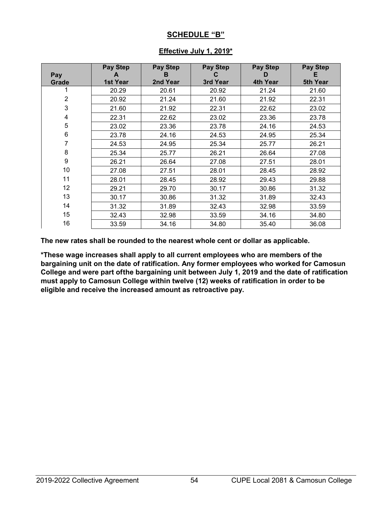# **SCHEDULE "B"**

| Pay<br>Grade   | Pay Step<br>A<br>1st Year | <b>Pay Step</b><br>в<br>2nd Year | Pay Step<br>C<br>3rd Year | <b>Pay Step</b><br>D<br>4th Year | Pay Step<br>Е<br>5th Year |
|----------------|---------------------------|----------------------------------|---------------------------|----------------------------------|---------------------------|
|                | 20.29                     | 20.61                            | 20.92                     | 21.24                            | 21.60                     |
| $\overline{2}$ | 20.92                     | 21.24                            | 21.60                     | 21.92                            | 22.31                     |
| 3              | 21.60                     | 21.92                            | 22.31                     | 22.62                            | 23.02                     |
| 4              | 22.31                     | 22.62                            | 23.02                     | 23.36                            | 23.78                     |
| 5              | 23.02                     | 23.36                            | 23.78                     | 24.16                            | 24.53                     |
| 6              | 23.78                     | 24.16                            | 24.53                     | 24.95                            | 25.34                     |
| 7              | 24.53                     | 24.95                            | 25.34                     | 25.77                            | 26.21                     |
| 8              | 25.34                     | 25.77                            | 26.21                     | 26.64                            | 27.08                     |
| 9              | 26.21                     | 26.64                            | 27.08                     | 27.51                            | 28.01                     |
| 10             | 27.08                     | 27.51                            | 28.01                     | 28.45                            | 28.92                     |
| 11             | 28.01                     | 28.45                            | 28.92                     | 29.43                            | 29.88                     |
| 12             | 29.21                     | 29.70                            | 30.17                     | 30.86                            | 31.32                     |
| 13             | 30.17                     | 30.86                            | 31.32                     | 31.89                            | 32.43                     |
| 14             | 31.32                     | 31.89                            | 32.43                     | 32.98                            | 33.59                     |
| 15             | 32.43                     | 32.98                            | 33.59                     | 34.16                            | 34.80                     |
| 16             | 33.59                     | 34.16                            | 34.80                     | 35.40                            | 36.08                     |

# **Effective July 1, 2019\***

**The new rates shall be rounded to the nearest whole cent or dollar as applicable.**

**\*These wage increases shall apply to all current employees who are members of the bargaining unit on the date of ratification. Any former employees who worked for Camosun College and were part ofthe bargaining unit between July 1, 2019 and the date of ratification must apply to Camosun College within twelve (12) weeks of ratification in order to be eligible and receive the increased amount as retroactive pay.**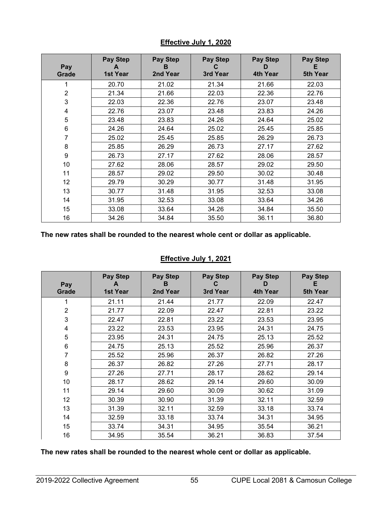| Pay<br>Grade   | <b>Pay Step</b><br><b>1st Year</b> | <b>Pay Step</b><br>в<br>2nd Year | <b>Pay Step</b><br>C<br>3rd Year | <b>Pay Step</b><br>D<br>4th Year | Pay Step<br>Е<br>5th Year |
|----------------|------------------------------------|----------------------------------|----------------------------------|----------------------------------|---------------------------|
|                | 20.70                              | 21.02                            | 21.34                            | 21.66                            | 22.03                     |
| $\overline{2}$ | 21.34                              | 21.66                            | 22.03                            | 22.36                            | 22.76                     |
| 3              | 22.03                              | 22.36                            | 22.76                            | 23.07                            | 23.48                     |
| 4              | 22.76                              | 23.07                            | 23.48                            | 23.83                            | 24.26                     |
| 5              | 23.48                              | 23.83                            | 24.26                            | 24.64                            | 25.02                     |
| 6              | 24.26                              | 24.64                            | 25.02                            | 25.45                            | 25.85                     |
| 7              | 25.02                              | 25.45                            | 25.85                            | 26.29                            | 26.73                     |
| 8              | 25.85                              | 26.29                            | 26.73                            | 27.17                            | 27.62                     |
| 9              | 26.73                              | 27.17                            | 27.62                            | 28.06                            | 28.57                     |
| 10             | 27.62                              | 28.06                            | 28.57                            | 29.02                            | 29.50                     |
| 11             | 28.57                              | 29.02                            | 29.50                            | 30.02                            | 30.48                     |
| 12             | 29.79                              | 30.29                            | 30.77                            | 31.48                            | 31.95                     |
| 13             | 30.77                              | 31.48                            | 31.95                            | 32.53                            | 33.08                     |
| 14             | 31.95                              | 32.53                            | 33.08                            | 33.64                            | 34.26                     |
| 15             | 33.08                              | 33.64                            | 34.26                            | 34.84                            | 35.50                     |
| 16             | 34.26                              | 34.84                            | 35.50                            | 36.11                            | 36.80                     |

# **Effective July 1, 2020**

**The new rates shall be rounded to the nearest whole cent or dollar as applicable.**

# **Effective July 1, 2021**

| Pay<br>Grade   | <b>Pay Step</b><br>A<br>1st Year | <b>Pay Step</b><br>в<br>2nd Year | <b>Pay Step</b><br>С<br>3rd Year | Pay Step<br>D<br>4th Year | Pay Step<br>Е<br>5th Year |
|----------------|----------------------------------|----------------------------------|----------------------------------|---------------------------|---------------------------|
|                | 21.11                            | 21.44                            | 21.77                            | 22.09                     | 22.47                     |
| $\overline{2}$ | 21.77                            | 22.09                            | 22.47                            | 22.81                     | 23.22                     |
| 3              | 22.47                            | 22.81                            | 23.22                            | 23.53                     | 23.95                     |
| 4              | 23.22                            | 23.53                            | 23.95                            | 24.31                     | 24.75                     |
| 5              | 23.95                            | 24.31                            | 24.75                            | 25.13                     | 25.52                     |
| 6              | 24.75                            | 25.13                            | 25.52                            | 25.96                     | 26.37                     |
| 7              | 25.52                            | 25.96                            | 26.37                            | 26.82                     | 27.26                     |
| 8              | 26.37                            | 26.82                            | 27.26                            | 27.71                     | 28.17                     |
| 9              | 27.26                            | 27.71                            | 28.17                            | 28.62                     | 29.14                     |
| 10             | 28.17                            | 28.62                            | 29.14                            | 29.60                     | 30.09                     |
| 11             | 29.14                            | 29.60                            | 30.09                            | 30.62                     | 31.09                     |
| 12             | 30.39                            | 30.90                            | 31.39                            | 32.11                     | 32.59                     |
| 13             | 31.39                            | 32.11                            | 32.59                            | 33.18                     | 33.74                     |
| 14             | 32.59                            | 33.18                            | 33.74                            | 34.31                     | 34.95                     |
| 15             | 33.74                            | 34.31                            | 34.95                            | 35.54                     | 36.21                     |
| 16             | 34.95                            | 35.54                            | 36.21                            | 36.83                     | 37.54                     |

**The new rates shall be rounded to the nearest whole cent or dollar as applicable.**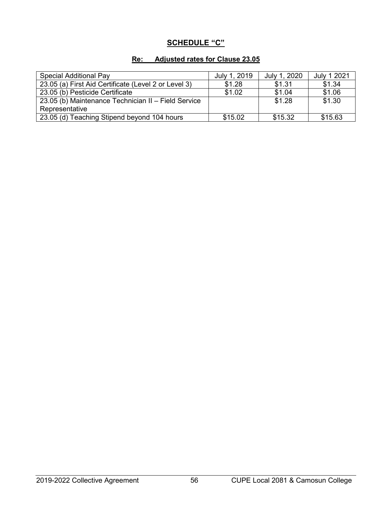# **SCHEDULE "C"**

# **Re: Adjusted rates for Clause 23.05**

| <b>Special Additional Pay</b>                        | July 1, 2019 | July 1, 2020 | July 1 2021 |
|------------------------------------------------------|--------------|--------------|-------------|
| 23.05 (a) First Aid Certificate (Level 2 or Level 3) | \$1.28       | \$1.31       | \$1.34      |
| 23.05 (b) Pesticide Certificate                      | \$1.02       | \$1.04       | \$1.06      |
| 23.05 (b) Maintenance Technician II - Field Service  |              | \$1.28       | \$1.30      |
| Representative                                       |              |              |             |
| 23.05 (d) Teaching Stipend beyond 104 hours          | \$15.02      | \$15.32      | \$15.63     |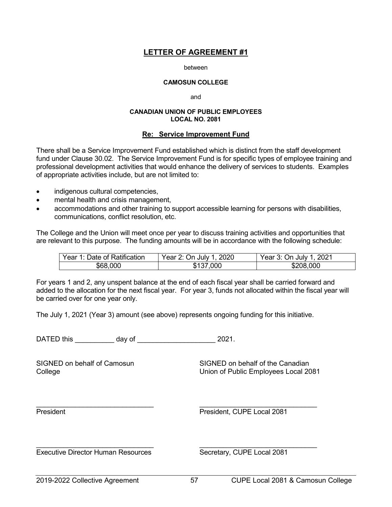#### between

#### **CAMOSUN COLLEGE**

and

#### **CANADIAN UNION OF PUBLIC EMPLOYEES LOCAL NO. 2081**

### **Re: Service Improvement Fund**

There shall be a Service Improvement Fund established which is distinct from the staff development fund under Clause 30.02. The Service Improvement Fund is for specific types of employee training and professional development activities that would enhance the delivery of services to students. Examples of appropriate activities include, but are not limited to:

- indigenous cultural competencies,
- mental health and crisis management,
- accommodations and other training to support accessible learning for persons with disabilities, communications, conflict resolution, etc.

The College and the Union will meet once per year to discuss training activities and opportunities that are relevant to this purpose. The funding amounts will be in accordance with the following schedule:

| Year 1: Date of Ratification | Year 2: On July 1, 2020 | Year 3: On July 1, 2021 |
|------------------------------|-------------------------|-------------------------|
| \$68,000                     | \$137,000               | \$208,000               |

For years 1 and 2, any unspent balance at the end of each fiscal year shall be carried forward and added to the allocation for the next fiscal year. For year 3, funds not allocated within the fiscal year will be carried over for one year only.

The July 1, 2021 (Year 3) amount (see above) represents ongoing funding for this initiative.

\_\_\_\_\_\_\_\_\_\_\_\_\_\_\_\_\_\_\_\_\_\_\_\_\_\_\_\_\_\_ \_\_\_\_\_\_\_\_\_\_\_\_\_\_\_\_\_\_\_\_\_\_\_\_\_\_\_\_\_\_

DATED this \_\_\_\_\_\_\_\_\_\_ day of \_\_\_\_\_\_\_\_\_\_\_\_\_\_\_\_\_\_\_\_ 2021.

SIGNED on behalf of Camosun SIGNED on behalf of the Canadian College Union of Public Employees Local 2081

President **President**, CUPE Local 2081

Executive Director Human Resources Secretary, CUPE Local 2081

 $\_$  , and the set of the set of the set of the set of the set of the set of the set of the set of the set of the set of the set of the set of the set of the set of the set of the set of the set of the set of the set of th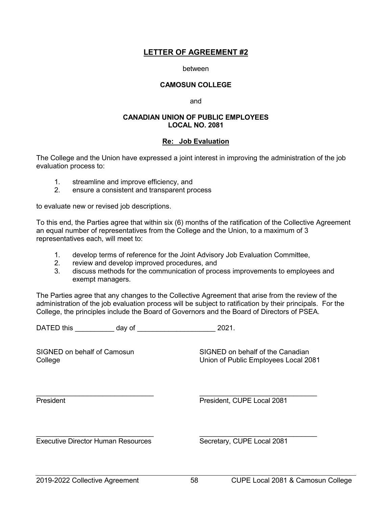#### between

#### **CAMOSUN COLLEGE**

and

#### **CANADIAN UNION OF PUBLIC EMPLOYEES LOCAL NO. 2081**

### **Re: Job Evaluation**

The College and the Union have expressed a joint interest in improving the administration of the job evaluation process to:

- 1. streamline and improve efficiency, and<br>2. ensure a consistent and transparent pro-
- 2. ensure a consistent and transparent process

to evaluate new or revised job descriptions.

To this end, the Parties agree that within six (6) months of the ratification of the Collective Agreement an equal number of representatives from the College and the Union, to a maximum of 3 representatives each, will meet to:

- 1. develop terms of reference for the Joint Advisory Job Evaluation Committee,
- 2. review and develop improved procedures, and
- 3. discuss methods for the communication of process improvements to employees and exempt managers.

The Parties agree that any changes to the Collective Agreement that arise from the review of the administration of the job evaluation process will be subject to ratification by their principals. For the College, the principles include the Board of Governors and the Board of Directors of PSEA.

DATED this \_\_\_\_\_\_\_\_\_\_ day of \_\_\_\_\_\_\_\_\_\_\_\_\_\_\_\_\_\_\_\_ 2021.

SIGNED on behalf of Camosun SIGNED on behalf of the Canadian College Union of Public Employees Local 2081

 $\_$  , and the set of the set of the set of the set of the set of the set of the set of the set of the set of the set of the set of the set of the set of the set of the set of the set of the set of the set of the set of th

President President, CUPE Local 2081

\_\_\_\_\_\_\_\_\_\_\_\_\_\_\_\_\_\_\_\_\_\_\_\_\_\_\_\_\_\_ \_\_\_\_\_\_\_\_\_\_\_\_\_\_\_\_\_\_\_\_\_\_\_\_\_\_\_\_\_\_ Executive Director Human Resources Secretary, CUPE Local 2081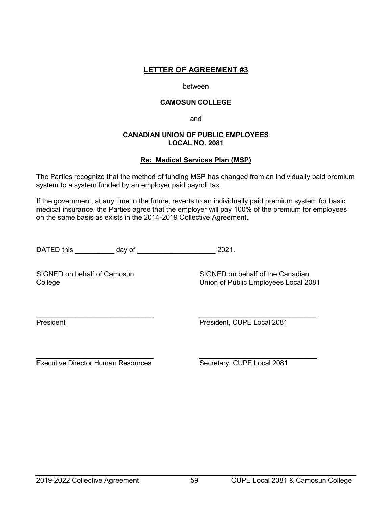#### between

### **CAMOSUN COLLEGE**

and

### **CANADIAN UNION OF PUBLIC EMPLOYEES LOCAL NO. 2081**

## **Re: Medical Services Plan (MSP)**

The Parties recognize that the method of funding MSP has changed from an individually paid premium system to a system funded by an employer paid payroll tax.

If the government, at any time in the future, reverts to an individually paid premium system for basic medical insurance, the Parties agree that the employer will pay 100% of the premium for employees on the same basis as exists in the 2014-2019 Collective Agreement.

DATED this day of 2021.

SIGNED on behalf of Camosun SIGNED on behalf of the Canadian College Union of Public Employees Local 2081

 $\_$  , and the set of the set of the set of the set of the set of the set of the set of the set of the set of the set of the set of the set of the set of the set of the set of the set of the set of the set of the set of th President President President, CUPE Local 2081

\_\_\_\_\_\_\_\_\_\_\_\_\_\_\_\_\_\_\_\_\_\_\_\_\_\_\_\_\_\_ \_\_\_\_\_\_\_\_\_\_\_\_\_\_\_\_\_\_\_\_\_\_\_\_\_\_\_\_\_\_ Executive Director Human Resources Secretary, CUPE Local 2081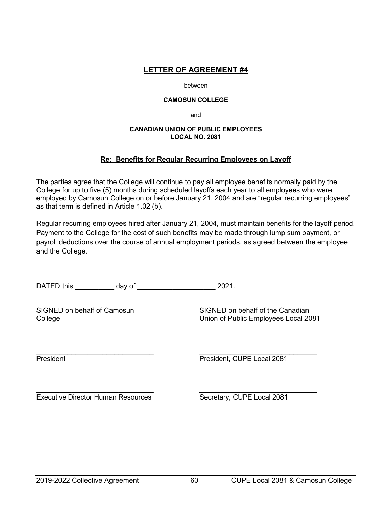#### between

#### **CAMOSUN COLLEGE**

and

#### **CANADIAN UNION OF PUBLIC EMPLOYEES LOCAL NO. 2081**

## **Re: Benefits for Regular Recurring Employees on Layoff**

The parties agree that the College will continue to pay all employee benefits normally paid by the College for up to five (5) months during scheduled layoffs each year to all employees who were employed by Camosun College on or before January 21, 2004 and are "regular recurring employees" as that term is defined in Article 1.02 (b).

Regular recurring employees hired after January 21, 2004, must maintain benefits for the layoff period. Payment to the College for the cost of such benefits may be made through lump sum payment, or payroll deductions over the course of annual employment periods, as agreed between the employee and the College.

DATED this \_\_\_\_\_\_\_\_\_\_ day of \_\_\_\_\_\_\_\_\_\_\_\_\_\_\_\_\_\_\_\_ 2021.

SIGNED on behalf of Camosun SIGNED on behalf of the Canadian College Union of Public Employees Local 2081

\_\_\_\_\_\_\_\_\_\_\_\_\_\_\_\_\_\_\_\_\_\_\_\_\_\_\_\_\_\_ \_\_\_\_\_\_\_\_\_\_\_\_\_\_\_\_\_\_\_\_\_\_\_\_\_\_\_\_\_\_ President President President, CUPE Local 2081

 $\_$  , and the set of the set of the set of the set of the set of the set of the set of the set of the set of the set of the set of the set of the set of the set of the set of the set of the set of the set of the set of th Executive Director Human Resources Secretary, CUPE Local 2081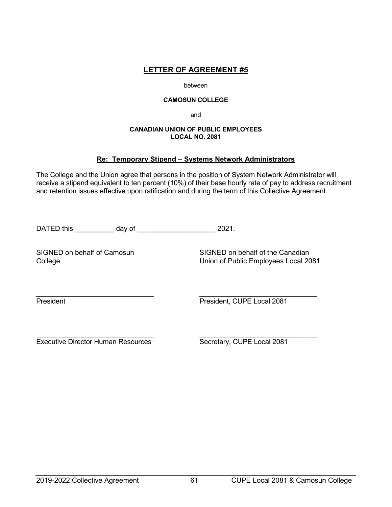#### between

#### **CAMOSUN COLLEGE**

and

### **CANADIAN UNION OF PUBLIC EMPLOYEES LOCAL NO. 2081**

## **Re: Temporary Stipend – Systems Network Administrators**

The College and the Union agree that persons in the position of System Network Administrator will receive a stipend equivalent to ten percent (10%) of their base hourly rate of pay to address recruitment and retention issues effective upon ratification and during the term of this Collective Agreement.

DATED this day of 2021.

SIGNED on behalf of Camosun<br>College College College College College College College Supplement College Supplement College Supplement Colle Union of Public Employees Local 2081

 $\_$  , and the set of the set of the set of the set of the set of the set of the set of the set of the set of the set of the set of the set of the set of the set of the set of the set of the set of the set of the set of th President President, CUPE Local 2081

\_\_\_\_\_\_\_\_\_\_\_\_\_\_\_\_\_\_\_\_\_\_\_\_\_\_\_\_\_\_ \_\_\_\_\_\_\_\_\_\_\_\_\_\_\_\_\_\_\_\_\_\_\_\_\_\_\_\_\_\_ Executive Director Human Resources Secretary, CUPE Local 2081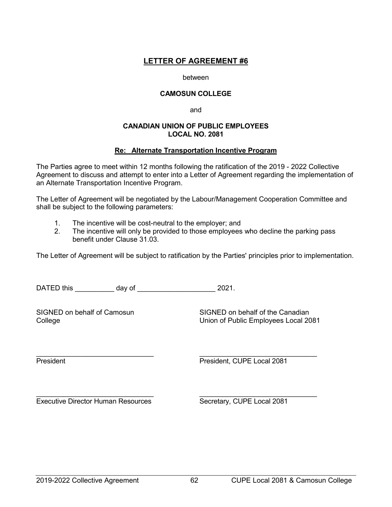#### between

## **CAMOSUN COLLEGE**

and

### **CANADIAN UNION OF PUBLIC EMPLOYEES LOCAL NO. 2081**

## **Re: Alternate Transportation Incentive Program**

The Parties agree to meet within 12 months following the ratification of the 2019 - 2022 Collective Agreement to discuss and attempt to enter into a Letter of Agreement regarding the implementation of an Alternate Transportation Incentive Program.

The Letter of Agreement will be negotiated by the Labour/Management Cooperation Committee and shall be subject to the following parameters:

- 1. The incentive will be cost-neutral to the employer; and
- 2. The incentive will only be provided to those employees who decline the parking pass benefit under Clause 31.03.

The Letter of Agreement will be subject to ratification by the Parties' principles prior to implementation.

DATED this day of  $\frac{1}{2021}$ .

SIGNED on behalf of Camosun SIGNED on behalf of the Canadian College Union of Public Employees Local 2081

 $\_$  , and the set of the set of the set of the set of the set of the set of the set of the set of the set of the set of the set of the set of the set of the set of the set of the set of the set of the set of the set of th President President President, CUPE Local 2081

 $\_$  , and the set of the set of the set of the set of the set of the set of the set of the set of the set of the set of the set of the set of the set of the set of the set of the set of the set of the set of the set of th Executive Director Human Resources Secretary, CUPE Local 2081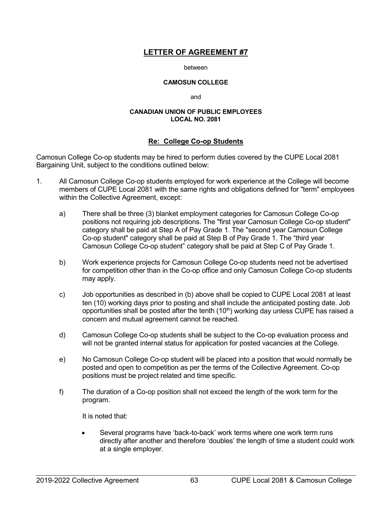#### between

#### **CAMOSUN COLLEGE**

and

#### **CANADIAN UNION OF PUBLIC EMPLOYEES LOCAL NO. 2081**

### **Re: College Co-op Students**

Camosun College Co-op students may be hired to perform duties covered by the CUPE Local 2081 Bargaining Unit, subject to the conditions outlined below:

- 1. All Camosun College Co-op students employed for work experience at the College will become members of CUPE Local 2081 with the same rights and obligations defined for "term" employees within the Collective Agreement, except:
	- a) There shall be three (3) blanket employment categories for Camosun College Co-op positions not requiring job descriptions. The "first year Camosun College Co-op student" category shall be paid at Step A of Pay Grade 1. The "second year Camosun College Co-op student" category shall be paid at Step B of Pay Grade 1. The "third year Camosun College Co-op student" category shall be paid at Step C of Pay Grade 1.
	- b) Work experience projects for Camosun College Co-op students need not be advertised for competition other than in the Co-op office and only Camosun College Co-op students may apply.
	- c) Job opportunities as described in (b) above shall be copied to CUPE Local 2081 at least ten (10) working days prior to posting and shall include the anticipated posting date. Job opportunities shall be posted after the tenth (10<sup>th</sup>) working day unless CUPE has raised a concern and mutual agreement cannot be reached.
	- d) Camosun College Co-op students shall be subject to the Co-op evaluation process and will not be granted internal status for application for posted vacancies at the College.
	- e) No Camosun College Co-op student will be placed into a position that would normally be posted and open to competition as per the terms of the Collective Agreement. Co-op positions must be project related and time specific.
	- f) The duration of a Co-op position shall not exceed the length of the work term for the program.

It is noted that:

Several programs have 'back-to-back' work terms where one work term runs directly after another and therefore 'doubles' the length of time a student could work at a single employer.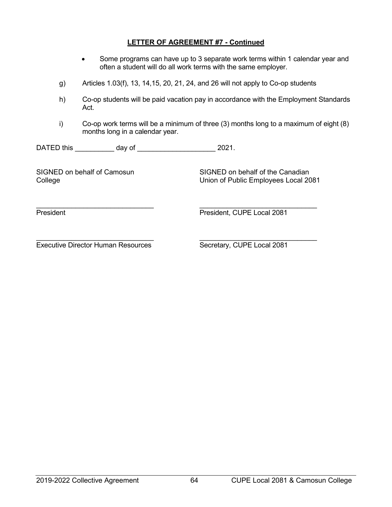## **LETTER OF AGREEMENT #7 - Continued**

- Some programs can have up to 3 separate work terms within 1 calendar year and often a student will do all work terms with the same employer.
- g) Articles 1.03(f), 13, 14,15, 20, 21, 24, and 26 will not apply to Co-op students
- h) Co-op students will be paid vacation pay in accordance with the Employment Standards Act.
- i) Co-op work terms will be a minimum of three (3) months long to a maximum of eight (8) months long in a calendar year.

DATED this day of 2021.

SIGNED on behalf of Camosun<br>College College College College Superinte College College Superinte College Superinte College Superinte Colle Union of Public Employees Local 2081

 $\_$  , and the contribution of the contribution of  $\_$  . The contribution of  $\_$  ,  $\_$  ,  $\_$  ,  $\_$  ,  $\_$  ,  $\_$  ,  $\_$  ,  $\_$  ,  $\_$  ,  $\_$  ,  $\_$  ,  $\_$  ,  $\_$  ,  $\_$  ,  $\_$  ,  $\_$  ,  $\_$  ,  $\_$  ,  $\_$  ,  $\_$  ,  $\_$  ,  $\_$  ,  $\_$  ,  $\_$  , President President President, CUPE Local 2081

 $\_$  , and the contribution of  $\_$  , and  $\_$  , and  $\_$  , and  $\_$  , and  $\_$  , and  $\_$  , and  $\_$ Executive Director Human Resources Secretary, CUPE Local 2081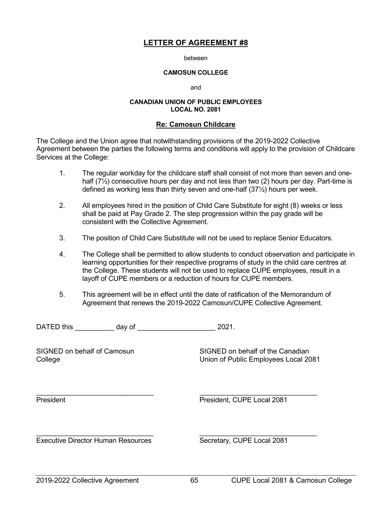between

#### **CAMOSUN COLLEGE**

and

#### **CANADIAN UNION OF PUBLIC EMPLOYEES LOCAL NO. 2081**

#### **Re: Camosun Childcare**

The College and the Union agree that notwithstanding provisions of the 2019-2022 Collective Agreement between the parties the following terms and conditions will apply to the provision of Childcare Services at the College:

- 1. The regular workday for the childcare staff shall consist of not more than seven and onehalf  $(7\frac{1}{2})$  consecutive hours per day and not less than two (2) hours per day. Part-time is defined as working less than thirty seven and one-half (37½) hours per week.
- 2. All employees hired in the position of Child Care Substitute for eight (8) weeks or less shall be paid at Pay Grade 2. The step progression within the pay grade will be consistent with the Collective Agreement.
- 3. The position of Child Care Substitute will not be used to replace Senior Educators.
- 4. The College shall be permitted to allow students to conduct observation and participate in learning opportunities for their respective programs of study in the child care centres at the College. These students will not be used to replace CUPE employees, result in a layoff of CUPE members or a reduction of hours for CUPE members.
- 5. This agreement will be in effect until the date of ratification of the Memorandum of Agreement that renews the 2019-2022 Camosun/CUPE Collective Agreement.

DATED this day of 2021.

SIGNED on behalf of Camosun SIGNED on behalf of the Canadian College Union of Public Employees Local 2081

\_\_\_\_\_\_\_\_\_\_\_\_\_\_\_\_\_\_\_\_\_\_\_\_\_\_\_\_\_\_ \_\_\_\_\_\_\_\_\_\_\_\_\_\_\_\_\_\_\_\_\_\_\_\_\_\_\_\_\_\_

President President, CUPE Local 2081

 $\_$  , and the set of the set of the set of the set of the set of the set of the set of the set of the set of the set of the set of the set of the set of the set of the set of the set of the set of the set of the set of th Executive Director Human Resources Secretary, CUPE Local 2081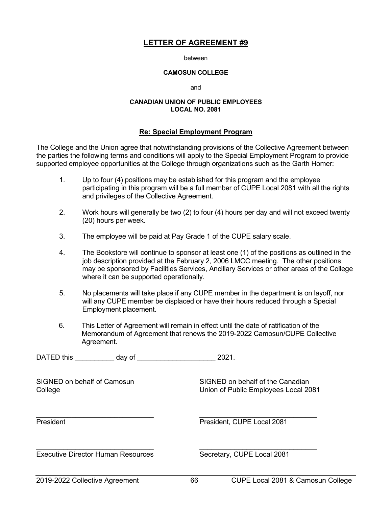between

#### **CAMOSUN COLLEGE**

and

#### **CANADIAN UNION OF PUBLIC EMPLOYEES LOCAL NO. 2081**

### **Re: Special Employment Program**

The College and the Union agree that notwithstanding provisions of the Collective Agreement between the parties the following terms and conditions will apply to the Special Employment Program to provide supported employee opportunities at the College through organizations such as the Garth Homer:

- 1. Up to four (4) positions may be established for this program and the employee participating in this program will be a full member of CUPE Local 2081 with all the rights and privileges of the Collective Agreement.
- 2. Work hours will generally be two (2) to four (4) hours per day and will not exceed twenty (20) hours per week.
- 3. The employee will be paid at Pay Grade 1 of the CUPE salary scale.
- 4. The Bookstore will continue to sponsor at least one (1) of the positions as outlined in the job description provided at the February 2, 2006 LMCC meeting. The other positions may be sponsored by Facilities Services, Ancillary Services or other areas of the College where it can be supported operationally.
- 5. No placements will take place if any CUPE member in the department is on layoff, nor will any CUPE member be displaced or have their hours reduced through a Special Employment placement.
- 6. This Letter of Agreement will remain in effect until the date of ratification of the Memorandum of Agreement that renews the 2019-2022 Camosun/CUPE Collective Agreement.

DATED this day of  $2021$ .

SIGNED on behalf of Camosun SIGNED on behalf of the Canadian College Union of Public Employees Local 2081

 $\_$  , and the set of the set of the set of the set of the set of the set of the set of the set of the set of the set of the set of the set of the set of the set of the set of the set of the set of the set of the set of th President **President** President, CUPE Local 2081

\_\_\_\_\_\_\_\_\_\_\_\_\_\_\_\_\_\_\_\_\_\_\_\_\_\_\_\_\_\_ \_\_\_\_\_\_\_\_\_\_\_\_\_\_\_\_\_\_\_\_\_\_\_\_\_\_\_\_\_\_ Executive Director Human Resources Secretary, CUPE Local 2081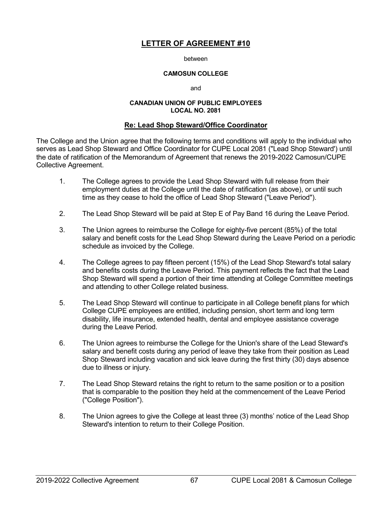#### between

### **CAMOSUN COLLEGE**

and

#### **CANADIAN UNION OF PUBLIC EMPLOYEES LOCAL NO. 2081**

### **Re: Lead Shop Steward/Office Coordinator**

The College and the Union agree that the following terms and conditions will apply to the individual who serves as Lead Shop Steward and Office Coordinator for CUPE Local 2081 ("Lead Shop Steward') until the date of ratification of the Memorandum of Agreement that renews the 2019-2022 Camosun/CUPE Collective Agreement.

- 1. The College agrees to provide the Lead Shop Steward with full release from their employment duties at the College until the date of ratification (as above), or until such time as they cease to hold the office of Lead Shop Steward ("Leave Period").
- 2. The Lead Shop Steward will be paid at Step E of Pay Band 16 during the Leave Period.
- 3. The Union agrees to reimburse the College for eighty-five percent (85%) of the total salary and benefit costs for the Lead Shop Steward during the Leave Period on a periodic schedule as invoiced by the College.
- 4. The College agrees to pay fifteen percent (15%) of the Lead Shop Steward's total salary and benefits costs during the Leave Period. This payment reflects the fact that the Lead Shop Steward will spend a portion of their time attending at College Committee meetings and attending to other College related business.
- 5. The Lead Shop Steward will continue to participate in all College benefit plans for which College CUPE employees are entitled, including pension, short term and long term disability, life insurance, extended health, dental and employee assistance coverage during the Leave Period.
- 6. The Union agrees to reimburse the College for the Union's share of the Lead Steward's salary and benefit costs during any period of leave they take from their position as Lead Shop Steward including vacation and sick leave during the first thirty (30) days absence due to illness or injury.
- 7. The Lead Shop Steward retains the right to return to the same position or to a position that is comparable to the position they held at the commencement of the Leave Period ("College Position").
- 8. The Union agrees to give the College at least three (3) months' notice of the Lead Shop Steward's intention to return to their College Position.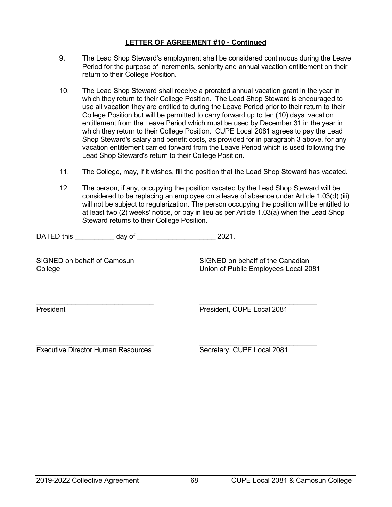# **LETTER OF AGREEMENT #10 - Continued**

- 9. The Lead Shop Steward's employment shall be considered continuous during the Leave Period for the purpose of increments, seniority and annual vacation entitlement on their return to their College Position.
- 10. The Lead Shop Steward shall receive a prorated annual vacation grant in the year in which they return to their College Position. The Lead Shop Steward is encouraged to use all vacation they are entitled to during the Leave Period prior to their return to their College Position but will be permitted to carry forward up to ten (10) days' vacation entitlement from the Leave Period which must be used by December 31 in the year in which they return to their College Position. CUPE Local 2081 agrees to pay the Lead Shop Steward's salary and benefit costs, as provided for in paragraph 3 above, for any vacation entitlement carried forward from the Leave Period which is used following the Lead Shop Steward's return to their College Position.
- 11. The College, may, if it wishes, fill the position that the Lead Shop Steward has vacated.
- 12. The person, if any, occupying the position vacated by the Lead Shop Steward will be considered to be replacing an employee on a leave of absence under Article 1.03(d) (iii) will not be subject to regularization. The person occupying the position will be entitled to at least two (2) weeks' notice, or pay in lieu as per Article 1.03(a) when the Lead Shop Steward returns to their College Position.

DATED this \_\_\_\_\_\_\_\_\_\_\_ day of \_\_\_\_\_\_\_\_\_\_\_\_\_\_\_\_\_\_\_\_\_\_\_\_\_\_\_ 2021.

SIGNED on behalf of Camosun SIGNED on behalf of the Canadian College Union of Public Employees Local 2081

\_\_\_\_\_\_\_\_\_\_\_\_\_\_\_\_\_\_\_\_\_\_\_\_\_\_\_\_\_\_ \_\_\_\_\_\_\_\_\_\_\_\_\_\_\_\_\_\_\_\_\_\_\_\_\_\_\_\_\_\_ President **President** President, CUPE Local 2081

 $\_$  , and the set of the set of the set of the set of the set of the set of the set of the set of the set of the set of the set of the set of the set of the set of the set of the set of the set of the set of the set of th Executive Director Human Resources Secretary, CUPE Local 2081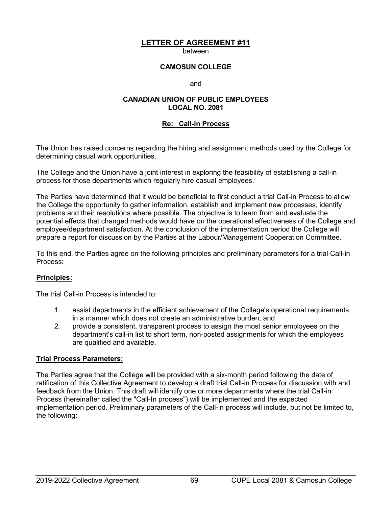between

## **CAMOSUN COLLEGE**

and

### **CANADIAN UNION OF PUBLIC EMPLOYEES LOCAL NO. 2081**

## **Re: Call-in Process**

The Union has raised concerns regarding the hiring and assignment methods used by the College for determining casual work opportunities.

The College and the Union have a joint interest in exploring the feasibility of establishing a call-in process for those departments which regularly hire casual employees.

The Parties have determined that it would be beneficial to first conduct a trial Call-in Process to allow the College the opportunity to gather information, establish and implement new processes, identify problems and their resolutions where possible. The objective is to learn from and evaluate the potential effects that changed methods would have on the operational effectiveness of the College and employee/department satisfaction. At the conclusion of the implementation period the College will prepare a report for discussion by the Parties at the Labour/Management Cooperation Committee.

To this end, the Parties agree on the following principles and preliminary parameters for a trial Call-in Process:

## **Principles:**

The trial Call-in Process is intended to:

- 1. assist departments in the efficient achievement of the College's operational requirements in a manner which does not create an administrative burden, and
- 2. provide a consistent, transparent process to assign the most senior employees on the department's call-in list to short term, non-posted assignments for which the employees are qualified and available.

## **Trial Process Parameters:**

The Parties agree that the College will be provided with a six-month period following the date of ratification of this Collective Agreement to develop a draft trial Call-in Process for discussion with and feedback from the Union. This draft will identify one or more departments where the trial Call-in Process (hereinafter called the "Call-In process") will be implemented and the expected implementation period. Preliminary parameters of the Call-in process will include, but not be limited to, the following: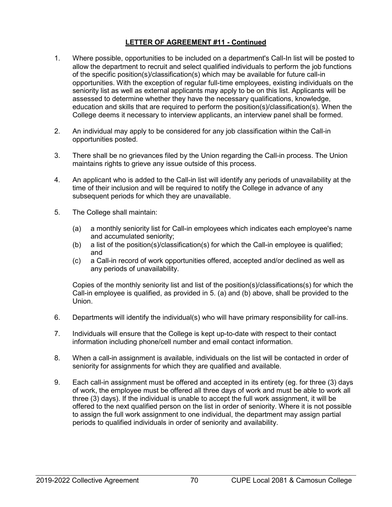# **LETTER OF AGREEMENT #11 - Continued**

- 1. Where possible, opportunities to be included on a department's Call-In list will be posted to allow the department to recruit and select qualified individuals to perform the job functions of the specific position(s)/classification(s) which may be available for future call-in opportunities. With the exception of regular full-time employees, existing individuals on the seniority list as well as external applicants may apply to be on this list. Applicants will be assessed to determine whether they have the necessary qualifications, knowledge, education and skills that are required to perform the position(s)/classification(s). When the College deems it necessary to interview applicants, an interview panel shall be formed.
- 2. An individual may apply to be considered for any job classification within the Call-in opportunities posted.
- 3. There shall be no grievances filed by the Union regarding the Call-in process. The Union maintains rights to grieve any issue outside of this process.
- 4. An applicant who is added to the Call-in list will identify any periods of unavailability at the time of their inclusion and will be required to notify the College in advance of any subsequent periods for which they are unavailable.
- 5. The College shall maintain:
	- (a) a monthly seniority list for Call-in employees which indicates each employee's name and accumulated seniority;
	- (b) a list of the position(s)/classification(s) for which the Call-in employee is qualified; and
	- (c) a Call-in record of work opportunities offered, accepted and/or declined as well as any periods of unavailability.

Copies of the monthly seniority list and list of the position(s)/classifications(s) for which the Call-in employee is qualified, as provided in 5. (a) and (b) above, shall be provided to the Union.

- 6. Departments will identify the individual(s) who will have primary responsibility for call-ins.
- 7. Individuals will ensure that the College is kept up-to-date with respect to their contact information including phone/cell number and email contact information.
- 8. When a call-in assignment is available, individuals on the list will be contacted in order of seniority for assignments for which they are qualified and available.
- 9. Each call-in assignment must be offered and accepted in its entirety (eg. for three (3) days of work, the employee must be offered all three days of work and must be able to work all three (3) days). If the individual is unable to accept the full work assignment, it will be offered to the next qualified person on the list in order of seniority. Where it is not possible to assign the full work assignment to one individual, the department may assign partial periods to qualified individuals in order of seniority and availability.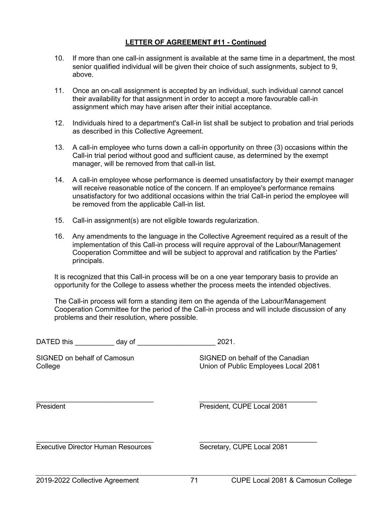# **LETTER OF AGREEMENT #11 - Continued**

- 10. If more than one call-in assignment is available at the same time in a department, the most senior qualified individual will be given their choice of such assignments, subject to 9, above.
- 11. Once an on-call assignment is accepted by an individual, such individual cannot cancel their availability for that assignment in order to accept a more favourable call-in assignment which may have arisen after their initial acceptance.
- 12. Individuals hired to a department's Call-in list shall be subject to probation and trial periods as described in this Collective Agreement.
- 13. A call-in employee who turns down a call-in opportunity on three (3) occasions within the Call-in trial period without good and sufficient cause, as determined by the exempt manager, will be removed from that call-in list.
- 14. A call-in employee whose performance is deemed unsatisfactory by their exempt manager will receive reasonable notice of the concern. If an employee's performance remains unsatisfactory for two additional occasions within the trial Call-in period the employee will be removed from the applicable Call-in list.
- 15. Call-in assignment(s) are not eligible towards regularization.
- 16. Any amendments to the language in the Collective Agreement required as a result of the implementation of this Call-in process will require approval of the Labour/Management Cooperation Committee and will be subject to approval and ratification by the Parties' principals.

It is recognized that this Call-in process will be on a one year temporary basis to provide an opportunity for the College to assess whether the process meets the intended objectives.

The Call-in process will form a standing item on the agenda of the Labour/Management Cooperation Committee for the period of the Call-in process and will include discussion of any problems and their resolution, where possible.

| DATED this | dav of | 2021 |
|------------|--------|------|
|------------|--------|------|

SIGNED on behalf of Camosun SIGNED on behalf of the Canadian College Union of Public Employees Local 2081

\_\_\_\_\_\_\_\_\_\_\_\_\_\_\_\_\_\_\_\_\_\_\_\_\_\_\_\_\_\_ \_\_\_\_\_\_\_\_\_\_\_\_\_\_\_\_\_\_\_\_\_\_\_\_\_\_\_\_\_\_ President **President**, CUPE Local 2081

Executive Director Human Resources Secretary, CUPE Local 2081

 $\_$  , and the set of the set of the set of the set of the set of the set of the set of the set of the set of the set of the set of the set of the set of the set of the set of the set of the set of the set of the set of th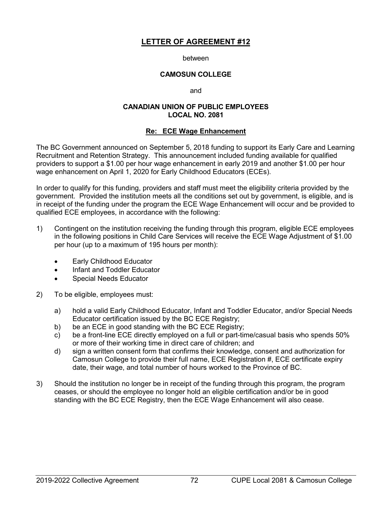### between

## **CAMOSUN COLLEGE**

and

### **CANADIAN UNION OF PUBLIC EMPLOYEES LOCAL NO. 2081**

### **Re: ECE Wage Enhancement**

The BC Government announced on September 5, 2018 funding to support its Early Care and Learning Recruitment and Retention Strategy. This announcement included funding available for qualified providers to support a \$1.00 per hour wage enhancement in early 2019 and another \$1.00 per hour wage enhancement on April 1, 2020 for Early Childhood Educators (ECEs).

In order to qualify for this funding, providers and staff must meet the eligibility criteria provided by the government. Provided the institution meets all the conditions set out by government, is eligible, and is in receipt of the funding under the program the ECE Wage Enhancement will occur and be provided to qualified ECE employees, in accordance with the following:

- 1) Contingent on the institution receiving the funding through this program, eligible ECE employees in the following positions in Child Care Services will receive the ECE Wage Adjustment of \$1.00 per hour (up to a maximum of 195 hours per month):
	- Early Childhood Educator
	- Infant and Toddler Educator
	- Special Needs Educator
- 2) To be eligible, employees must:
	- a) hold a valid Early Childhood Educator, Infant and Toddler Educator, and/or Special Needs Educator certification issued by the BC ECE Registry;
	- b) be an ECE in good standing with the BC ECE Registry;
	- c) be a front-line ECE directly employed on a full or part-time/casual basis who spends 50% or more of their working time in direct care of children; and
	- d) sign a written consent form that confirms their knowledge, consent and authorization for Camosun College to provide their full name, ECE Registration #, ECE certificate expiry date, their wage, and total number of hours worked to the Province of BC.
- 3) Should the institution no longer be in receipt of the funding through this program, the program ceases, or should the employee no longer hold an eligible certification and/or be in good standing with the BC ECE Registry, then the ECE Wage Enhancement will also cease.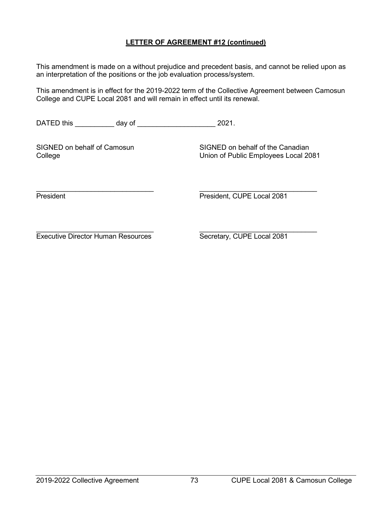# **LETTER OF AGREEMENT #12 (continued)**

This amendment is made on a without prejudice and precedent basis, and cannot be relied upon as an interpretation of the positions or the job evaluation process/system.

This amendment is in effect for the 2019-2022 term of the Collective Agreement between Camosun College and CUPE Local 2081 and will remain in effect until its renewal.

DATED this \_\_\_\_\_\_\_\_\_\_ day of \_\_\_\_\_\_\_\_\_\_\_\_\_\_\_\_\_\_\_\_ 2021.

SIGNED on behalf of Camosun SIGNED on behalf of the Canadian College Union of Public Employees Local 2081

\_\_\_\_\_\_\_\_\_\_\_\_\_\_\_\_\_\_\_\_\_\_\_\_\_\_\_\_\_\_ \_\_\_\_\_\_\_\_\_\_\_\_\_\_\_\_\_\_\_\_\_\_\_\_\_\_\_\_\_\_ President President President, CUPE Local 2081

 $\_$  , and the set of the set of the set of the set of the set of the set of the set of the set of the set of the set of the set of the set of the set of the set of the set of the set of the set of the set of the set of th Executive Director Human Resources Secretary, CUPE Local 2081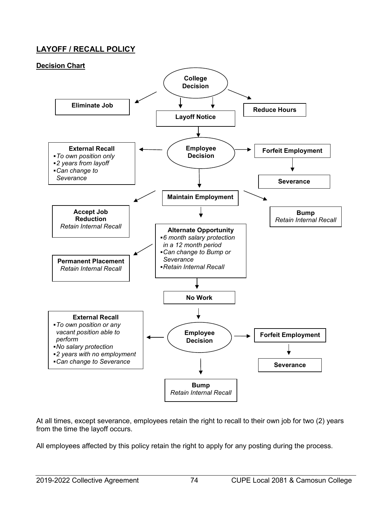# **LAYOFF / RECALL POLICY**



At all times, except severance, employees retain the right to recall to their own job for two (2) years from the time the layoff occurs.

All employees affected by this policy retain the right to apply for any posting during the process.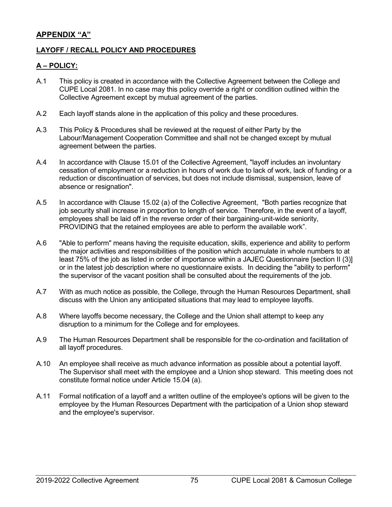# **APPENDIX "A"**

# **LAYOFF / RECALL POLICY AND PROCEDURES**

# **A – POLICY:**

- A.1 This policy is created in accordance with the Collective Agreement between the College and CUPE Local 2081. In no case may this policy override a right or condition outlined within the Collective Agreement except by mutual agreement of the parties.
- A.2 Each layoff stands alone in the application of this policy and these procedures.
- A.3 This Policy & Procedures shall be reviewed at the request of either Party by the Labour/Management Cooperation Committee and shall not be changed except by mutual agreement between the parties.
- A.4 In accordance with Clause 15.01 of the Collective Agreement, "layoff includes an involuntary cessation of employment or a reduction in hours of work due to lack of work, lack of funding or a reduction or discontinuation of services, but does not include dismissal, suspension, leave of absence or resignation".
- A.5 In accordance with Clause 15.02 (a) of the Collective Agreement, "Both parties recognize that job security shall increase in proportion to length of service. Therefore, in the event of a layoff, employees shall be laid off in the reverse order of their bargaining-unit-wide seniority, PROVIDING that the retained employees are able to perform the available work".
- A.6 "Able to perform" means having the requisite education, skills, experience and ability to perform the major activities and responsibilities of the position which accumulate in whole numbers to at least 75% of the job as listed in order of importance within a JAJEC Questionnaire [section II (3)] or in the latest job description where no questionnaire exists. In deciding the "ability to perform" the supervisor of the vacant position shall be consulted about the requirements of the job.
- A.7 With as much notice as possible, the College, through the Human Resources Department, shall discuss with the Union any anticipated situations that may lead to employee layoffs.
- A.8 Where layoffs become necessary, the College and the Union shall attempt to keep any disruption to a minimum for the College and for employees.
- A.9 The Human Resources Department shall be responsible for the co-ordination and facilitation of all layoff procedures.
- A.10 An employee shall receive as much advance information as possible about a potential layoff. The Supervisor shall meet with the employee and a Union shop steward. This meeting does not constitute formal notice under Article 15.04 (a).
- A.11 Formal notification of a layoff and a written outline of the employee's options will be given to the employee by the Human Resources Department with the participation of a Union shop steward and the employee's supervisor.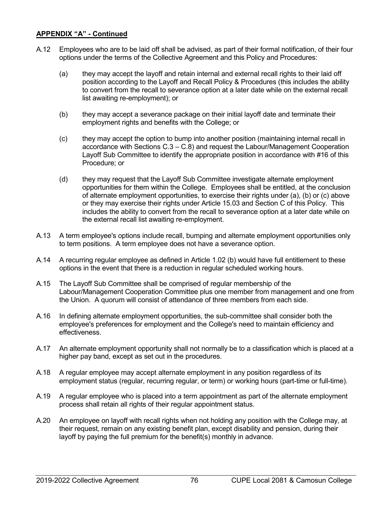- A.12 Employees who are to be laid off shall be advised, as part of their formal notification, of their four options under the terms of the Collective Agreement and this Policy and Procedures:
	- (a) they may accept the layoff and retain internal and external recall rights to their laid off position according to the Layoff and Recall Policy & Procedures (this includes the ability to convert from the recall to severance option at a later date while on the external recall list awaiting re-employment); or
	- (b) they may accept a severance package on their initial layoff date and terminate their employment rights and benefits with the College; or
	- (c) they may accept the option to bump into another position (maintaining internal recall in accordance with Sections C.3 – C.8) and request the Labour/Management Cooperation Layoff Sub Committee to identify the appropriate position in accordance with #16 of this Procedure; or
	- (d) they may request that the Layoff Sub Committee investigate alternate employment opportunities for them within the College. Employees shall be entitled, at the conclusion of alternate employment opportunities, to exercise their rights under (a), (b) or (c) above or they may exercise their rights under Article 15.03 and Section C of this Policy. This includes the ability to convert from the recall to severance option at a later date while on the external recall list awaiting re-employment.
- A.13 A term employee's options include recall, bumping and alternate employment opportunities only to term positions. A term employee does not have a severance option.
- A.14 A recurring regular employee as defined in Article 1.02 (b) would have full entitlement to these options in the event that there is a reduction in regular scheduled working hours.
- A.15 The Layoff Sub Committee shall be comprised of regular membership of the Labour/Management Cooperation Committee plus one member from management and one from the Union. A quorum will consist of attendance of three members from each side.
- A.16 In defining alternate employment opportunities, the sub-committee shall consider both the employee's preferences for employment and the College's need to maintain efficiency and effectiveness.
- A.17 An alternate employment opportunity shall not normally be to a classification which is placed at a higher pay band, except as set out in the procedures.
- A.18 A regular employee may accept alternate employment in any position regardless of its employment status (regular, recurring regular, or term) or working hours (part-time or full-time).
- A.19 A regular employee who is placed into a term appointment as part of the alternate employment process shall retain all rights of their regular appointment status.
- A.20 An employee on layoff with recall rights when not holding any position with the College may, at their request, remain on any existing benefit plan, except disability and pension, during their layoff by paying the full premium for the benefit(s) monthly in advance.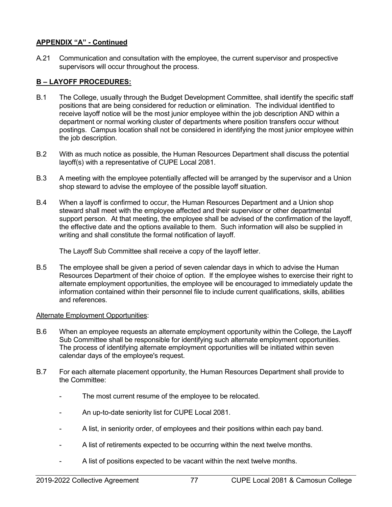A.21 Communication and consultation with the employee, the current supervisor and prospective supervisors will occur throughout the process.

# **B – LAYOFF PROCEDURES:**

- B.1 The College, usually through the Budget Development Committee, shall identify the specific staff positions that are being considered for reduction or elimination. The individual identified to receive layoff notice will be the most junior employee within the job description AND within a department or normal working cluster of departments where position transfers occur without postings. Campus location shall not be considered in identifying the most junior employee within the job description.
- B.2 With as much notice as possible, the Human Resources Department shall discuss the potential layoff(s) with a representative of CUPE Local 2081.
- B.3 A meeting with the employee potentially affected will be arranged by the supervisor and a Union shop steward to advise the employee of the possible layoff situation.
- B.4 When a layoff is confirmed to occur, the Human Resources Department and a Union shop steward shall meet with the employee affected and their supervisor or other departmental support person. At that meeting, the employee shall be advised of the confirmation of the layoff, the effective date and the options available to them. Such information will also be supplied in writing and shall constitute the formal notification of layoff.

The Layoff Sub Committee shall receive a copy of the layoff letter.

B.5 The employee shall be given a period of seven calendar days in which to advise the Human Resources Department of their choice of option. If the employee wishes to exercise their right to alternate employment opportunities, the employee will be encouraged to immediately update the information contained within their personnel file to include current qualifications, skills, abilities and references.

# Alternate Employment Opportunities:

- B.6 When an employee requests an alternate employment opportunity within the College, the Layoff Sub Committee shall be responsible for identifying such alternate employment opportunities. The process of identifying alternate employment opportunities will be initiated within seven calendar days of the employee's request.
- B.7 For each alternate placement opportunity, the Human Resources Department shall provide to the Committee:
	- The most current resume of the employee to be relocated.
	- An up-to-date seniority list for CUPE Local 2081.
	- A list, in seniority order, of employees and their positions within each pay band.
	- A list of retirements expected to be occurring within the next twelve months.
	- A list of positions expected to be vacant within the next twelve months.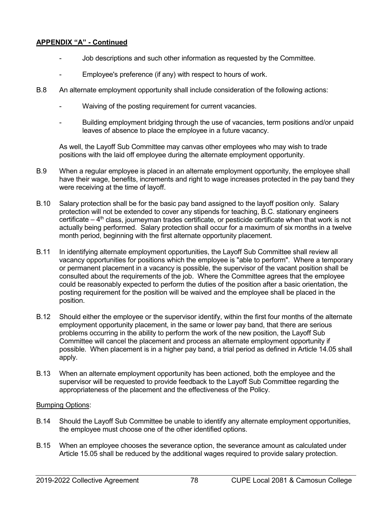- Job descriptions and such other information as requested by the Committee.
- Employee's preference (if any) with respect to hours of work.
- B.8 An alternate employment opportunity shall include consideration of the following actions:
	- Waiving of the posting requirement for current vacancies.
	- Building employment bridging through the use of vacancies, term positions and/or unpaid leaves of absence to place the employee in a future vacancy.

As well, the Layoff Sub Committee may canvas other employees who may wish to trade positions with the laid off employee during the alternate employment opportunity.

- B.9 When a regular employee is placed in an alternate employment opportunity, the employee shall have their wage, benefits, increments and right to wage increases protected in the pay band they were receiving at the time of layoff.
- B.10 Salary protection shall be for the basic pay band assigned to the layoff position only. Salary protection will not be extended to cover any stipends for teaching, B.C. stationary engineers certificate  $-4$ <sup>th</sup> class, journeyman trades certificate, or pesticide certificate when that work is not actually being performed. Salary protection shall occur for a maximum of six months in a twelve month period, beginning with the first alternate opportunity placement.
- B.11 In identifying alternate employment opportunities, the Layoff Sub Committee shall review all vacancy opportunities for positions which the employee is "able to perform". Where a temporary or permanent placement in a vacancy is possible, the supervisor of the vacant position shall be consulted about the requirements of the job. Where the Committee agrees that the employee could be reasonably expected to perform the duties of the position after a basic orientation, the posting requirement for the position will be waived and the employee shall be placed in the position.
- B.12 Should either the employee or the supervisor identify, within the first four months of the alternate employment opportunity placement, in the same or lower pay band, that there are serious problems occurring in the ability to perform the work of the new position, the Layoff Sub Committee will cancel the placement and process an alternate employment opportunity if possible. When placement is in a higher pay band, a trial period as defined in Article 14.05 shall apply.
- B.13 When an alternate employment opportunity has been actioned, both the employee and the supervisor will be requested to provide feedback to the Layoff Sub Committee regarding the appropriateness of the placement and the effectiveness of the Policy.

## Bumping Options:

- B.14 Should the Layoff Sub Committee be unable to identify any alternate employment opportunities, the employee must choose one of the other identified options.
- B.15 When an employee chooses the severance option, the severance amount as calculated under Article 15.05 shall be reduced by the additional wages required to provide salary protection.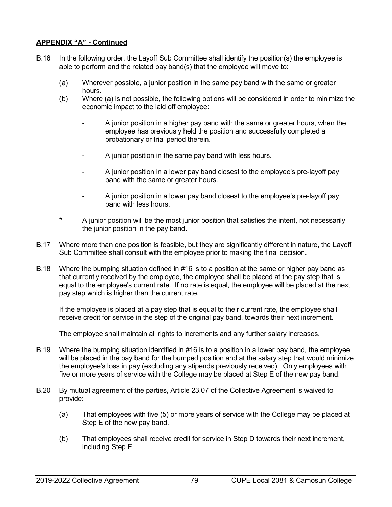- B.16 In the following order, the Layoff Sub Committee shall identify the position(s) the employee is able to perform and the related pay band(s) that the employee will move to:
	- (a) Wherever possible, a junior position in the same pay band with the same or greater hours.
	- (b) Where (a) is not possible, the following options will be considered in order to minimize the economic impact to the laid off employee:
		- A junior position in a higher pay band with the same or greater hours, when the employee has previously held the position and successfully completed a probationary or trial period therein.
		- A junior position in the same pay band with less hours.
		- A junior position in a lower pay band closest to the employee's pre-layoff pay band with the same or greater hours.
		- A junior position in a lower pay band closest to the employee's pre-layoff pay band with less hours.
	- A junior position will be the most junior position that satisfies the intent, not necessarily the junior position in the pay band.
- B.17 Where more than one position is feasible, but they are significantly different in nature, the Layoff Sub Committee shall consult with the employee prior to making the final decision.
- B.18 Where the bumping situation defined in #16 is to a position at the same or higher pay band as that currently received by the employee, the employee shall be placed at the pay step that is equal to the employee's current rate. If no rate is equal, the employee will be placed at the next pay step which is higher than the current rate.

If the employee is placed at a pay step that is equal to their current rate, the employee shall receive credit for service in the step of the original pay band, towards their next increment.

The employee shall maintain all rights to increments and any further salary increases.

- B.19 Where the bumping situation identified in #16 is to a position in a lower pay band, the employee will be placed in the pay band for the bumped position and at the salary step that would minimize the employee's loss in pay (excluding any stipends previously received). Only employees with five or more years of service with the College may be placed at Step E of the new pay band.
- B.20 By mutual agreement of the parties, Article 23.07 of the Collective Agreement is waived to provide:
	- (a) That employees with five (5) or more years of service with the College may be placed at Step E of the new pay band.
	- (b) That employees shall receive credit for service in Step D towards their next increment, including Step E.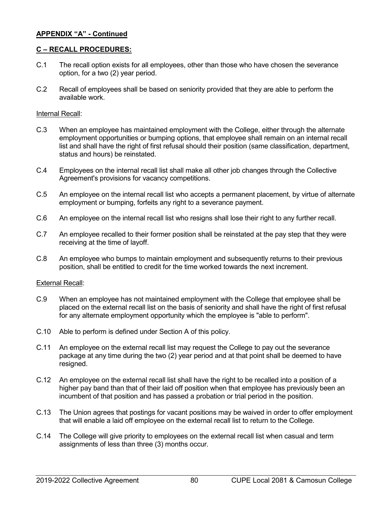## **C – RECALL PROCEDURES:**

- C.1 The recall option exists for all employees, other than those who have chosen the severance option, for a two (2) year period.
- C.2 Recall of employees shall be based on seniority provided that they are able to perform the available work.

### Internal Recall:

- C.3 When an employee has maintained employment with the College, either through the alternate employment opportunities or bumping options, that employee shall remain on an internal recall list and shall have the right of first refusal should their position (same classification, department, status and hours) be reinstated.
- C.4 Employees on the internal recall list shall make all other job changes through the Collective Agreement's provisions for vacancy competitions.
- C.5 An employee on the internal recall list who accepts a permanent placement, by virtue of alternate employment or bumping, forfeits any right to a severance payment.
- C.6 An employee on the internal recall list who resigns shall lose their right to any further recall.
- C.7 An employee recalled to their former position shall be reinstated at the pay step that they were receiving at the time of layoff.
- C.8 An employee who bumps to maintain employment and subsequently returns to their previous position, shall be entitled to credit for the time worked towards the next increment.

### External Recall:

- C.9 When an employee has not maintained employment with the College that employee shall be placed on the external recall list on the basis of seniority and shall have the right of first refusal for any alternate employment opportunity which the employee is "able to perform".
- C.10 Able to perform is defined under Section A of this policy.
- C.11 An employee on the external recall list may request the College to pay out the severance package at any time during the two (2) year period and at that point shall be deemed to have resigned.
- C.12 An employee on the external recall list shall have the right to be recalled into a position of a higher pay band than that of their laid off position when that employee has previously been an incumbent of that position and has passed a probation or trial period in the position.
- C.13 The Union agrees that postings for vacant positions may be waived in order to offer employment that will enable a laid off employee on the external recall list to return to the College.
- C.14 The College will give priority to employees on the external recall list when casual and term assignments of less than three (3) months occur.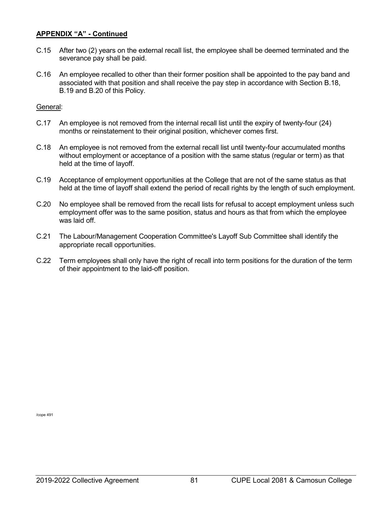- C.15 After two (2) years on the external recall list, the employee shall be deemed terminated and the severance pay shall be paid.
- C.16 An employee recalled to other than their former position shall be appointed to the pay band and associated with that position and shall receive the pay step in accordance with Section B.18, B.19 and B.20 of this Policy.

## General:

- C.17 An employee is not removed from the internal recall list until the expiry of twenty-four (24) months or reinstatement to their original position, whichever comes first.
- C.18 An employee is not removed from the external recall list until twenty-four accumulated months without employment or acceptance of a position with the same status (regular or term) as that held at the time of layoff.
- C.19 Acceptance of employment opportunities at the College that are not of the same status as that held at the time of layoff shall extend the period of recall rights by the length of such employment.
- C.20 No employee shall be removed from the recall lists for refusal to accept employment unless such employment offer was to the same position, status and hours as that from which the employee was laid off.
- C.21 The Labour/Management Cooperation Committee's Layoff Sub Committee shall identify the appropriate recall opportunities.
- C.22 Term employees shall only have the right of recall into term positions for the duration of the term of their appointment to the laid-off position.

/cope 491